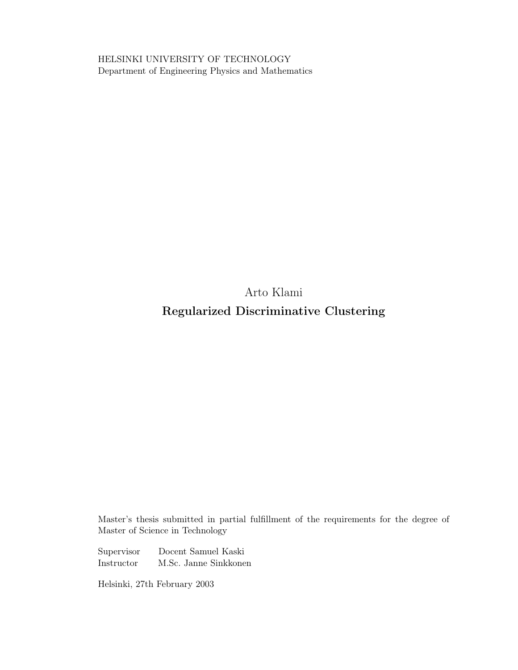HELSINKI UNIVERSITY OF TECHNOLOGY Department of Engineering Physics and Mathematics

> Arto Klami Regularized Discriminative Clustering

Master's thesis submitted in partial fulfillment of the requirements for the degree of Master of Science in Technology

Supervisor Docent Samuel Kaski Instructor M.Sc. Janne Sinkkonen

Helsinki, 27th February 2003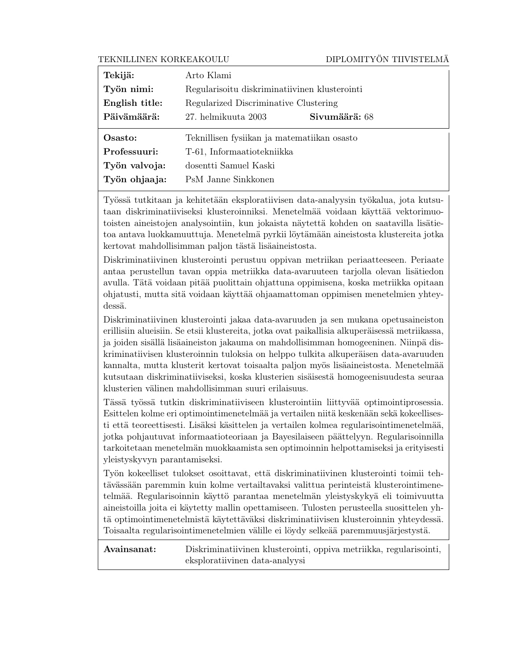### TEKNILLINEN KORKEAKOULU DIPLOMITYÖN TIIVISTELMÄ

| Tekijä:        | Arto Klami                                    |
|----------------|-----------------------------------------------|
| Työn nimi:     | Regularisoitu diskriminatiivinen klusterointi |
| English title: | Regularized Discriminative Clustering         |
| Päivämäärä:    | Sivumäärä: 68<br>27. helmikuuta 2003          |
|                |                                               |
| Osasto:        | Teknillisen fysiikan ja matematiikan osasto   |
| Professuuri:   | T-61, Informaatiotekniikka                    |
| Työn valvoja:  | dosentti Samuel Kaski                         |

Työssä tutkitaan ja kehitetään eksploratiivisen data-analyysin työkalua, jota kutsutaan diskriminatiiviseksi klusteroinniksi. Menetelmää voidaan käyttää vektorimuotoisten aineistojen analysointiin, kun jokaista näytettä kohden on saatavilla lisätietoa antava luokkamuuttuja. Menetelmä pyrkii löytämään aineistosta klustereita jotka kertovat mahdollisimman paljon tästä lisäaineistosta.

Diskriminatiivinen klusterointi perustuu oppivan metriikan periaatteeseen. Periaate antaa perustellun tavan oppia metriikka data-avaruuteen tarjolla olevan lisätiedon avulla. Tätä voidaan pitää puolittain ohjattuna oppimisena, koska metriikka opitaan ohjatusti, mutta sitä voidaan käyttää ohjaamattoman oppimisen menetelmien yhteydessä.

Diskriminatiivinen klusterointi jakaa data-avaruuden ja sen mukana opetusaineiston erillisiin alueisiin. Se etsii klustereita, jotka ovat paikallisia alkuperäisessä metriikassa, ja joiden sisällä lisäaineiston jakauma on mahdollisimman homogeeninen. Niinpä diskriminatiivisen klusteroinnin tuloksia on helppo tulkita alkuperäisen data-avaruuden kannalta, mutta klusterit kertovat toisaalta paljon myös lisäaineistosta. Menetelmää kutsutaan diskriminatiiviseksi, koska klusterien sisäisestä homogeenisuudesta seuraa klusterien välinen mahdollisimman suuri erilaisuus.

Tässä työssä tutkin diskriminatiiviseen klusterointiin liittyvää optimointiprosessia. Esittelen kolme eri optimointimenetelmää ja vertailen niitä keskenään sekä kokeellisesti että teoreettisesti. Lisäksi käsittelen ja vertailen kolmea regularisointimenetelmää, jotka pohjautuvat informaatioteoriaan ja Bayesilaiseen päättelyyn. Regularisoinnilla tarkoitetaan menetelmän muokkaamista sen optimoinnin helpottamiseksi ja erityisesti yleistyskyvyn parantamiseksi.

Työn kokeelliset tulokset osoittavat, että diskriminatiivinen klusterointi toimii tehtävässään paremmin kuin kolme vertailtavaksi valittua perinteistä klusterointimenetelmää. Regularisoinnin käyttö parantaa menetelmän yleistyskykyä eli toimivuutta aineistoilla joita ei käytetty mallin opettamiseen. Tulosten perusteella suosittelen yhtä optimointimenetelmistä käytettäväksi diskriminatiivisen klusteroinnin yhteydessä. Toisaalta regularisointimenetelmien välille ei löydy selkeää paremmuusjärjestystä.

Avainsanat: Diskriminatiivinen klusterointi, oppiva metriikka, regularisointi, eksploratiivinen data-analyysi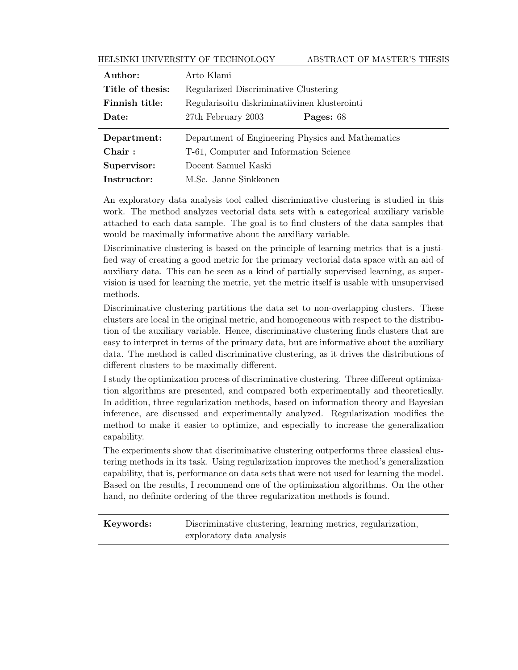### HELSINKI UNIVERSITY OF TECHNOLOGY ABSTRACT OF MASTER'S THESIS

| Author:          | Arto Klami                                        |
|------------------|---------------------------------------------------|
| Title of thesis: | Regularized Discriminative Clustering             |
| Finnish title:   | Regularisoitu diskriminatiivinen klusterointi     |
| Date:            | 27th February 2003<br>Pages: 68                   |
|                  |                                                   |
| Department:      | Department of Engineering Physics and Mathematics |
| Chair:           | T-61, Computer and Information Science            |
| Supervisor:      | Docent Samuel Kaski                               |

An exploratory data analysis tool called discriminative clustering is studied in this work. The method analyzes vectorial data sets with a categorical auxiliary variable attached to each data sample. The goal is to find clusters of the data samples that would be maximally informative about the auxiliary variable.

Discriminative clustering is based on the principle of learning metrics that is a justified way of creating a good metric for the primary vectorial data space with an aid of auxiliary data. This can be seen as a kind of partially supervised learning, as supervision is used for learning the metric, yet the metric itself is usable with unsupervised methods.

Discriminative clustering partitions the data set to non-overlapping clusters. These clusters are local in the original metric, and homogeneous with respect to the distribution of the auxiliary variable. Hence, discriminative clustering finds clusters that are easy to interpret in terms of the primary data, but are informative about the auxiliary data. The method is called discriminative clustering, as it drives the distributions of different clusters to be maximally different.

I study the optimization process of discriminative clustering. Three different optimization algorithms are presented, and compared both experimentally and theoretically. In addition, three regularization methods, based on information theory and Bayesian inference, are discussed and experimentally analyzed. Regularization modifies the method to make it easier to optimize, and especially to increase the generalization capability.

The experiments show that discriminative clustering outperforms three classical clustering methods in its task. Using regularization improves the method's generalization capability, that is, performance on data sets that were not used for learning the model. Based on the results, I recommend one of the optimization algorithms. On the other hand, no definite ordering of the three regularization methods is found.

Keywords: Discriminative clustering, learning metrics, regularization, exploratory data analysis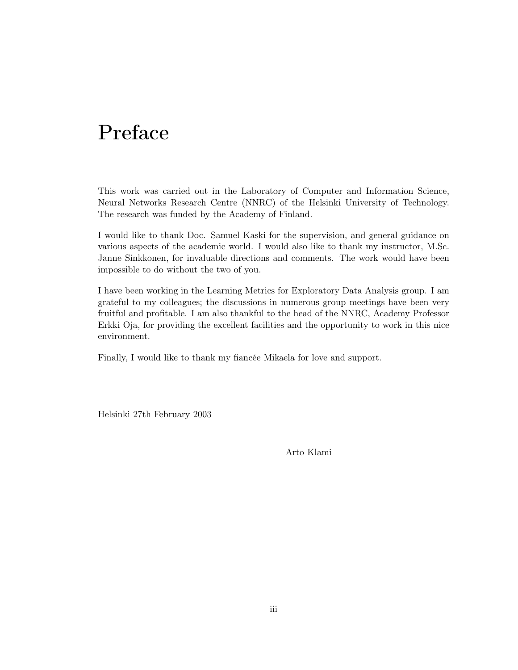# Preface

This work was carried out in the Laboratory of Computer and Information Science, Neural Networks Research Centre (NNRC) of the Helsinki University of Technology. The research was funded by the Academy of Finland.

I would like to thank Doc. Samuel Kaski for the supervision, and general guidance on various aspects of the academic world. I would also like to thank my instructor, M.Sc. Janne Sinkkonen, for invaluable directions and comments. The work would have been impossible to do without the two of you.

I have been working in the Learning Metrics for Exploratory Data Analysis group. I am grateful to my colleagues; the discussions in numerous group meetings have been very fruitful and profitable. I am also thankful to the head of the NNRC, Academy Professor Erkki Oja, for providing the excellent facilities and the opportunity to work in this nice environment.

Finally, I would like to thank my fiancée Mikaela for love and support.

Helsinki 27th February 2003

Arto Klami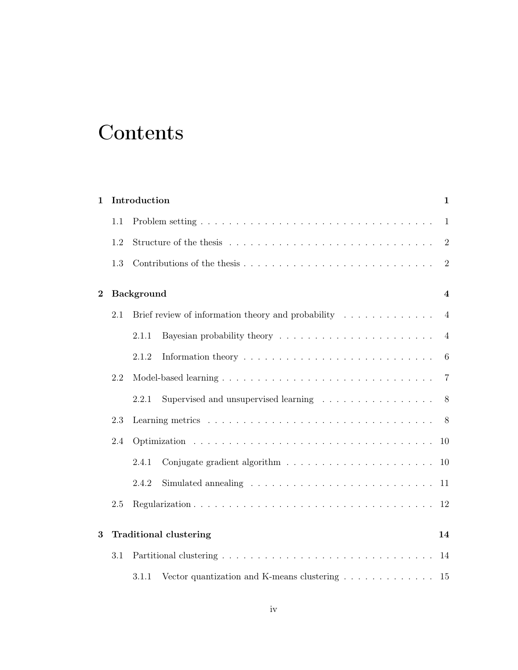# **Contents**

| $\mathbf{1}$ |     | Introduction      |                                                                                    | $\mathbf{1}$   |
|--------------|-----|-------------------|------------------------------------------------------------------------------------|----------------|
|              | 1.1 |                   |                                                                                    | 1              |
|              | 1.2 |                   |                                                                                    | $\overline{2}$ |
|              | 1.3 |                   |                                                                                    | $\overline{2}$ |
| $\bf{2}$     |     | <b>Background</b> |                                                                                    | $\overline{4}$ |
|              | 2.1 |                   | Brief review of information theory and probability $\ldots \ldots \ldots \ldots$   | $\overline{4}$ |
|              |     | 2.1.1             |                                                                                    | $\overline{4}$ |
|              |     | 2.1.2             |                                                                                    | 6              |
|              | 2.2 |                   |                                                                                    |                |
|              |     | 2.2.1             |                                                                                    | 8              |
|              | 2.3 |                   |                                                                                    |                |
|              | 2.4 |                   |                                                                                    | 10             |
|              |     | 2.4.1             |                                                                                    | 10             |
|              |     | 2.4.2             |                                                                                    | 11             |
|              | 2.5 |                   |                                                                                    | 12             |
| 3            |     |                   | <b>Traditional clustering</b>                                                      | 14             |
|              | 3.1 |                   |                                                                                    |                |
|              |     | 3.1.1             | Vector quantization and K-means clustering $\ldots \ldots \ldots \ldots \ldots$ 15 |                |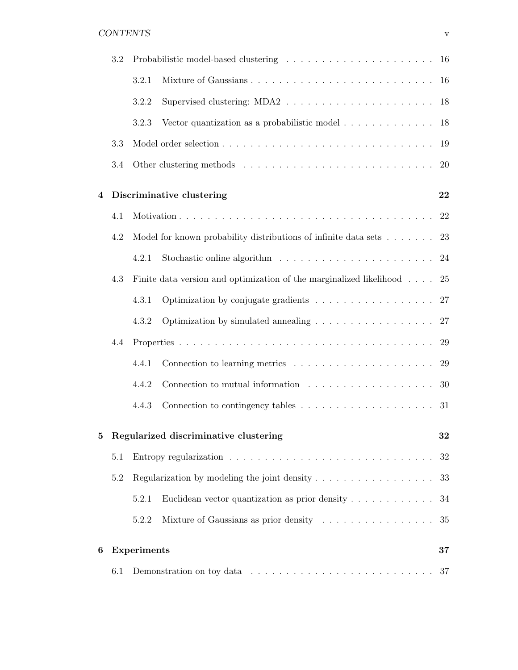### CONTENTS v

|                | 3.2 |                    |                                                                                        |      |
|----------------|-----|--------------------|----------------------------------------------------------------------------------------|------|
|                |     | 3.2.1              |                                                                                        |      |
|                |     | 3.2.2              |                                                                                        | 18   |
|                |     | 3.2.3              | Vector quantization as a probabilistic model $\ldots \ldots \ldots \ldots$             | - 18 |
|                | 3.3 |                    |                                                                                        | 19   |
|                | 3.4 |                    |                                                                                        | 20   |
| $\overline{4}$ |     |                    | Discriminative clustering                                                              | 22   |
|                | 4.1 |                    |                                                                                        | 22   |
|                | 4.2 |                    | Model for known probability distributions of infinite data sets $\dots \dots$          | 23   |
|                |     | 4.2.1              |                                                                                        | 24   |
|                | 4.3 |                    | Finite data version and optimization of the marginalized likelihood                    | 25   |
|                |     | 4.3.1              |                                                                                        | 27   |
|                |     | 4.3.2              | Optimization by simulated annealing $\ldots \ldots \ldots \ldots \ldots \ldots$        | 27   |
|                | 4.4 |                    |                                                                                        | 29   |
|                |     | 4.4.1              |                                                                                        | 29   |
|                |     | 4.4.2              | Connection to mutual information $\ldots \ldots \ldots \ldots \ldots \ldots$           | 30   |
|                |     | 4.4.3              | Connection to contingency tables $\ldots \ldots \ldots \ldots \ldots \ldots \ldots$ 31 |      |
| 5              |     |                    | Regularized discriminative clustering                                                  | 32   |
|                | 5.1 |                    |                                                                                        | 32   |
|                | 5.2 |                    | Regularization by modeling the joint density $\dots \dots \dots \dots \dots \dots$     | 33   |
|                |     | 5.2.1              | Euclidean vector quantization as prior density $\ldots \ldots \ldots \ldots$           | 34   |
|                |     | 5.2.2              | Mixture of Gaussians as prior density                                                  | 35   |
| 6              |     | <b>Experiments</b> |                                                                                        | 37   |
|                | 6.1 |                    |                                                                                        | 37   |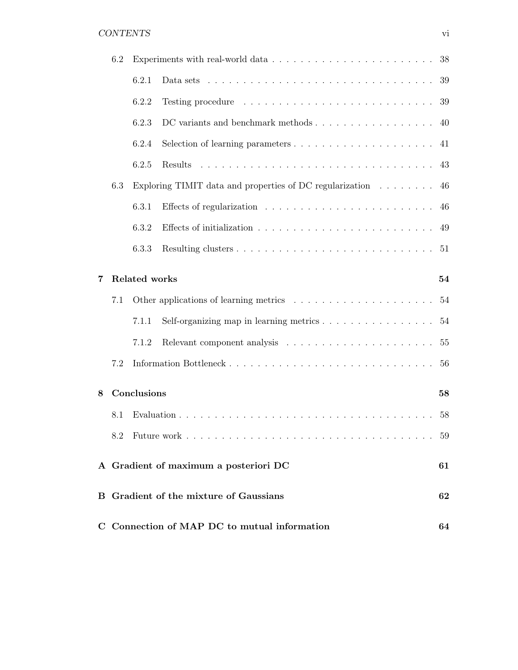## CONTENTS vi

|   | 6.2 |               |                                                                                                                       | 38 |
|---|-----|---------------|-----------------------------------------------------------------------------------------------------------------------|----|
|   |     | 6.2.1         | Data sets $\ldots \ldots \ldots \ldots \ldots \ldots \ldots \ldots \ldots \ldots \ldots$                              | 39 |
|   |     | 6.2.2         |                                                                                                                       | 39 |
|   |     | 6.2.3         | DC variants and benchmark methods                                                                                     | 40 |
|   |     | 6.2.4         | Selection of learning parameters                                                                                      | 41 |
|   |     | 6.2.5         |                                                                                                                       | 43 |
|   | 6.3 |               | Exploring TIMIT data and properties of DC regularization $\ldots \ldots$                                              | 46 |
|   |     | 6.3.1         |                                                                                                                       | 46 |
|   |     | 6.3.2         |                                                                                                                       | 49 |
|   |     | 6.3.3         |                                                                                                                       |    |
| 7 |     | Related works |                                                                                                                       | 54 |
|   | 7.1 |               |                                                                                                                       | 54 |
|   |     | 7.1.1         | Self-organizing map in learning metrics                                                                               | 54 |
|   |     | 7.1.2         |                                                                                                                       | 55 |
|   | 7.2 |               |                                                                                                                       | 56 |
| 8 |     | Conclusions   |                                                                                                                       | 58 |
|   | 8.1 |               |                                                                                                                       | 58 |
|   | 8.2 |               | Future work<br>$\mathbf{r}$ , $\mathbf{r}$ , $\mathbf{r}$ , $\mathbf{r}$ , $\mathbf{r}$ , $\mathbf{r}$ , $\mathbf{r}$ | 59 |
|   |     |               | A Gradient of maximum a posteriori DC                                                                                 | 61 |
|   |     |               | B Gradient of the mixture of Gaussians                                                                                | 62 |
|   |     |               | C Connection of MAP DC to mutual information                                                                          | 64 |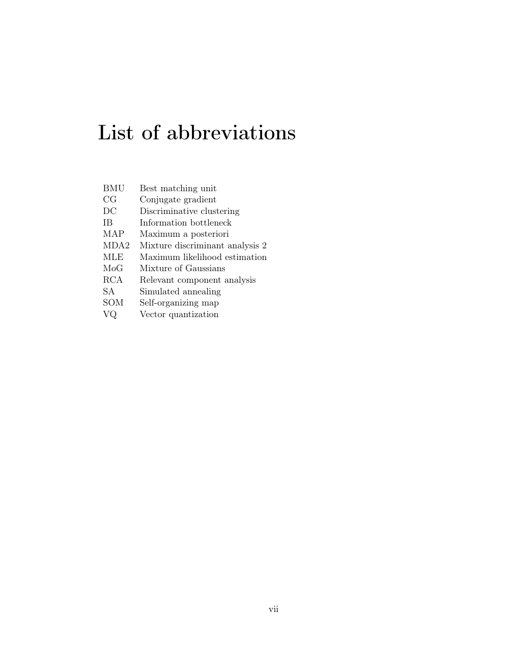# List of abbreviations

| BMU        | Best matching unit              |
|------------|---------------------------------|
| CG         | Conjugate gradient              |
| DС         | Discriminative clustering       |
| ΙB         | Information bottleneck          |
| MAP        | Maximum a posteriori            |
| MDA2       | Mixture discriminant analysis 2 |
| MLE        | Maximum likelihood estimation   |
| MoG        | Mixture of Gaussians            |
| <b>RCA</b> | Relevant component analysis     |
| SА         | Simulated annealing             |
| SOM        | Self-organizing map             |
|            | Vector quantization             |
|            |                                 |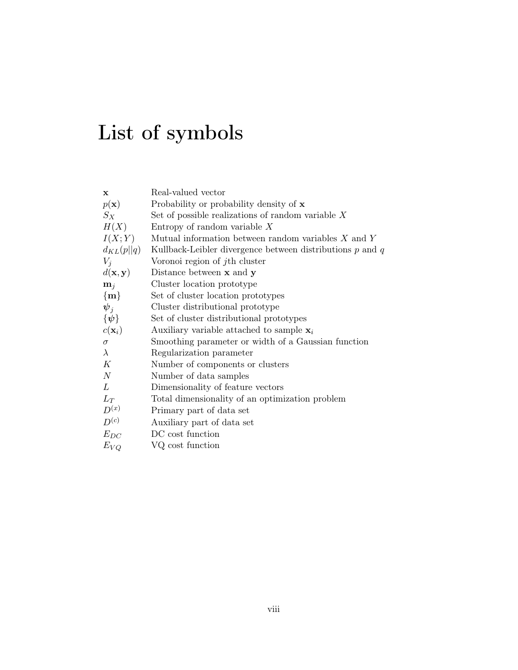# List of symbols

| Real-valued vector                                            |
|---------------------------------------------------------------|
| Probability or probability density of $x$                     |
| Set of possible realizations of random variable $X$           |
| Entropy of random variable $X$                                |
| Mutual information between random variables $X$ and $Y$       |
| Kullback-Leibler divergence between distributions $p$ and $q$ |
| Voronoi region of j <sup>th</sup> cluster                     |
| Distance between $x$ and $y$                                  |
| Cluster location prototype                                    |
| Set of cluster location prototypes                            |
| Cluster distributional prototype                              |
| Set of cluster distributional prototypes                      |
| Auxiliary variable attached to sample $x_i$                   |
| Smoothing parameter or width of a Gaussian function           |
| Regularization parameter                                      |
| Number of components or clusters                              |
| Number of data samples                                        |
| Dimensionality of feature vectors                             |
| Total dimensionality of an optimization problem               |
| Primary part of data set                                      |
| Auxiliary part of data set                                    |
| DC cost function                                              |
| VQ cost function                                              |
|                                                               |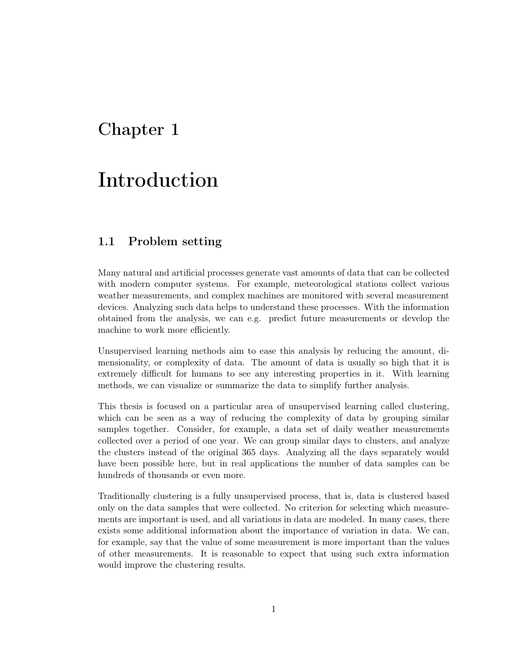# Chapter 1

# Introduction

# 1.1 Problem setting

Many natural and artificial processes generate vast amounts of data that can be collected with modern computer systems. For example, meteorological stations collect various weather measurements, and complex machines are monitored with several measurement devices. Analyzing such data helps to understand these processes. With the information obtained from the analysis, we can e.g. predict future measurements or develop the machine to work more efficiently.

Unsupervised learning methods aim to ease this analysis by reducing the amount, dimensionality, or complexity of data. The amount of data is usually so high that it is extremely difficult for humans to see any interesting properties in it. With learning methods, we can visualize or summarize the data to simplify further analysis.

This thesis is focused on a particular area of unsupervised learning called clustering, which can be seen as a way of reducing the complexity of data by grouping similar samples together. Consider, for example, a data set of daily weather measurements collected over a period of one year. We can group similar days to clusters, and analyze the clusters instead of the original 365 days. Analyzing all the days separately would have been possible here, but in real applications the number of data samples can be hundreds of thousands or even more.

Traditionally clustering is a fully unsupervised process, that is, data is clustered based only on the data samples that were collected. No criterion for selecting which measurements are important is used, and all variations in data are modeled. In many cases, there exists some additional information about the importance of variation in data. We can, for example, say that the value of some measurement is more important than the values of other measurements. It is reasonable to expect that using such extra information would improve the clustering results.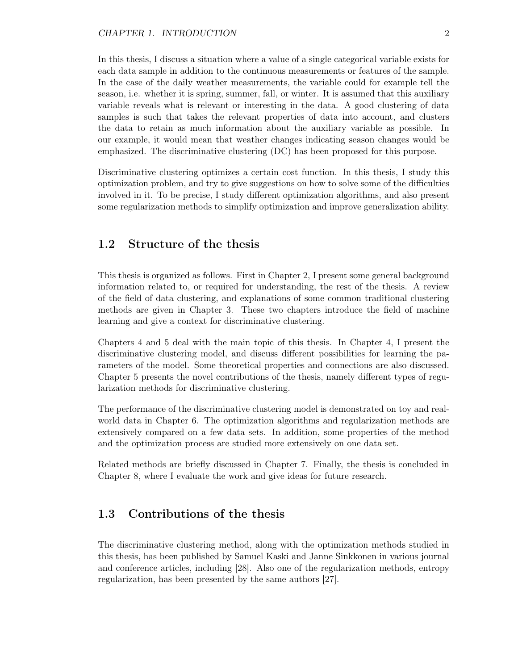In this thesis, I discuss a situation where a value of a single categorical variable exists for each data sample in addition to the continuous measurements or features of the sample. In the case of the daily weather measurements, the variable could for example tell the season, i.e. whether it is spring, summer, fall, or winter. It is assumed that this auxiliary variable reveals what is relevant or interesting in the data. A good clustering of data samples is such that takes the relevant properties of data into account, and clusters the data to retain as much information about the auxiliary variable as possible. In our example, it would mean that weather changes indicating season changes would be emphasized. The discriminative clustering (DC) has been proposed for this purpose.

Discriminative clustering optimizes a certain cost function. In this thesis, I study this optimization problem, and try to give suggestions on how to solve some of the difficulties involved in it. To be precise, I study different optimization algorithms, and also present some regularization methods to simplify optimization and improve generalization ability.

## 1.2 Structure of the thesis

This thesis is organized as follows. First in Chapter 2, I present some general background information related to, or required for understanding, the rest of the thesis. A review of the field of data clustering, and explanations of some common traditional clustering methods are given in Chapter 3. These two chapters introduce the field of machine learning and give a context for discriminative clustering.

Chapters 4 and 5 deal with the main topic of this thesis. In Chapter 4, I present the discriminative clustering model, and discuss different possibilities for learning the parameters of the model. Some theoretical properties and connections are also discussed. Chapter 5 presents the novel contributions of the thesis, namely different types of regularization methods for discriminative clustering.

The performance of the discriminative clustering model is demonstrated on toy and realworld data in Chapter 6. The optimization algorithms and regularization methods are extensively compared on a few data sets. In addition, some properties of the method and the optimization process are studied more extensively on one data set.

Related methods are briefly discussed in Chapter 7. Finally, the thesis is concluded in Chapter 8, where I evaluate the work and give ideas for future research.

# 1.3 Contributions of the thesis

The discriminative clustering method, along with the optimization methods studied in this thesis, has been published by Samuel Kaski and Janne Sinkkonen in various journal and conference articles, including [28]. Also one of the regularization methods, entropy regularization, has been presented by the same authors [27].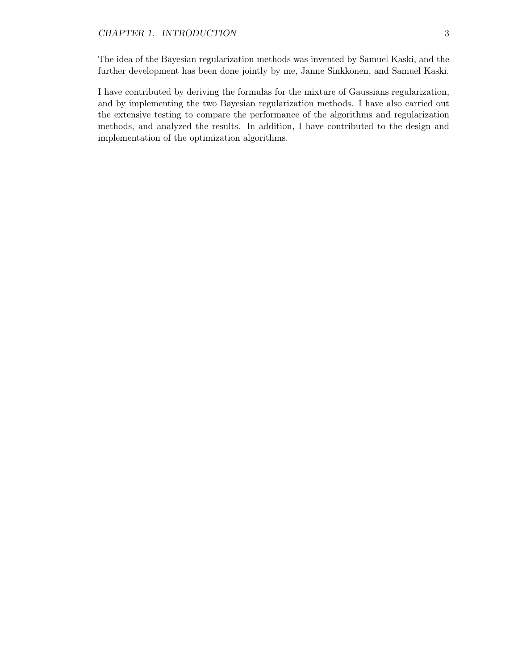The idea of the Bayesian regularization methods was invented by Samuel Kaski, and the further development has been done jointly by me, Janne Sinkkonen, and Samuel Kaski.

I have contributed by deriving the formulas for the mixture of Gaussians regularization, and by implementing the two Bayesian regularization methods. I have also carried out the extensive testing to compare the performance of the algorithms and regularization methods, and analyzed the results. In addition, I have contributed to the design and implementation of the optimization algorithms.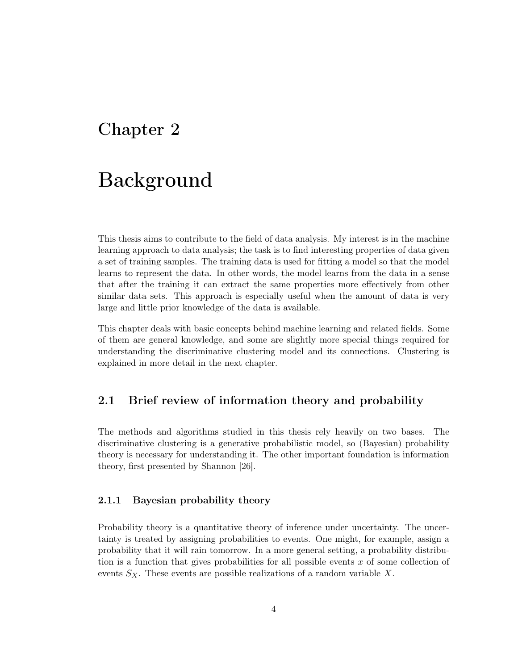# Chapter 2

# Background

This thesis aims to contribute to the field of data analysis. My interest is in the machine learning approach to data analysis; the task is to find interesting properties of data given a set of training samples. The training data is used for fitting a model so that the model learns to represent the data. In other words, the model learns from the data in a sense that after the training it can extract the same properties more effectively from other similar data sets. This approach is especially useful when the amount of data is very large and little prior knowledge of the data is available.

This chapter deals with basic concepts behind machine learning and related fields. Some of them are general knowledge, and some are slightly more special things required for understanding the discriminative clustering model and its connections. Clustering is explained in more detail in the next chapter.

### 2.1 Brief review of information theory and probability

The methods and algorithms studied in this thesis rely heavily on two bases. The discriminative clustering is a generative probabilistic model, so (Bayesian) probability theory is necessary for understanding it. The other important foundation is information theory, first presented by Shannon [26].

### 2.1.1 Bayesian probability theory

Probability theory is a quantitative theory of inference under uncertainty. The uncertainty is treated by assigning probabilities to events. One might, for example, assign a probability that it will rain tomorrow. In a more general setting, a probability distribution is a function that gives probabilities for all possible events x of some collection of events  $S_X$ . These events are possible realizations of a random variable X.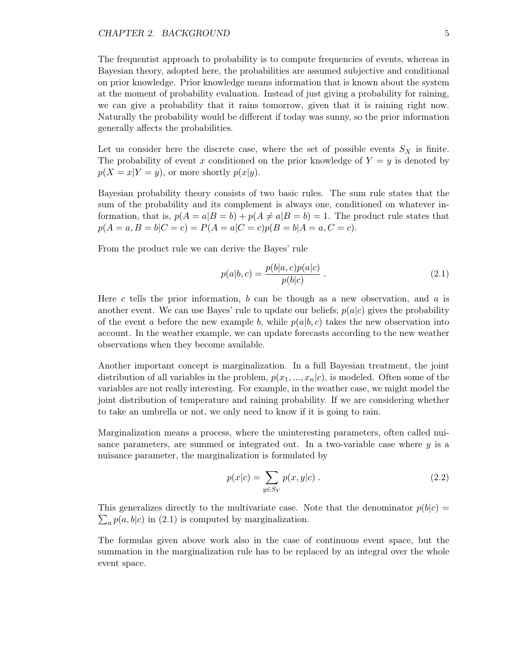The frequentist approach to probability is to compute frequencies of events, whereas in Bayesian theory, adopted here, the probabilities are assumed subjective and conditional on prior knowledge. Prior knowledge means information that is known about the system at the moment of probability evaluation. Instead of just giving a probability for raining, we can give a probability that it rains tomorrow, given that it is raining right now. Naturally the probability would be different if today was sunny, so the prior information generally affects the probabilities.

Let us consider here the discrete case, where the set of possible events  $S_X$  is finite. The probability of event x conditioned on the prior knowledge of  $Y = y$  is denoted by  $p(X = x|Y = y)$ , or more shortly  $p(x|y)$ .

Bayesian probability theory consists of two basic rules. The sum rule states that the sum of the probability and its complement is always one, conditioned on whatever information, that is,  $p(A = a|B = b) + p(A \neq a|B = b) = 1$ . The product rule states that  $p(A = a, B = b|C = c) = P(A = a|C = c)p(B = b|A = a, C = c).$ 

From the product rule we can derive the Bayes' rule

$$
p(a|b,c) = \frac{p(b|a,c)p(a|c)}{p(b|c)}.
$$
\n(2.1)

Here c tells the prior information, b can be though as a new observation, and a is another event. We can use Bayes' rule to update our beliefs;  $p(a|c)$  gives the probability of the event a before the new example b, while  $p(a|b, c)$  takes the new observation into account. In the weather example, we can update forecasts according to the new weather observations when they become available.

Another important concept is marginalization. In a full Bayesian treatment, the joint distribution of all variables in the problem,  $p(x_1, ..., x_n|c)$ , is modeled. Often some of the variables are not really interesting. For example, in the weather case, we might model the joint distribution of temperature and raining probability. If we are considering whether to take an umbrella or not, we only need to know if it is going to rain.

Marginalization means a process, where the uninteresting parameters, often called nuisance parameters, are summed or integrated out. In a two-variable case where  $y$  is a nuisance parameter, the marginalization is formulated by

$$
p(x|c) = \sum_{y \in S_Y} p(x, y|c) . \tag{2.2}
$$

 $\sum_a p(a, b|c)$  in (2.1) is computed by marginalization. This generalizes directly to the multivariate case. Note that the denominator  $p(b|c)$ 

The formulas given above work also in the case of continuous event space, but the summation in the marginalization rule has to be replaced by an integral over the whole event space.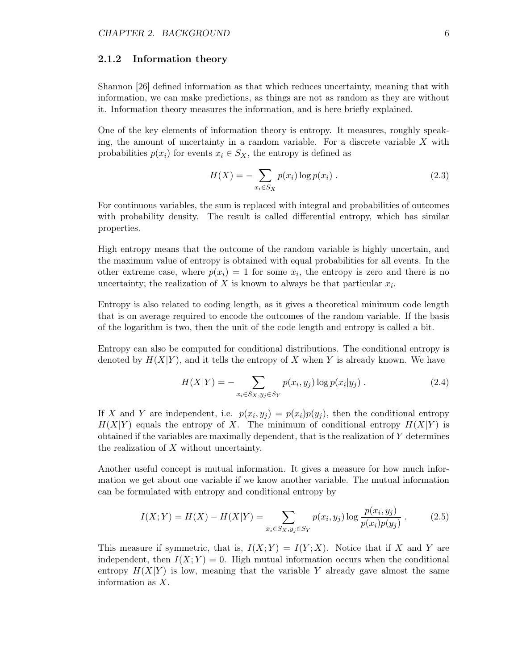#### 2.1.2 Information theory

Shannon [26] defined information as that which reduces uncertainty, meaning that with information, we can make predictions, as things are not as random as they are without it. Information theory measures the information, and is here briefly explained.

One of the key elements of information theory is entropy. It measures, roughly speaking, the amount of uncertainty in a random variable. For a discrete variable  $X$  with probabilities  $p(x_i)$  for events  $x_i \in S_X$ , the entropy is defined as

$$
H(X) = -\sum_{x_i \in S_X} p(x_i) \log p(x_i) . \qquad (2.3)
$$

For continuous variables, the sum is replaced with integral and probabilities of outcomes with probability density. The result is called differential entropy, which has similar properties.

High entropy means that the outcome of the random variable is highly uncertain, and the maximum value of entropy is obtained with equal probabilities for all events. In the other extreme case, where  $p(x_i) = 1$  for some  $x_i$ , the entropy is zero and there is no uncertainty; the realization of X is known to always be that particular  $x_i$ .

Entropy is also related to coding length, as it gives a theoretical minimum code length that is on average required to encode the outcomes of the random variable. If the basis of the logarithm is two, then the unit of the code length and entropy is called a bit.

Entropy can also be computed for conditional distributions. The conditional entropy is denoted by  $H(X|Y)$ , and it tells the entropy of X when Y is already known. We have

$$
H(X|Y) = -\sum_{x_i \in S_X, y_j \in S_Y} p(x_i, y_j) \log p(x_i|y_j).
$$
 (2.4)

If X and Y are independent, i.e.  $p(x_i, y_j) = p(x_i)p(y_j)$ , then the conditional entropy  $H(X|Y)$  equals the entropy of X. The minimum of conditional entropy  $H(X|Y)$  is obtained if the variables are maximally dependent, that is the realization of  $Y$  determines the realization of  $X$  without uncertainty.

Another useful concept is mutual information. It gives a measure for how much information we get about one variable if we know another variable. The mutual information can be formulated with entropy and conditional entropy by

$$
I(X;Y) = H(X) - H(X|Y) = \sum_{x_i \in S_X, y_j \in S_Y} p(x_i, y_j) \log \frac{p(x_i, y_j)}{p(x_i)p(y_j)}.
$$
 (2.5)

This measure if symmetric, that is,  $I(X;Y) = I(Y;X)$ . Notice that if X and Y are independent, then  $I(X; Y) = 0$ . High mutual information occurs when the conditional entropy  $H(X|Y)$  is low, meaning that the variable Y already gave almost the same information as X.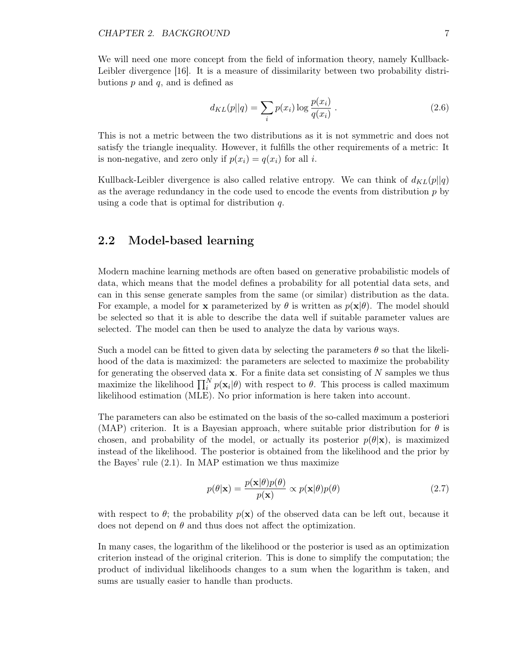We will need one more concept from the field of information theory, namely Kullback-Leibler divergence [16]. It is a measure of dissimilarity between two probability distributions  $p$  and  $q$ , and is defined as

$$
d_{KL}(p||q) = \sum_{i} p(x_i) \log \frac{p(x_i)}{q(x_i)}.
$$
 (2.6)

This is not a metric between the two distributions as it is not symmetric and does not satisfy the triangle inequality. However, it fulfills the other requirements of a metric: It is non-negative, and zero only if  $p(x_i) = q(x_i)$  for all i.

Kullback-Leibler divergence is also called relative entropy. We can think of  $d_{KL}(p||q)$ as the average redundancy in the code used to encode the events from distribution  $p$  by using a code that is optimal for distribution  $q$ .

### 2.2 Model-based learning

Modern machine learning methods are often based on generative probabilistic models of data, which means that the model defines a probability for all potential data sets, and can in this sense generate samples from the same (or similar) distribution as the data. For example, a model for **x** parameterized by  $\theta$  is written as  $p(\mathbf{x}|\theta)$ . The model should be selected so that it is able to describe the data well if suitable parameter values are selected. The model can then be used to analyze the data by various ways.

Such a model can be fitted to given data by selecting the parameters  $\theta$  so that the likelihood of the data is maximized: the parameters are selected to maximize the probability for generating the observed data  $x$ . For a finite data set consisting of  $N$  samples we thus maximize the likelihood  $\prod_i^N p(\mathbf{x}_i|\theta)$  with respect to  $\theta$ . This process is called maximum likelihood estimation (MLE). No prior information is here taken into account.

The parameters can also be estimated on the basis of the so-called maximum a posteriori (MAP) criterion. It is a Bayesian approach, where suitable prior distribution for  $\theta$  is chosen, and probability of the model, or actually its posterior  $p(\theta|\mathbf{x})$ , is maximized instead of the likelihood. The posterior is obtained from the likelihood and the prior by the Bayes' rule (2.1). In MAP estimation we thus maximize

$$
p(\theta|\mathbf{x}) = \frac{p(\mathbf{x}|\theta)p(\theta)}{p(\mathbf{x})} \propto p(\mathbf{x}|\theta)p(\theta)
$$
\n(2.7)

with respect to  $\theta$ ; the probability  $p(x)$  of the observed data can be left out, because it does not depend on  $\theta$  and thus does not affect the optimization.

In many cases, the logarithm of the likelihood or the posterior is used as an optimization criterion instead of the original criterion. This is done to simplify the computation; the product of individual likelihoods changes to a sum when the logarithm is taken, and sums are usually easier to handle than products.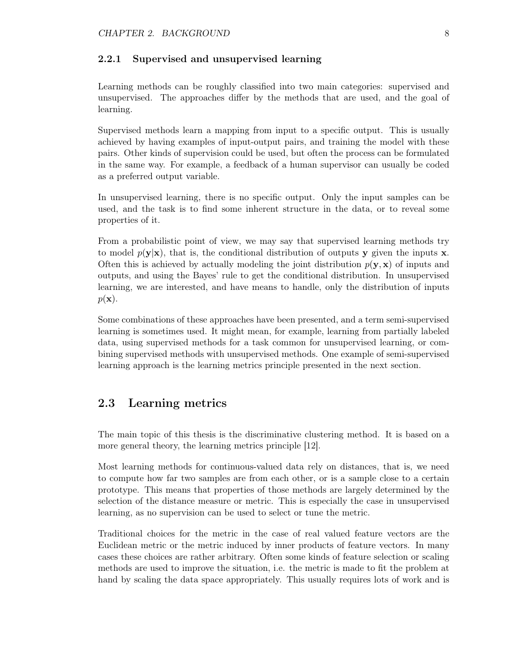#### 2.2.1 Supervised and unsupervised learning

Learning methods can be roughly classified into two main categories: supervised and unsupervised. The approaches differ by the methods that are used, and the goal of learning.

Supervised methods learn a mapping from input to a specific output. This is usually achieved by having examples of input-output pairs, and training the model with these pairs. Other kinds of supervision could be used, but often the process can be formulated in the same way. For example, a feedback of a human supervisor can usually be coded as a preferred output variable.

In unsupervised learning, there is no specific output. Only the input samples can be used, and the task is to find some inherent structure in the data, or to reveal some properties of it.

From a probabilistic point of view, we may say that supervised learning methods try to model  $p(\mathbf{y}|\mathbf{x})$ , that is, the conditional distribution of outputs y given the inputs x. Often this is achieved by actually modeling the joint distribution  $p(y, x)$  of inputs and outputs, and using the Bayes' rule to get the conditional distribution. In unsupervised learning, we are interested, and have means to handle, only the distribution of inputs  $p(\mathbf{x})$ .

Some combinations of these approaches have been presented, and a term semi-supervised learning is sometimes used. It might mean, for example, learning from partially labeled data, using supervised methods for a task common for unsupervised learning, or combining supervised methods with unsupervised methods. One example of semi-supervised learning approach is the learning metrics principle presented in the next section.

## 2.3 Learning metrics

The main topic of this thesis is the discriminative clustering method. It is based on a more general theory, the learning metrics principle [12].

Most learning methods for continuous-valued data rely on distances, that is, we need to compute how far two samples are from each other, or is a sample close to a certain prototype. This means that properties of those methods are largely determined by the selection of the distance measure or metric. This is especially the case in unsupervised learning, as no supervision can be used to select or tune the metric.

Traditional choices for the metric in the case of real valued feature vectors are the Euclidean metric or the metric induced by inner products of feature vectors. In many cases these choices are rather arbitrary. Often some kinds of feature selection or scaling methods are used to improve the situation, i.e. the metric is made to fit the problem at hand by scaling the data space appropriately. This usually requires lots of work and is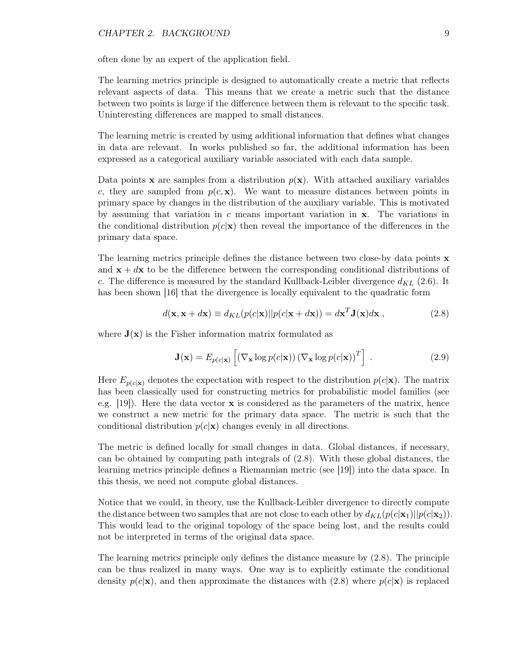often done by an expert of the application field.

The learning metrics principle is designed to automatically create a metric that reflects relevant aspects of data. This means that we create a metric such that the distance between two points is large if the difference between them is relevant to the specific task. Uninteresting differences are mapped to small distances.

The learning metric is created by using additional information that defines what changes in data are relevant. In works published so far, the additional information has been expressed as a categorical auxiliary variable associated with each data sample.

Data points x are samples from a distribution  $p(x)$ . With attached auxiliary variables c, they are sampled from  $p(c, x)$ . We want to measure distances between points in primary space by changes in the distribution of the auxiliary variable. This is motivated by assuming that variation in  $c$  means important variation in  $x$ . The variations in the conditional distribution  $p(c|\mathbf{x})$  then reveal the importance of the differences in the primary data space.

The learning metrics principle defines the distance between two close-by data points **x** and  $x + dx$  to be the difference between the corresponding conditional distributions of c. The difference is measured by the standard Kullback-Leibler divergence  $d_{KL}$  (2.6). It has been shown [16] that the divergence is locally equivalent to the quadratic form

$$
d(\mathbf{x}, \mathbf{x} + d\mathbf{x}) \equiv d_{KL}(p(c|\mathbf{x})||p(c|\mathbf{x} + d\mathbf{x})) = d\mathbf{x}^{T}\mathbf{J}(\mathbf{x})d\mathbf{x},
$$
\n(2.8)

where  $J(x)$  is the Fisher information matrix formulated as

$$
\mathbf{J}(\mathbf{x}) = E_{p(c|\mathbf{x})} \left[ \left( \nabla_{\mathbf{x}} \log p(c|\mathbf{x}) \right) \left( \nabla_{\mathbf{x}} \log p(c|\mathbf{x}) \right)^{T} \right] . \tag{2.9}
$$

Here  $E_{p(c|\mathbf{x})}$  denotes the expectation with respect to the distribution  $p(c|\mathbf{x})$ . The matrix has been classically used for constructing metrics for probabilistic model families (see e.g.  $[19]$ . Here the data vector **x** is considered as the parameters of the matrix, hence we construct a new metric for the primary data space. The metric is such that the conditional distribution  $p(c|\mathbf{x})$  changes evenly in all directions.

The metric is defined locally for small changes in data. Global distances, if necessary, can be obtained by computing path integrals of (2.8). With these global distances, the learning metrics principle defines a Riemannian metric (see [19]) into the data space. In this thesis, we need not compute global distances.

Notice that we could, in theory, use the Kullback-Leibler divergence to directly compute the distance between two samples that are not close to each other by  $d_{KL}(p(c|\mathbf{x}_1)||p(c|\mathbf{x}_2)).$ This would lead to the original topology of the space being lost, and the results could not be interpreted in terms of the original data space.

The learning metrics principle only defines the distance measure by (2.8). The principle can be thus realized in many ways. One way is to explicitly estimate the conditional density  $p(c|\mathbf{x})$ , and then approximate the distances with (2.8) where  $p(c|\mathbf{x})$  is replaced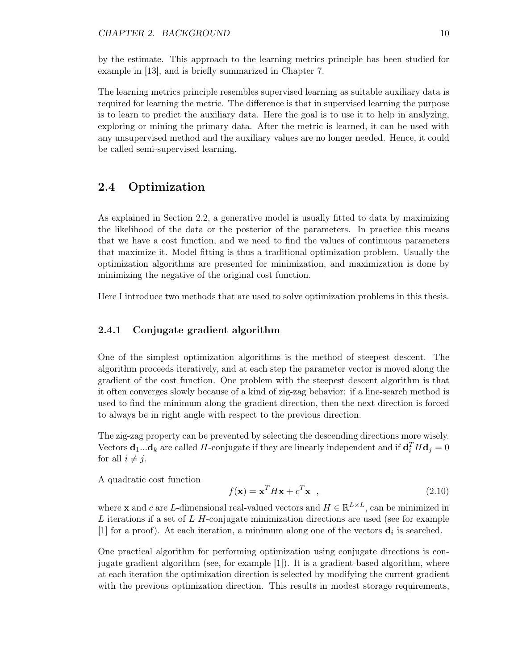by the estimate. This approach to the learning metrics principle has been studied for example in [13], and is briefly summarized in Chapter 7.

The learning metrics principle resembles supervised learning as suitable auxiliary data is required for learning the metric. The difference is that in supervised learning the purpose is to learn to predict the auxiliary data. Here the goal is to use it to help in analyzing, exploring or mining the primary data. After the metric is learned, it can be used with any unsupervised method and the auxiliary values are no longer needed. Hence, it could be called semi-supervised learning.

# 2.4 Optimization

As explained in Section 2.2, a generative model is usually fitted to data by maximizing the likelihood of the data or the posterior of the parameters. In practice this means that we have a cost function, and we need to find the values of continuous parameters that maximize it. Model fitting is thus a traditional optimization problem. Usually the optimization algorithms are presented for minimization, and maximization is done by minimizing the negative of the original cost function.

Here I introduce two methods that are used to solve optimization problems in this thesis.

### 2.4.1 Conjugate gradient algorithm

One of the simplest optimization algorithms is the method of steepest descent. The algorithm proceeds iteratively, and at each step the parameter vector is moved along the gradient of the cost function. One problem with the steepest descent algorithm is that it often converges slowly because of a kind of zig-zag behavior: if a line-search method is used to find the minimum along the gradient direction, then the next direction is forced to always be in right angle with respect to the previous direction.

The zig-zag property can be prevented by selecting the descending directions more wisely. Vectors  $\mathbf{d}_1...\mathbf{d}_k$  are called H-conjugate if they are linearly independent and if  $\mathbf{d}_i^T H \mathbf{d}_j = 0$ for all  $i \neq j$ .

A quadratic cost function

$$
f(\mathbf{x}) = \mathbf{x}^T H \mathbf{x} + c^T \mathbf{x} \quad , \tag{2.10}
$$

where **x** and c are L-dimensional real-valued vectors and  $H \in \mathbb{R}^{L \times L}$ , can be minimized in L iterations if a set of L H-conjugate minimization directions are used (see for example [1] for a proof). At each iteration, a minimum along one of the vectors  $\mathbf{d}_i$  is searched.

One practical algorithm for performing optimization using conjugate directions is conjugate gradient algorithm (see, for example [1]). It is a gradient-based algorithm, where at each iteration the optimization direction is selected by modifying the current gradient with the previous optimization direction. This results in modest storage requirements,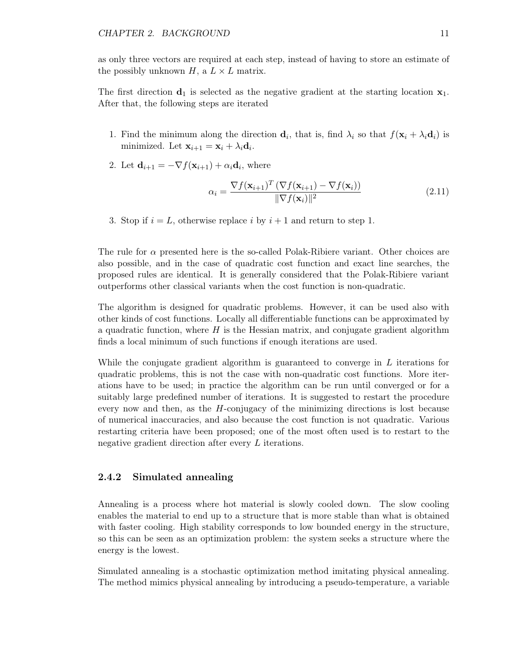as only three vectors are required at each step, instead of having to store an estimate of the possibly unknown  $H$ , a  $L \times L$  matrix.

The first direction  $\mathbf{d}_1$  is selected as the negative gradient at the starting location  $\mathbf{x}_1$ . After that, the following steps are iterated

- 1. Find the minimum along the direction  $\mathbf{d}_i$ , that is, find  $\lambda_i$  so that  $f(\mathbf{x}_i + \lambda_i \mathbf{d}_i)$  is minimized. Let  $\mathbf{x}_{i+1} = \mathbf{x}_i + \lambda_i \mathbf{d}_i$ .
- 2. Let  $\mathbf{d}_{i+1} = -\nabla f(\mathbf{x}_{i+1}) + \alpha_i \mathbf{d}_i$ , where

$$
\alpha_i = \frac{\nabla f(\mathbf{x}_{i+1})^T (\nabla f(\mathbf{x}_{i+1}) - \nabla f(\mathbf{x}_i))}{\|\nabla f(\mathbf{x}_i)\|^2}
$$
(2.11)

3. Stop if  $i = L$ , otherwise replace i by  $i + 1$  and return to step 1.

The rule for  $\alpha$  presented here is the so-called Polak-Ribiere variant. Other choices are also possible, and in the case of quadratic cost function and exact line searches, the proposed rules are identical. It is generally considered that the Polak-Ribiere variant outperforms other classical variants when the cost function is non-quadratic.

The algorithm is designed for quadratic problems. However, it can be used also with other kinds of cost functions. Locally all differentiable functions can be approximated by a quadratic function, where  $H$  is the Hessian matrix, and conjugate gradient algorithm finds a local minimum of such functions if enough iterations are used.

While the conjugate gradient algorithm is guaranteed to converge in L iterations for quadratic problems, this is not the case with non-quadratic cost functions. More iterations have to be used; in practice the algorithm can be run until converged or for a suitably large predefined number of iterations. It is suggested to restart the procedure every now and then, as the H-conjugacy of the minimizing directions is lost because of numerical inaccuracies, and also because the cost function is not quadratic. Various restarting criteria have been proposed; one of the most often used is to restart to the negative gradient direction after every L iterations.

#### 2.4.2 Simulated annealing

Annealing is a process where hot material is slowly cooled down. The slow cooling enables the material to end up to a structure that is more stable than what is obtained with faster cooling. High stability corresponds to low bounded energy in the structure, so this can be seen as an optimization problem: the system seeks a structure where the energy is the lowest.

Simulated annealing is a stochastic optimization method imitating physical annealing. The method mimics physical annealing by introducing a pseudo-temperature, a variable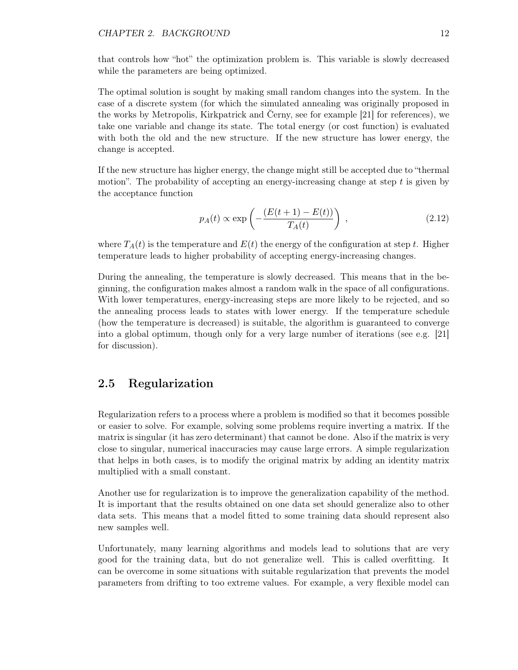#### CHAPTER 2. BACKGROUND 12

that controls how "hot" the optimization problem is. This variable is slowly decreased while the parameters are being optimized.

The optimal solution is sought by making small random changes into the system. In the case of a discrete system (for which the simulated annealing was originally proposed in the works by Metropolis, Kirkpatrick and Cerny, see for example [21] for references), we take one variable and change its state. The total energy (or cost function) is evaluated with both the old and the new structure. If the new structure has lower energy, the change is accepted.

If the new structure has higher energy, the change might still be accepted due to "thermal motion". The probability of accepting an energy-increasing change at step  $t$  is given by the acceptance function

$$
p_A(t) \propto \exp\left(-\frac{(E(t+1) - E(t))}{T_A(t)}\right) ,\qquad (2.12)
$$

where  $T_A(t)$  is the temperature and  $E(t)$  the energy of the configuration at step t. Higher temperature leads to higher probability of accepting energy-increasing changes.

During the annealing, the temperature is slowly decreased. This means that in the beginning, the configuration makes almost a random walk in the space of all configurations. With lower temperatures, energy-increasing steps are more likely to be rejected, and so the annealing process leads to states with lower energy. If the temperature schedule (how the temperature is decreased) is suitable, the algorithm is guaranteed to converge into a global optimum, though only for a very large number of iterations (see e.g. [21] for discussion).

## 2.5 Regularization

Regularization refers to a process where a problem is modified so that it becomes possible or easier to solve. For example, solving some problems require inverting a matrix. If the matrix is singular (it has zero determinant) that cannot be done. Also if the matrix is very close to singular, numerical inaccuracies may cause large errors. A simple regularization that helps in both cases, is to modify the original matrix by adding an identity matrix multiplied with a small constant.

Another use for regularization is to improve the generalization capability of the method. It is important that the results obtained on one data set should generalize also to other data sets. This means that a model fitted to some training data should represent also new samples well.

Unfortunately, many learning algorithms and models lead to solutions that are very good for the training data, but do not generalize well. This is called overfitting. It can be overcome in some situations with suitable regularization that prevents the model parameters from drifting to too extreme values. For example, a very flexible model can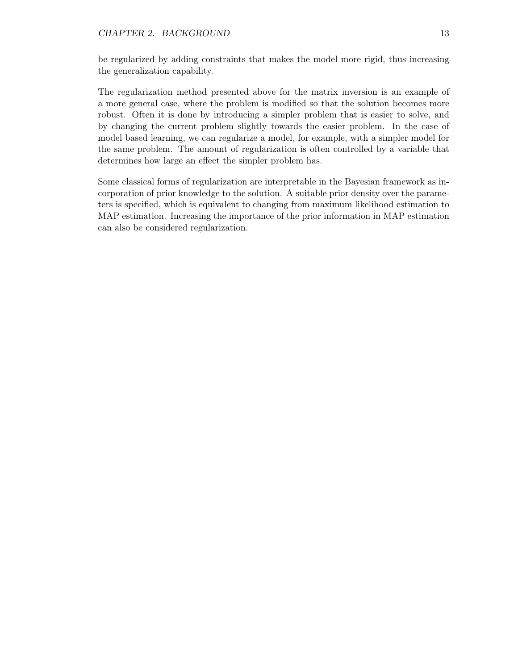be regularized by adding constraints that makes the model more rigid, thus increasing the generalization capability.

The regularization method presented above for the matrix inversion is an example of a more general case, where the problem is modified so that the solution becomes more robust. Often it is done by introducing a simpler problem that is easier to solve, and by changing the current problem slightly towards the easier problem. In the case of model based learning, we can regularize a model, for example, with a simpler model for the same problem. The amount of regularization is often controlled by a variable that determines how large an effect the simpler problem has.

Some classical forms of regularization are interpretable in the Bayesian framework as incorporation of prior knowledge to the solution. A suitable prior density over the parameters is specified, which is equivalent to changing from maximum likelihood estimation to MAP estimation. Increasing the importance of the prior information in MAP estimation can also be considered regularization.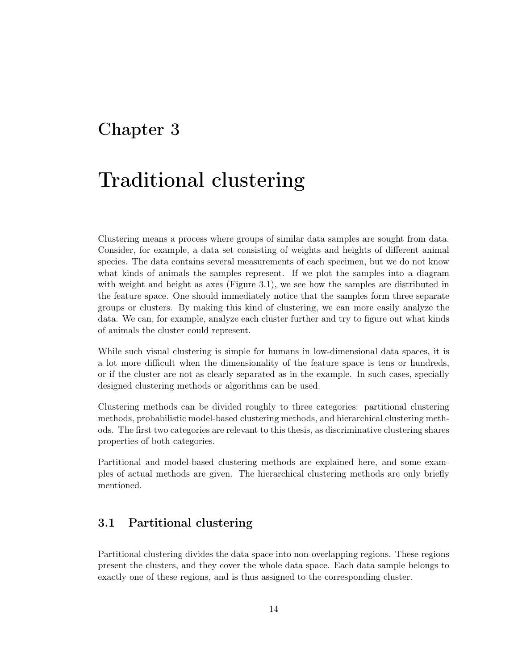# Chapter 3

# Traditional clustering

Clustering means a process where groups of similar data samples are sought from data. Consider, for example, a data set consisting of weights and heights of different animal species. The data contains several measurements of each specimen, but we do not know what kinds of animals the samples represent. If we plot the samples into a diagram with weight and height as axes (Figure 3.1), we see how the samples are distributed in the feature space. One should immediately notice that the samples form three separate groups or clusters. By making this kind of clustering, we can more easily analyze the data. We can, for example, analyze each cluster further and try to figure out what kinds of animals the cluster could represent.

While such visual clustering is simple for humans in low-dimensional data spaces, it is a lot more difficult when the dimensionality of the feature space is tens or hundreds, or if the cluster are not as clearly separated as in the example. In such cases, specially designed clustering methods or algorithms can be used.

Clustering methods can be divided roughly to three categories: partitional clustering methods, probabilistic model-based clustering methods, and hierarchical clustering methods. The first two categories are relevant to this thesis, as discriminative clustering shares properties of both categories.

Partitional and model-based clustering methods are explained here, and some examples of actual methods are given. The hierarchical clustering methods are only briefly mentioned.

# 3.1 Partitional clustering

Partitional clustering divides the data space into non-overlapping regions. These regions present the clusters, and they cover the whole data space. Each data sample belongs to exactly one of these regions, and is thus assigned to the corresponding cluster.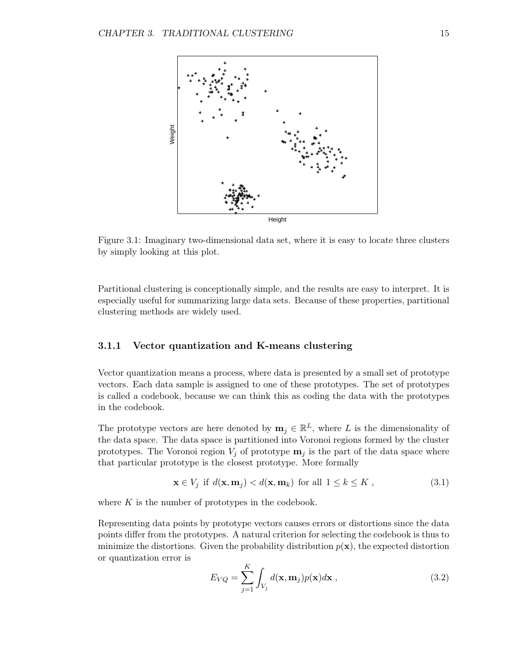

Figure 3.1: Imaginary two-dimensional data set, where it is easy to locate three clusters by simply looking at this plot.

Partitional clustering is conceptionally simple, and the results are easy to interpret. It is especially useful for summarizing large data sets. Because of these properties, partitional clustering methods are widely used.

#### 3.1.1 Vector quantization and K-means clustering

Vector quantization means a process, where data is presented by a small set of prototype vectors. Each data sample is assigned to one of these prototypes. The set of prototypes is called a codebook, because we can think this as coding the data with the prototypes in the codebook.

The prototype vectors are here denoted by  $\mathbf{m}_j \in \mathbb{R}^L$ , where L is the dimensionality of the data space. The data space is partitioned into Voronoi regions formed by the cluster prototypes. The Voronoi region  $V_i$  of prototype  $\mathbf{m}_i$  is the part of the data space where that particular prototype is the closest prototype. More formally

$$
\mathbf{x} \in V_j \text{ if } d(\mathbf{x}, \mathbf{m}_j) < d(\mathbf{x}, \mathbf{m}_k) \text{ for all } 1 \le k \le K \tag{3.1}
$$

where  $K$  is the number of prototypes in the codebook.

Representing data points by prototype vectors causes errors or distortions since the data points differ from the prototypes. A natural criterion for selecting the codebook is thus to minimize the distortions. Given the probability distribution  $p(\mathbf{x})$ , the expected distortion or quantization error is

$$
E_{VQ} = \sum_{j=1}^{K} \int_{V_j} d(\mathbf{x}, \mathbf{m}_j) p(\mathbf{x}) d\mathbf{x}, \qquad (3.2)
$$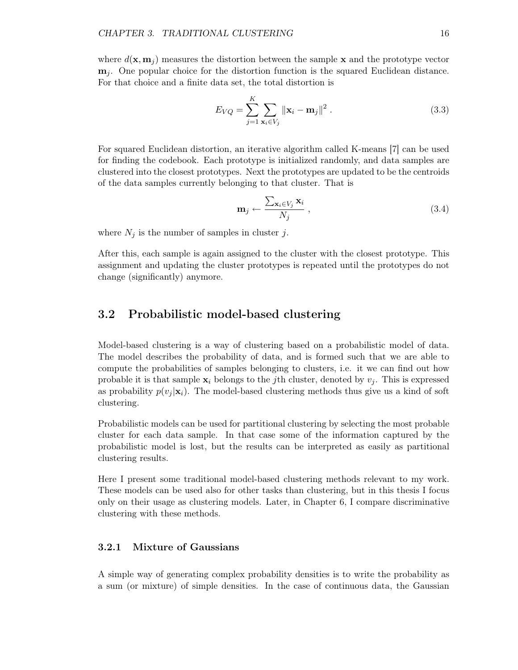where  $d(\mathbf{x}, \mathbf{m}_i)$  measures the distortion between the sample **x** and the prototype vector  $m_i$ . One popular choice for the distortion function is the squared Euclidean distance. For that choice and a finite data set, the total distortion is

$$
E_{VQ} = \sum_{j=1}^{K} \sum_{\mathbf{x}_i \in V_j} ||\mathbf{x}_i - \mathbf{m}_j||^2.
$$
 (3.3)

For squared Euclidean distortion, an iterative algorithm called K-means [7] can be used for finding the codebook. Each prototype is initialized randomly, and data samples are clustered into the closest prototypes. Next the prototypes are updated to be the centroids of the data samples currently belonging to that cluster. That is

$$
\mathbf{m}_{j} \leftarrow \frac{\sum_{\mathbf{x}_{i} \in V_{j}} \mathbf{x}_{i}}{N_{j}} \,, \tag{3.4}
$$

where  $N_j$  is the number of samples in cluster j.

After this, each sample is again assigned to the cluster with the closest prototype. This assignment and updating the cluster prototypes is repeated until the prototypes do not change (significantly) anymore.

### 3.2 Probabilistic model-based clustering

Model-based clustering is a way of clustering based on a probabilistic model of data. The model describes the probability of data, and is formed such that we are able to compute the probabilities of samples belonging to clusters, i.e. it we can find out how probable it is that sample  $\mathbf{x}_i$  belongs to the *j*th cluster, denoted by  $v_i$ . This is expressed as probability  $p(v_i | \mathbf{x}_i)$ . The model-based clustering methods thus give us a kind of soft clustering.

Probabilistic models can be used for partitional clustering by selecting the most probable cluster for each data sample. In that case some of the information captured by the probabilistic model is lost, but the results can be interpreted as easily as partitional clustering results.

Here I present some traditional model-based clustering methods relevant to my work. These models can be used also for other tasks than clustering, but in this thesis I focus only on their usage as clustering models. Later, in Chapter 6, I compare discriminative clustering with these methods.

#### 3.2.1 Mixture of Gaussians

A simple way of generating complex probability densities is to write the probability as a sum (or mixture) of simple densities. In the case of continuous data, the Gaussian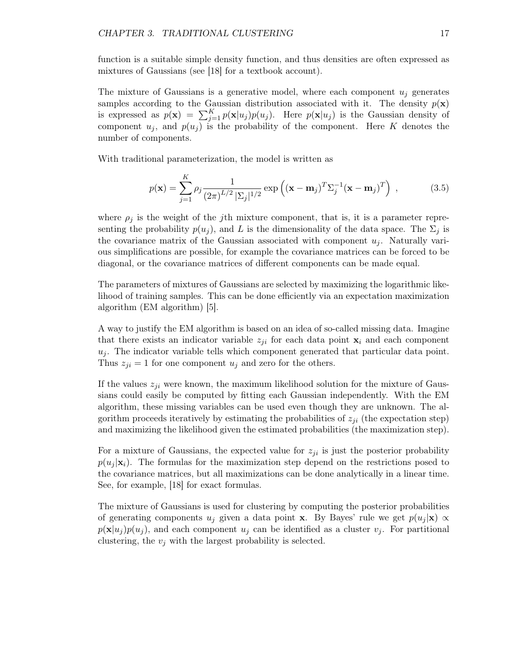function is a suitable simple density function, and thus densities are often expressed as mixtures of Gaussians (see [18] for a textbook account).

The mixture of Gaussians is a generative model, where each component  $u_i$  generates samples according to the Gaussian distribution associated with it. The density  $p(\mathbf{x})$ is expressed as  $p(\mathbf{x}) = \sum_{j=1}^{K} p(\mathbf{x}|u_j)p(u_j)$ . Here  $p(\mathbf{x}|u_j)$  is the Gaussian density of component  $u_j$ , and  $p(u_j)$  is the probability of the component. Here K denotes the number of components.

With traditional parameterization, the model is written as

$$
p(\mathbf{x}) = \sum_{j=1}^{K} \rho_j \frac{1}{(2\pi)^{L/2} |\Sigma_j|^{1/2}} \exp\left((\mathbf{x} - \mathbf{m}_j)^T \Sigma_j^{-1} (\mathbf{x} - \mathbf{m}_j)^T\right) , \qquad (3.5)
$$

where  $\rho_j$  is the weight of the *j*th mixture component, that is, it is a parameter representing the probability  $p(u_i)$ , and L is the dimensionality of the data space. The  $\Sigma_i$  is the covariance matrix of the Gaussian associated with component  $u_j$ . Naturally various simplifications are possible, for example the covariance matrices can be forced to be diagonal, or the covariance matrices of different components can be made equal.

The parameters of mixtures of Gaussians are selected by maximizing the logarithmic likelihood of training samples. This can be done efficiently via an expectation maximization algorithm (EM algorithm) [5].

A way to justify the EM algorithm is based on an idea of so-called missing data. Imagine that there exists an indicator variable  $z_{ji}$  for each data point  $x_i$  and each component  $u_j$ . The indicator variable tells which component generated that particular data point. Thus  $z_{ji} = 1$  for one component  $u_j$  and zero for the others.

If the values  $z_{ji}$  were known, the maximum likelihood solution for the mixture of Gaussians could easily be computed by fitting each Gaussian independently. With the EM algorithm, these missing variables can be used even though they are unknown. The algorithm proceeds iteratively by estimating the probabilities of  $z_{ji}$  (the expectation step) and maximizing the likelihood given the estimated probabilities (the maximization step).

For a mixture of Gaussians, the expected value for  $z_{ji}$  is just the posterior probability  $p(u_i|\mathbf{x}_i)$ . The formulas for the maximization step depend on the restrictions posed to the covariance matrices, but all maximizations can be done analytically in a linear time. See, for example, [18] for exact formulas.

The mixture of Gaussians is used for clustering by computing the posterior probabilities of generating components  $u_j$  given a data point x. By Bayes' rule we get  $p(u_j | \mathbf{x}) \propto$  $p(\mathbf{x}|u_j)p(u_j)$ , and each component  $u_j$  can be identified as a cluster  $v_j$ . For partitional clustering, the  $v_i$  with the largest probability is selected.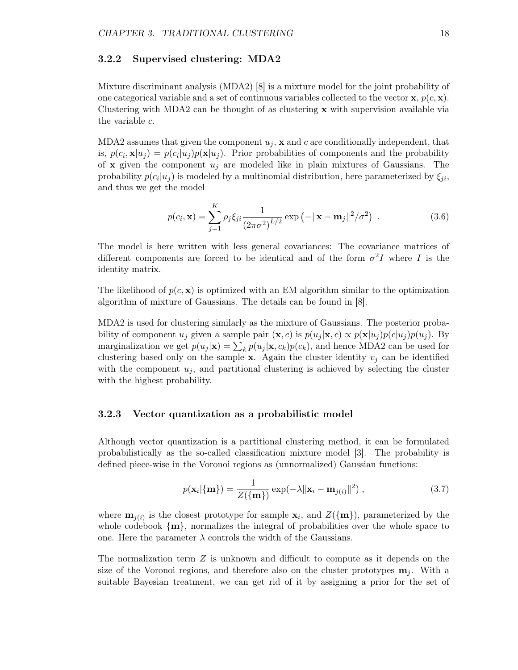#### 3.2.2 Supervised clustering: MDA2

Mixture discriminant analysis (MDA2) [8] is a mixture model for the joint probability of one categorical variable and a set of continuous variables collected to the vector  $\mathbf{x}, p(c, \mathbf{x})$ . Clustering with MDA2 can be thought of as clustering  $x$  with supervision available via the variable c.

MDA2 assumes that given the component  $u_j$ ,  $\bf{x}$  and c are conditionally independent, that is,  $p(c_i, \mathbf{x}|u_j) = p(c_i|u_j)p(\mathbf{x}|u_j)$ . Prior probabilities of components and the probability of **x** given the component  $u_j$  are modeled like in plain mixtures of Gaussians. The probability  $p(c_i|u_j)$  is modeled by a multinomial distribution, here parameterized by  $\xi_{ji}$ , and thus we get the model

$$
p(c_i, \mathbf{x}) = \sum_{j=1}^{K} \rho_j \xi_{ji} \frac{1}{(2\pi\sigma^2)^{L/2}} \exp(-\|\mathbf{x} - \mathbf{m}_j\|^2 / \sigma^2) .
$$
 (3.6)

The model is here written with less general covariances: The covariance matrices of different components are forced to be identical and of the form  $\sigma^2 I$  where I is the identity matrix.

The likelihood of  $p(c, x)$  is optimized with an EM algorithm similar to the optimization algorithm of mixture of Gaussians. The details can be found in [8].

MDA2 is used for clustering similarly as the mixture of Gaussians. The posterior probability of component  $u_j$  given a sample pair  $(\mathbf{x}, c)$  is  $p(u_j | \mathbf{x}, c) \propto p(\mathbf{x} | u_j) p(c | u_j) p(u_j)$ . By marginalization we get  $p(u_j|\mathbf{x}) = \sum_k p(u_j|\mathbf{x}, c_k)p(c_k)$ , and hence MDA2 can be used for clustering based only on the sample  $x$ . Again the cluster identity  $v_j$  can be identified with the component  $u_i$ , and partitional clustering is achieved by selecting the cluster with the highest probability.

#### 3.2.3 Vector quantization as a probabilistic model

Although vector quantization is a partitional clustering method, it can be formulated probabilistically as the so-called classification mixture model [3]. The probability is defined piece-wise in the Voronoi regions as (unnormalized) Gaussian functions:

$$
p(\mathbf{x}_i|\{\mathbf{m}\}) = \frac{1}{Z(\{\mathbf{m}\})} \exp(-\lambda \|\mathbf{x}_i - \mathbf{m}_{j(i)}\|^2) ,
$$
 (3.7)

where  $\mathbf{m}_{j(i)}$  is the closest prototype for sample  $\mathbf{x}_i$ , and  $Z(\{\mathbf{m}\})$ , parameterized by the whole codebook  $\{m\}$ , normalizes the integral of probabilities over the whole space to one. Here the parameter  $\lambda$  controls the width of the Gaussians.

The normalization term  $Z$  is unknown and difficult to compute as it depends on the size of the Voronoi regions, and therefore also on the cluster prototypes  $\mathbf{m}_i$ . With a suitable Bayesian treatment, we can get rid of it by assigning a prior for the set of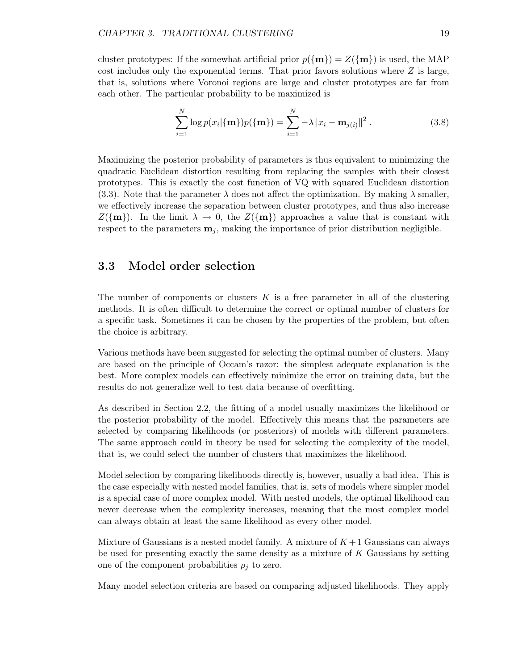cluster prototypes: If the somewhat artificial prior  $p(\{m\}) = Z(\{m\})$  is used, the MAP cost includes only the exponential terms. That prior favors solutions where  $Z$  is large, that is, solutions where Voronoi regions are large and cluster prototypes are far from each other. The particular probability to be maximized is

$$
\sum_{i=1}^{N} \log p(x_i | \{ \mathbf{m} \}) p(\{ \mathbf{m} \}) = \sum_{i=1}^{N} -\lambda ||x_i - \mathbf{m}_{j(i)}||^2.
$$
 (3.8)

Maximizing the posterior probability of parameters is thus equivalent to minimizing the quadratic Euclidean distortion resulting from replacing the samples with their closest prototypes. This is exactly the cost function of VQ with squared Euclidean distortion (3.3). Note that the parameter  $\lambda$  does not affect the optimization. By making  $\lambda$  smaller, we effectively increase the separation between cluster prototypes, and thus also increase  $Z(\{\mathbf{m}\})$ . In the limit  $\lambda \to 0$ , the  $Z(\{\mathbf{m}\})$  approaches a value that is constant with respect to the parameters  $\mathbf{m}_i$ , making the importance of prior distribution negligible.

### 3.3 Model order selection

The number of components or clusters  $K$  is a free parameter in all of the clustering methods. It is often difficult to determine the correct or optimal number of clusters for a specific task. Sometimes it can be chosen by the properties of the problem, but often the choice is arbitrary.

Various methods have been suggested for selecting the optimal number of clusters. Many are based on the principle of Occam's razor: the simplest adequate explanation is the best. More complex models can effectively minimize the error on training data, but the results do not generalize well to test data because of overfitting.

As described in Section 2.2, the fitting of a model usually maximizes the likelihood or the posterior probability of the model. Effectively this means that the parameters are selected by comparing likelihoods (or posteriors) of models with different parameters. The same approach could in theory be used for selecting the complexity of the model, that is, we could select the number of clusters that maximizes the likelihood.

Model selection by comparing likelihoods directly is, however, usually a bad idea. This is the case especially with nested model families, that is, sets of models where simpler model is a special case of more complex model. With nested models, the optimal likelihood can never decrease when the complexity increases, meaning that the most complex model can always obtain at least the same likelihood as every other model.

Mixture of Gaussians is a nested model family. A mixture of  $K+1$  Gaussians can always be used for presenting exactly the same density as a mixture of  $K$  Gaussians by setting one of the component probabilities  $\rho_i$  to zero.

Many model selection criteria are based on comparing adjusted likelihoods. They apply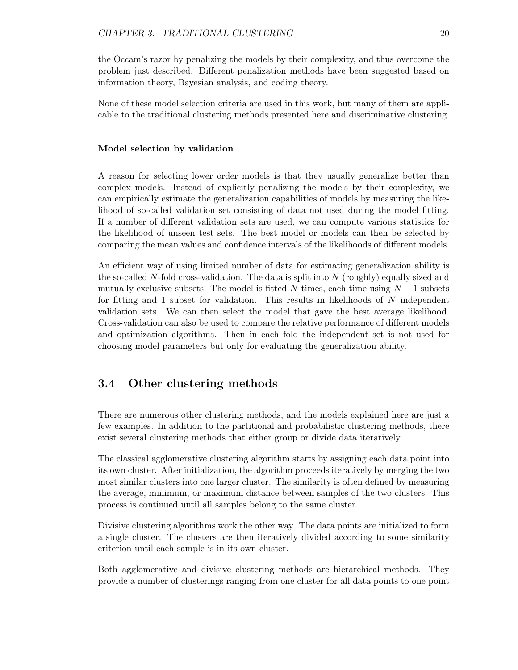the Occam's razor by penalizing the models by their complexity, and thus overcome the problem just described. Different penalization methods have been suggested based on information theory, Bayesian analysis, and coding theory.

None of these model selection criteria are used in this work, but many of them are applicable to the traditional clustering methods presented here and discriminative clustering.

#### Model selection by validation

A reason for selecting lower order models is that they usually generalize better than complex models. Instead of explicitly penalizing the models by their complexity, we can empirically estimate the generalization capabilities of models by measuring the likelihood of so-called validation set consisting of data not used during the model fitting. If a number of different validation sets are used, we can compute various statistics for the likelihood of unseen test sets. The best model or models can then be selected by comparing the mean values and confidence intervals of the likelihoods of different models.

An efficient way of using limited number of data for estimating generalization ability is the so-called N-fold cross-validation. The data is split into  $N$  (roughly) equally sized and mutually exclusive subsets. The model is fitted N times, each time using  $N-1$  subsets for fitting and 1 subset for validation. This results in likelihoods of  $N$  independent validation sets. We can then select the model that gave the best average likelihood. Cross-validation can also be used to compare the relative performance of different models and optimization algorithms. Then in each fold the independent set is not used for choosing model parameters but only for evaluating the generalization ability.

## 3.4 Other clustering methods

There are numerous other clustering methods, and the models explained here are just a few examples. In addition to the partitional and probabilistic clustering methods, there exist several clustering methods that either group or divide data iteratively.

The classical agglomerative clustering algorithm starts by assigning each data point into its own cluster. After initialization, the algorithm proceeds iteratively by merging the two most similar clusters into one larger cluster. The similarity is often defined by measuring the average, minimum, or maximum distance between samples of the two clusters. This process is continued until all samples belong to the same cluster.

Divisive clustering algorithms work the other way. The data points are initialized to form a single cluster. The clusters are then iteratively divided according to some similarity criterion until each sample is in its own cluster.

Both agglomerative and divisive clustering methods are hierarchical methods. They provide a number of clusterings ranging from one cluster for all data points to one point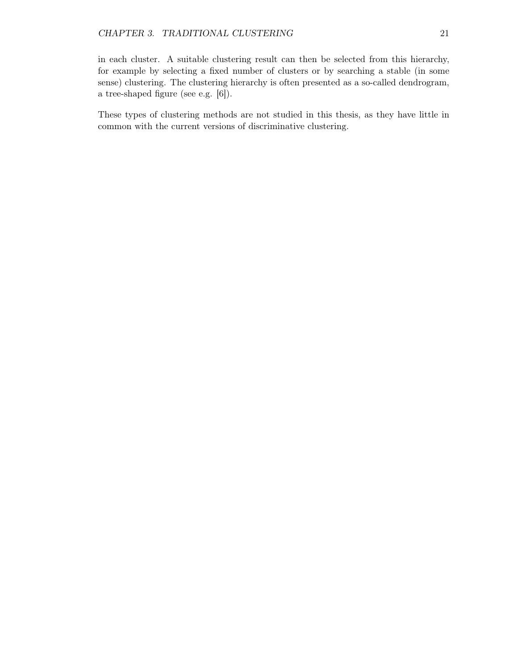in each cluster. A suitable clustering result can then be selected from this hierarchy, for example by selecting a fixed number of clusters or by searching a stable (in some sense) clustering. The clustering hierarchy is often presented as a so-called dendrogram, a tree-shaped figure (see e.g. [6]).

These types of clustering methods are not studied in this thesis, as they have little in common with the current versions of discriminative clustering.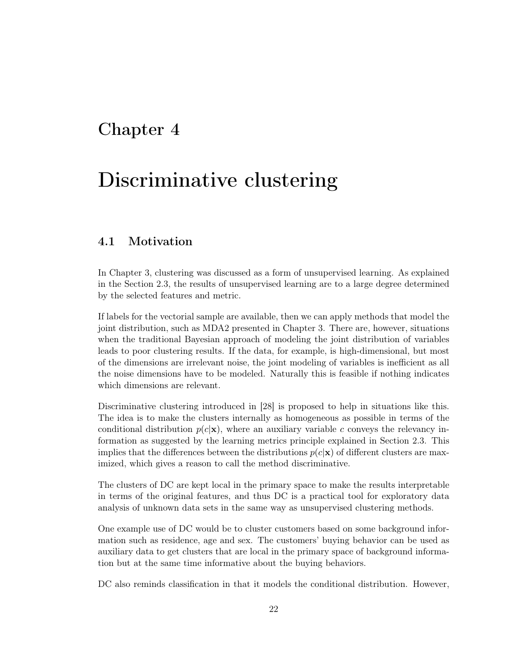# Chapter 4

# Discriminative clustering

# 4.1 Motivation

In Chapter 3, clustering was discussed as a form of unsupervised learning. As explained in the Section 2.3, the results of unsupervised learning are to a large degree determined by the selected features and metric.

If labels for the vectorial sample are available, then we can apply methods that model the joint distribution, such as MDA2 presented in Chapter 3. There are, however, situations when the traditional Bayesian approach of modeling the joint distribution of variables leads to poor clustering results. If the data, for example, is high-dimensional, but most of the dimensions are irrelevant noise, the joint modeling of variables is inefficient as all the noise dimensions have to be modeled. Naturally this is feasible if nothing indicates which dimensions are relevant.

Discriminative clustering introduced in [28] is proposed to help in situations like this. The idea is to make the clusters internally as homogeneous as possible in terms of the conditional distribution  $p(c|\mathbf{x})$ , where an auxiliary variable c conveys the relevancy information as suggested by the learning metrics principle explained in Section 2.3. This implies that the differences between the distributions  $p(c|\mathbf{x})$  of different clusters are maximized, which gives a reason to call the method discriminative.

The clusters of DC are kept local in the primary space to make the results interpretable in terms of the original features, and thus DC is a practical tool for exploratory data analysis of unknown data sets in the same way as unsupervised clustering methods.

One example use of DC would be to cluster customers based on some background information such as residence, age and sex. The customers' buying behavior can be used as auxiliary data to get clusters that are local in the primary space of background information but at the same time informative about the buying behaviors.

DC also reminds classification in that it models the conditional distribution. However,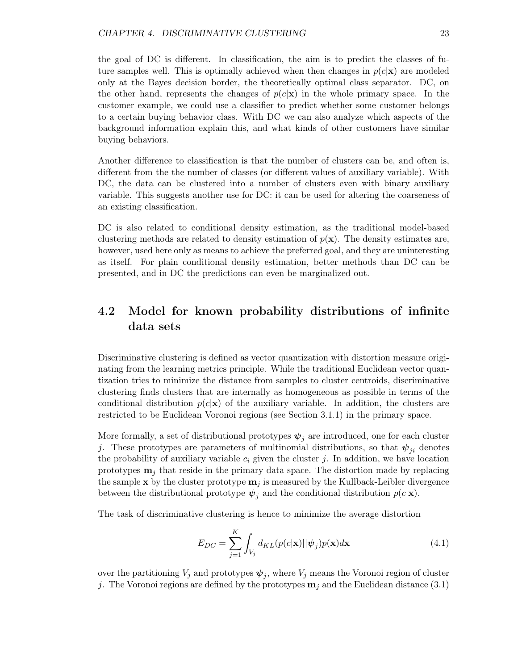the goal of DC is different. In classification, the aim is to predict the classes of future samples well. This is optimally achieved when then changes in  $p(c|\mathbf{x})$  are modeled only at the Bayes decision border, the theoretically optimal class separator. DC, on the other hand, represents the changes of  $p(c|\mathbf{x})$  in the whole primary space. In the customer example, we could use a classifier to predict whether some customer belongs to a certain buying behavior class. With DC we can also analyze which aspects of the background information explain this, and what kinds of other customers have similar buying behaviors.

Another difference to classification is that the number of clusters can be, and often is, different from the the number of classes (or different values of auxiliary variable). With DC, the data can be clustered into a number of clusters even with binary auxiliary variable. This suggests another use for DC: it can be used for altering the coarseness of an existing classification.

DC is also related to conditional density estimation, as the traditional model-based clustering methods are related to density estimation of  $p(x)$ . The density estimates are, however, used here only as means to achieve the preferred goal, and they are uninteresting as itself. For plain conditional density estimation, better methods than DC can be presented, and in DC the predictions can even be marginalized out.

# 4.2 Model for known probability distributions of infinite data sets

Discriminative clustering is defined as vector quantization with distortion measure originating from the learning metrics principle. While the traditional Euclidean vector quantization tries to minimize the distance from samples to cluster centroids, discriminative clustering finds clusters that are internally as homogeneous as possible in terms of the conditional distribution  $p(c|\mathbf{x})$  of the auxiliary variable. In addition, the clusters are restricted to be Euclidean Voronoi regions (see Section 3.1.1) in the primary space.

More formally, a set of distributional prototypes  $\psi_j$  are introduced, one for each cluster j. These prototypes are parameters of multinomial distributions, so that  $\psi_{ji}$  denotes the probability of auxiliary variable  $c_i$  given the cluster j. In addition, we have location prototypes  $\mathbf{m}_i$  that reside in the primary data space. The distortion made by replacing the sample x by the cluster prototype  $\mathbf{m}_j$  is measured by the Kullback-Leibler divergence between the distributional prototype  $\psi_j$  and the conditional distribution  $p(c|\mathbf{x})$ .

The task of discriminative clustering is hence to minimize the average distortion

$$
E_{DC} = \sum_{j=1}^{K} \int_{V_j} d_{KL}(p(c|\mathbf{x})||\boldsymbol{\psi}_j)p(\mathbf{x})d\mathbf{x}
$$
\n(4.1)

over the partitioning  $V_j$  and prototypes  $\psi_j$ , where  $V_j$  means the Voronoi region of cluster j. The Voronoi regions are defined by the prototypes  $\mathbf{m}_i$  and the Euclidean distance (3.1)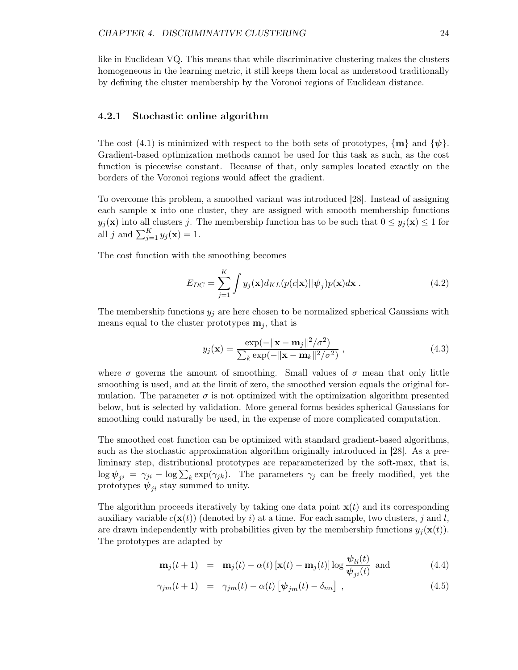like in Euclidean VQ. This means that while discriminative clustering makes the clusters homogeneous in the learning metric, it still keeps them local as understood traditionally by defining the cluster membership by the Voronoi regions of Euclidean distance.

#### 4.2.1 Stochastic online algorithm

The cost (4.1) is minimized with respect to the both sets of prototypes,  $\{m\}$  and  $\{\psi\}$ . Gradient-based optimization methods cannot be used for this task as such, as the cost function is piecewise constant. Because of that, only samples located exactly on the borders of the Voronoi regions would affect the gradient.

To overcome this problem, a smoothed variant was introduced [28]. Instead of assigning each sample  $x$  into one cluster, they are assigned with smooth membership functions  $y_j(\mathbf{x})$  into all clusters j. The membership function has to be such that  $0 \le y_j(\mathbf{x}) \le 1$  for all j and  $\sum_{j=1}^{K} y_j(\mathbf{x}) = 1$ .

The cost function with the smoothing becomes

$$
E_{DC} = \sum_{j=1}^{K} \int y_j(\mathbf{x}) d_{KL}(p(c|\mathbf{x}) || \boldsymbol{\psi}_j) p(\mathbf{x}) d\mathbf{x} . \qquad (4.2)
$$

The membership functions  $y_j$  are here chosen to be normalized spherical Gaussians with means equal to the cluster prototypes  $\mathbf{m}_i$ , that is

$$
y_j(\mathbf{x}) = \frac{\exp(-\|\mathbf{x} - \mathbf{m}_j\|^2/\sigma^2)}{\sum_k \exp(-\|\mathbf{x} - \mathbf{m}_k\|^2/\sigma^2)},
$$
\n(4.3)

where  $\sigma$  governs the amount of smoothing. Small values of  $\sigma$  mean that only little smoothing is used, and at the limit of zero, the smoothed version equals the original formulation. The parameter  $\sigma$  is not optimized with the optimization algorithm presented below, but is selected by validation. More general forms besides spherical Gaussians for smoothing could naturally be used, in the expense of more complicated computation.

The smoothed cost function can be optimized with standard gradient-based algorithms, such as the stochastic approximation algorithm originally introduced in [28]. As a preliminary step, distributional prototypes are reparameterized by the soft-max, that is,  $\log \psi_{ji} = \gamma_{ji} - \log \sum_k \exp(\gamma_{jk})$ . The parameters  $\gamma_j$  can be freely modified, yet the prototypes  $\psi_{ji}$  stay summed to unity.

The algorithm proceeds iteratively by taking one data point  $\mathbf{x}(t)$  and its corresponding auxiliary variable  $c(\mathbf{x}(t))$  (denoted by i) at a time. For each sample, two clusters, j and l, are drawn independently with probabilities given by the membership functions  $y_i(\mathbf{x}(t))$ . The prototypes are adapted by

$$
\mathbf{m}_{j}(t+1) = \mathbf{m}_{j}(t) - \alpha(t) [\mathbf{x}(t) - \mathbf{m}_{j}(t)] \log \frac{\psi_{li}(t)}{\psi_{ji}(t)} \text{ and } (4.4)
$$

$$
\gamma_{jm}(t+1) = \gamma_{jm}(t) - \alpha(t) \left[ \psi_{jm}(t) - \delta_{mi} \right] , \qquad (4.5)
$$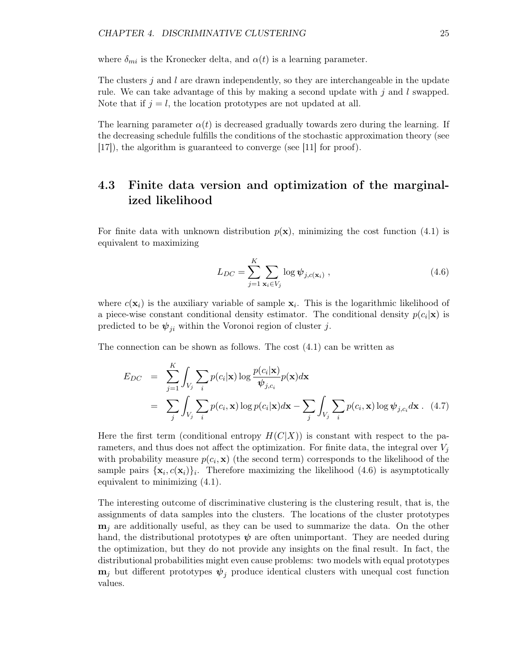where  $\delta_{mi}$  is the Kronecker delta, and  $\alpha(t)$  is a learning parameter.

The clusters j and l are drawn independently, so they are interchangeable in the update rule. We can take advantage of this by making a second update with  $j$  and  $l$  swapped. Note that if  $j = l$ , the location prototypes are not updated at all.

The learning parameter  $\alpha(t)$  is decreased gradually towards zero during the learning. If the decreasing schedule fulfills the conditions of the stochastic approximation theory (see [17]), the algorithm is guaranteed to converge (see [11] for proof).

# 4.3 Finite data version and optimization of the marginalized likelihood

For finite data with unknown distribution  $p(x)$ , minimizing the cost function (4.1) is equivalent to maximizing

$$
L_{DC} = \sum_{j=1}^{K} \sum_{\mathbf{x}_i \in V_j} \log \psi_{j,c(\mathbf{x}_i)},
$$
\n(4.6)

where  $c(\mathbf{x}_i)$  is the auxiliary variable of sample  $\mathbf{x}_i$ . This is the logarithmic likelihood of a piece-wise constant conditional density estimator. The conditional density  $p(c_i|\mathbf{x})$  is predicted to be  $\psi_{ji}$  within the Voronoi region of cluster j.

The connection can be shown as follows. The cost (4.1) can be written as

$$
E_{DC} = \sum_{j=1}^{K} \int_{V_j} \sum_{i} p(c_i|\mathbf{x}) \log \frac{p(c_i|\mathbf{x})}{\psi_{j,c_i}} p(\mathbf{x}) d\mathbf{x}
$$
  
= 
$$
\sum_{j} \int_{V_j} \sum_{i} p(c_i, \mathbf{x}) \log p(c_i|\mathbf{x}) d\mathbf{x} - \sum_{j} \int_{V_j} \sum_{i} p(c_i, \mathbf{x}) \log \psi_{j,c_i} d\mathbf{x}.
$$
 (4.7)

Here the first term (conditional entropy  $H(C|X)$ ) is constant with respect to the parameters, and thus does not affect the optimization. For finite data, the integral over  $V_j$ with probability measure  $p(c_i, \mathbf{x})$  (the second term) corresponds to the likelihood of the sample pairs  $\{x_i, c(x_i)\}\$ . Therefore maximizing the likelihood (4.6) is asymptotically equivalent to minimizing (4.1).

The interesting outcome of discriminative clustering is the clustering result, that is, the assignments of data samples into the clusters. The locations of the cluster prototypes  $m_i$  are additionally useful, as they can be used to summarize the data. On the other hand, the distributional prototypes  $\psi$  are often unimportant. They are needed during the optimization, but they do not provide any insights on the final result. In fact, the distributional probabilities might even cause problems: two models with equal prototypes  $m_j$  but different prototypes  $\psi_j$  produce identical clusters with unequal cost function values.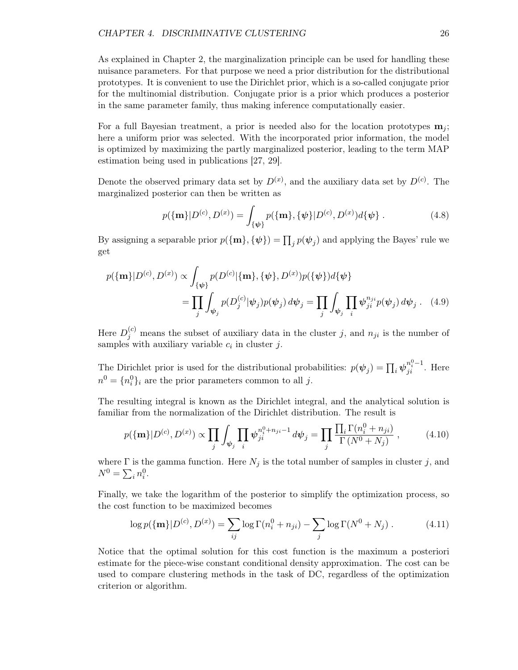As explained in Chapter 2, the marginalization principle can be used for handling these nuisance parameters. For that purpose we need a prior distribution for the distributional prototypes. It is convenient to use the Dirichlet prior, which is a so-called conjugate prior for the multinomial distribution. Conjugate prior is a prior which produces a posterior in the same parameter family, thus making inference computationally easier.

For a full Bayesian treatment, a prior is needed also for the location prototypes  $\mathbf{m}_i$ ; here a uniform prior was selected. With the incorporated prior information, the model is optimized by maximizing the partly marginalized posterior, leading to the term MAP estimation being used in publications [27, 29].

Denote the observed primary data set by  $D^{(x)}$ , and the auxiliary data set by  $D^{(c)}$ . The marginalized posterior can then be written as

$$
p(\{\mathbf{m}\}|D^{(c)}, D^{(x)}) = \int_{\{\psi\}} p(\{\mathbf{m}\}, \{\psi\}|D^{(c)}, D^{(x)})d\{\psi\}.
$$
 (4.8)

By assigning a separable prior  $p(\{\mathbf{m}\}, \{\psi\}) = \prod_j p(\psi_j)$  and applying the Bayes' rule we get

$$
p(\{\mathbf{m}\}|D^{(c)}, D^{(x)}) \propto \int_{\{\psi\}} p(D^{(c)}|\{\mathbf{m}\}, \{\psi\}, D^{(x)}) p(\{\psi\}) d\{\psi\}
$$
  
= 
$$
\prod_j \int_{\psi_j} p(D_j^{(c)}|\psi_j) p(\psi_j) d\psi_j = \prod_j \int_{\psi_j} \prod_i \psi_{ji}^{n_{ji}} p(\psi_j) d\psi_j
$$
 (4.9)

Here  $D_j^{(c)}$  means the subset of auxiliary data in the cluster j, and  $n_{ji}$  is the number of samples with auxiliary variable  $c_i$  in cluster j.

The Dirichlet prior is used for the distributional probabilities:  $p(\psi_j) = \prod_i \psi_{ji}^{n_i^0 - 1}$ . Here  $n^0 = \{n_i^0\}_i$  are the prior parameters common to all j.

The resulting integral is known as the Dirichlet integral, and the analytical solution is familiar from the normalization of the Dirichlet distribution. The result is

$$
p(\{\mathbf{m}\}|D^{(c)}, D^{(x)}) \propto \prod_j \int_{\psi_j} \prod_i \psi_{ji}^{n_i^0 + n_{ji} - 1} d\psi_j = \prod_j \frac{\prod_i \Gamma(n_i^0 + n_{ji})}{\Gamma(N^0 + N_j)}, \tag{4.10}
$$

where  $\Gamma$  is the gamma function. Here  $N_j$  is the total number of samples in cluster j, and  $N^0 = \sum_i n_i^0$ .

Finally, we take the logarithm of the posterior to simplify the optimization process, so the cost function to be maximized becomes

$$
\log p(\{\mathbf{m}\}|D^{(c)}, D^{(x)}) = \sum_{ij} \log \Gamma(n_i^0 + n_{ji}) - \sum_j \log \Gamma(N^0 + N_j) . \tag{4.11}
$$

Notice that the optimal solution for this cost function is the maximum a posteriori estimate for the piece-wise constant conditional density approximation. The cost can be used to compare clustering methods in the task of DC, regardless of the optimization criterion or algorithm.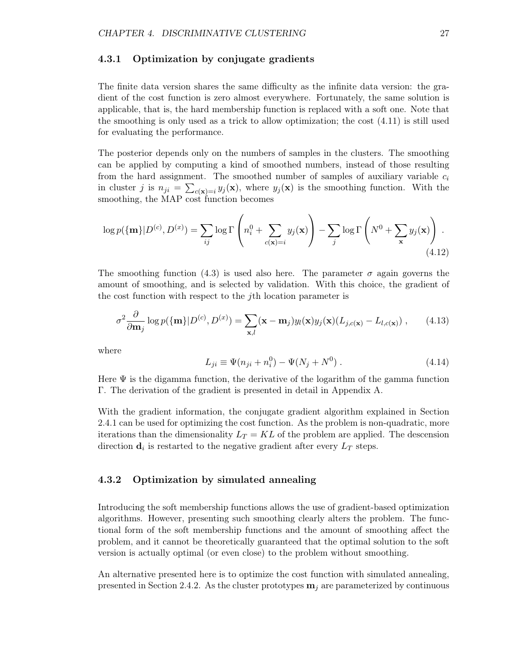#### 4.3.1 Optimization by conjugate gradients

The finite data version shares the same difficulty as the infinite data version: the gradient of the cost function is zero almost everywhere. Fortunately, the same solution is applicable, that is, the hard membership function is replaced with a soft one. Note that the smoothing is only used as a trick to allow optimization; the cost (4.11) is still used for evaluating the performance.

The posterior depends only on the numbers of samples in the clusters. The smoothing can be applied by computing a kind of smoothed numbers, instead of those resulting from the hard assignment. The smoothed number of samples of auxiliary variable  $c_i$ in cluster j is  $n_{ji} = \sum_{c(\mathbf{x})=i} y_j(\mathbf{x})$ , where  $y_j(\mathbf{x})$  is the smoothing function. With the smoothing, the MAP cost function becomes

$$
\log p(\{\mathbf{m}\}|D^{(c)}, D^{(x)}) = \sum_{ij} \log \Gamma\left(n_i^0 + \sum_{c(\mathbf{x})=i} y_j(\mathbf{x})\right) - \sum_j \log \Gamma\left(N^0 + \sum_{\mathbf{x}} y_j(\mathbf{x})\right).
$$
\n(4.12)

The smoothing function (4.3) is used also here. The parameter  $\sigma$  again governs the amount of smoothing, and is selected by validation. With this choice, the gradient of the cost function with respect to the jth location parameter is

$$
\sigma^2 \frac{\partial}{\partial \mathbf{m}_j} \log p(\{\mathbf{m}\}|D^{(c)}, D^{(x)}) = \sum_{\mathbf{x},l} (\mathbf{x} - \mathbf{m}_j) y_l(\mathbf{x}) y_j(\mathbf{x}) (L_{j,c(\mathbf{x})} - L_{l,c(\mathbf{x})}), \qquad (4.13)
$$

where

$$
L_{ji} \equiv \Psi(n_{ji} + n_i^0) - \Psi(N_j + N^0) \,. \tag{4.14}
$$

Here  $\Psi$  is the digamma function, the derivative of the logarithm of the gamma function Γ. The derivation of the gradient is presented in detail in Appendix A.

With the gradient information, the conjugate gradient algorithm explained in Section 2.4.1 can be used for optimizing the cost function. As the problem is non-quadratic, more iterations than the dimensionality  $L_T = KL$  of the problem are applied. The descension direction  $\mathbf{d}_i$  is restarted to the negative gradient after every  $L_T$  steps.

#### 4.3.2 Optimization by simulated annealing

Introducing the soft membership functions allows the use of gradient-based optimization algorithms. However, presenting such smoothing clearly alters the problem. The functional form of the soft membership functions and the amount of smoothing affect the problem, and it cannot be theoretically guaranteed that the optimal solution to the soft version is actually optimal (or even close) to the problem without smoothing.

An alternative presented here is to optimize the cost function with simulated annealing, presented in Section 2.4.2. As the cluster prototypes  $\mathbf{m}_i$  are parameterized by continuous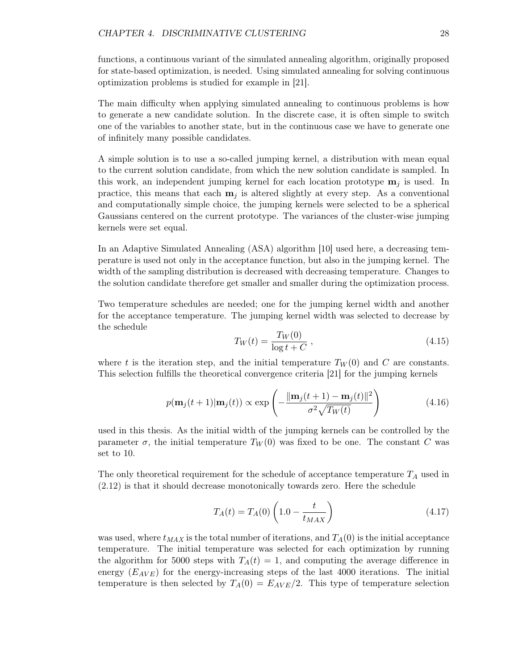functions, a continuous variant of the simulated annealing algorithm, originally proposed for state-based optimization, is needed. Using simulated annealing for solving continuous optimization problems is studied for example in [21].

The main difficulty when applying simulated annealing to continuous problems is how to generate a new candidate solution. In the discrete case, it is often simple to switch one of the variables to another state, but in the continuous case we have to generate one of infinitely many possible candidates.

A simple solution is to use a so-called jumping kernel, a distribution with mean equal to the current solution candidate, from which the new solution candidate is sampled. In this work, an independent jumping kernel for each location prototype  $\mathbf{m}_i$  is used. In practice, this means that each  $m_i$  is altered slightly at every step. As a conventional and computationally simple choice, the jumping kernels were selected to be a spherical Gaussians centered on the current prototype. The variances of the cluster-wise jumping kernels were set equal.

In an Adaptive Simulated Annealing (ASA) algorithm [10] used here, a decreasing temperature is used not only in the acceptance function, but also in the jumping kernel. The width of the sampling distribution is decreased with decreasing temperature. Changes to the solution candidate therefore get smaller and smaller during the optimization process.

Two temperature schedules are needed; one for the jumping kernel width and another for the acceptance temperature. The jumping kernel width was selected to decrease by the schedule

$$
T_W(t) = \frac{T_W(0)}{\log t + C},
$$
\n(4.15)

where t is the iteration step, and the initial temperature  $T_W(0)$  and C are constants. This selection fulfills the theoretical convergence criteria [21] for the jumping kernels

$$
p(\mathbf{m}_j(t+1)|\mathbf{m}_j(t)) \propto \exp\left(-\frac{\|\mathbf{m}_j(t+1) - \mathbf{m}_j(t)\|^2}{\sigma^2 \sqrt{T_W(t)}}\right)
$$
(4.16)

used in this thesis. As the initial width of the jumping kernels can be controlled by the parameter  $\sigma$ , the initial temperature  $T_W(0)$  was fixed to be one. The constant C was set to 10.

The only theoretical requirement for the schedule of acceptance temperature  $T_A$  used in (2.12) is that it should decrease monotonically towards zero. Here the schedule

$$
T_A(t) = T_A(0) \left( 1.0 - \frac{t}{t_{MAX}} \right)
$$
 (4.17)

was used, where  $t_{MAX}$  is the total number of iterations, and  $T_A(0)$  is the initial acceptance temperature. The initial temperature was selected for each optimization by running the algorithm for 5000 steps with  $T_A(t) = 1$ , and computing the average difference in energy  $(E_{AVE})$  for the energy-increasing steps of the last 4000 iterations. The initial temperature is then selected by  $T_A(0) = E_{AVE}/2$ . This type of temperature selection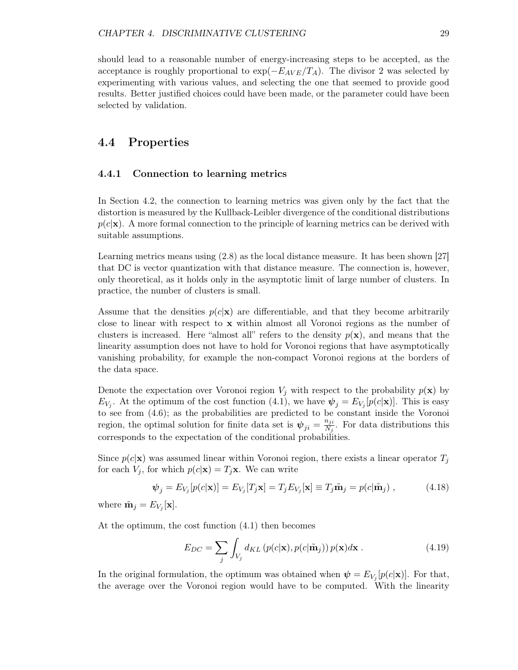should lead to a reasonable number of energy-increasing steps to be accepted, as the acceptance is roughly proportional to  $\exp(-E_{AVE}/T_A)$ . The divisor 2 was selected by experimenting with various values, and selecting the one that seemed to provide good results. Better justified choices could have been made, or the parameter could have been selected by validation.

#### 4.4 Properties

#### 4.4.1 Connection to learning metrics

In Section 4.2, the connection to learning metrics was given only by the fact that the distortion is measured by the Kullback-Leibler divergence of the conditional distributions  $p(c|\mathbf{x})$ . A more formal connection to the principle of learning metrics can be derived with suitable assumptions.

Learning metrics means using (2.8) as the local distance measure. It has been shown [27] that DC is vector quantization with that distance measure. The connection is, however, only theoretical, as it holds only in the asymptotic limit of large number of clusters. In practice, the number of clusters is small.

Assume that the densities  $p(c|\mathbf{x})$  are differentiable, and that they become arbitrarily close to linear with respect to  $x$  within almost all Voronoi regions as the number of clusters is increased. Here "almost all" refers to the density  $p(\mathbf{x})$ , and means that the linearity assumption does not have to hold for Voronoi regions that have asymptotically vanishing probability, for example the non-compact Voronoi regions at the borders of the data space.

Denote the expectation over Voronoi region  $V_j$  with respect to the probability  $p(\mathbf{x})$  by  $E_{V_j}$ . At the optimum of the cost function (4.1), we have  $\psi_j = E_{V_j}[p(c|\mathbf{x})]$ . This is easy to see from (4.6); as the probabilities are predicted to be constant inside the Voronoi region, the optimal solution for finite data set is  $\psi_{ji} = \frac{n_{ji}}{N_i}$  $\frac{n_{ji}}{N_j}$ . For data distributions this corresponds to the expectation of the conditional probabilities.

Since  $p(c|\mathbf{x})$  was assumed linear within Voronoi region, there exists a linear operator  $T_j$ for each  $V_j$ , for which  $p(c|\mathbf{x}) = T_j \mathbf{x}$ . We can write

$$
\boldsymbol{\psi}_j = E_{V_j}[p(c|\mathbf{x})] = E_{V_j}[T_j \mathbf{x}] = T_j E_{V_j}[\mathbf{x}] \equiv T_j \tilde{\mathbf{m}}_j = p(c|\tilde{\mathbf{m}}_j), \qquad (4.18)
$$

where  $\tilde{\mathbf{m}}_j = E_{V_j}[\mathbf{x}].$ 

At the optimum, the cost function (4.1) then becomes

$$
E_{DC} = \sum_{j} \int_{V_j} d_{KL} \left( p(c|\mathbf{x}), p(c|\tilde{\mathbf{n}}_j) \right) p(\mathbf{x}) d\mathbf{x} . \tag{4.19}
$$

In the original formulation, the optimum was obtained when  $\psi = E_{V_j}[p(c|\mathbf{x})]$ . For that, the average over the Voronoi region would have to be computed. With the linearity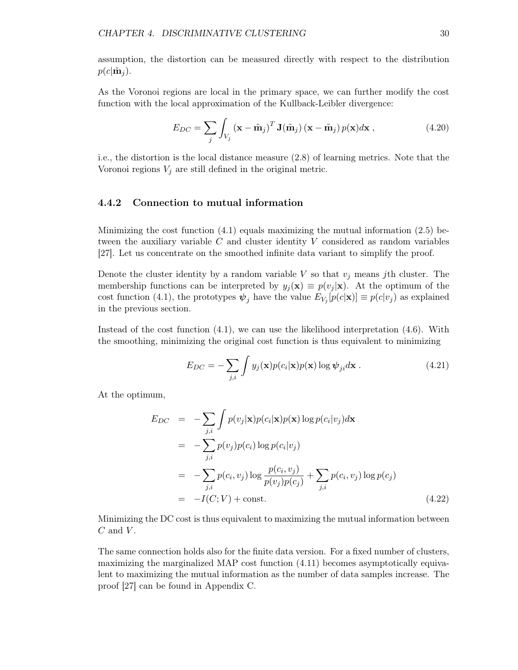assumption, the distortion can be measured directly with respect to the distribution  $p(c|\tilde{\mathbf{m}}_i)$ .

As the Voronoi regions are local in the primary space, we can further modify the cost function with the local approximation of the Kullback-Leibler divergence:

$$
E_{DC} = \sum_{j} \int_{V_j} (\mathbf{x} - \tilde{\mathbf{m}}_j)^T \mathbf{J}(\tilde{\mathbf{m}}_j) (\mathbf{x} - \tilde{\mathbf{m}}_j) p(\mathbf{x}) d\mathbf{x},
$$
\n(4.20)

i.e., the distortion is the local distance measure (2.8) of learning metrics. Note that the Voronoi regions  $V_i$  are still defined in the original metric.

#### 4.4.2 Connection to mutual information

Minimizing the cost function  $(4.1)$  equals maximizing the mutual information  $(2.5)$  between the auxiliary variable  $C$  and cluster identity  $V$  considered as random variables [27]. Let us concentrate on the smoothed infinite data variant to simplify the proof.

Denote the cluster identity by a random variable V so that  $v_j$  means jth cluster. The membership functions can be interpreted by  $y_j(\mathbf{x}) \equiv p(v_j | \mathbf{x})$ . At the optimum of the cost function (4.1), the prototypes  $\psi_j$  have the value  $E_{V_j}[p(c|\mathbf{x})] \equiv p(c|v_j)$  as explained in the previous section.

Instead of the cost function  $(4.1)$ , we can use the likelihood interpretation  $(4.6)$ . With the smoothing, minimizing the original cost function is thus equivalent to minimizing

$$
E_{DC} = -\sum_{j,i} \int y_j(\mathbf{x}) p(c_i|\mathbf{x}) p(\mathbf{x}) \log \psi_{ji} d\mathbf{x} . \qquad (4.21)
$$

At the optimum,

$$
E_{DC} = -\sum_{j,i} \int p(v_j|\mathbf{x})p(c_i|\mathbf{x})p(\mathbf{x})\log p(c_i|v_j) d\mathbf{x}
$$
  
\n
$$
= -\sum_{j,i} p(v_j)p(c_i)\log p(c_i|v_j)
$$
  
\n
$$
= -\sum_{j,i} p(c_i, v_j)\log \frac{p(c_i, v_j)}{p(v_j)p(c_j)} + \sum_{j,i} p(c_i, v_j)\log p(c_j)
$$
  
\n
$$
= -I(C;V) + \text{const.}
$$
 (4.22)

Minimizing the DC cost is thus equivalent to maximizing the mutual information between  $C$  and  $V$ .

The same connection holds also for the finite data version. For a fixed number of clusters, maximizing the marginalized MAP cost function (4.11) becomes asymptotically equivalent to maximizing the mutual information as the number of data samples increase. The proof [27] can be found in Appendix C.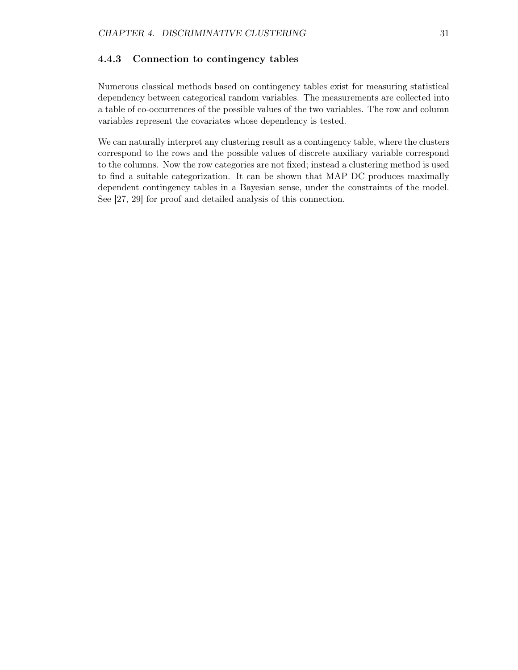#### 4.4.3 Connection to contingency tables

Numerous classical methods based on contingency tables exist for measuring statistical dependency between categorical random variables. The measurements are collected into a table of co-occurrences of the possible values of the two variables. The row and column variables represent the covariates whose dependency is tested.

We can naturally interpret any clustering result as a contingency table, where the clusters correspond to the rows and the possible values of discrete auxiliary variable correspond to the columns. Now the row categories are not fixed; instead a clustering method is used to find a suitable categorization. It can be shown that MAP DC produces maximally dependent contingency tables in a Bayesian sense, under the constraints of the model. See [27, 29] for proof and detailed analysis of this connection.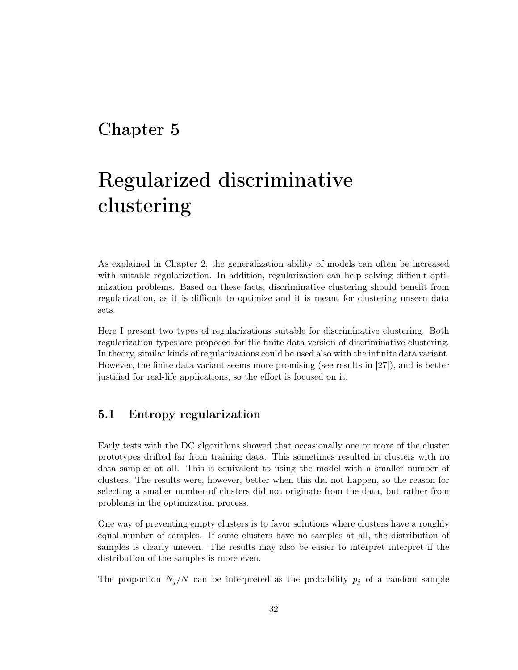## Chapter 5

# Regularized discriminative clustering

As explained in Chapter 2, the generalization ability of models can often be increased with suitable regularization. In addition, regularization can help solving difficult optimization problems. Based on these facts, discriminative clustering should benefit from regularization, as it is difficult to optimize and it is meant for clustering unseen data sets.

Here I present two types of regularizations suitable for discriminative clustering. Both regularization types are proposed for the finite data version of discriminative clustering. In theory, similar kinds of regularizations could be used also with the infinite data variant. However, the finite data variant seems more promising (see results in [27]), and is better justified for real-life applications, so the effort is focused on it.

## 5.1 Entropy regularization

Early tests with the DC algorithms showed that occasionally one or more of the cluster prototypes drifted far from training data. This sometimes resulted in clusters with no data samples at all. This is equivalent to using the model with a smaller number of clusters. The results were, however, better when this did not happen, so the reason for selecting a smaller number of clusters did not originate from the data, but rather from problems in the optimization process.

One way of preventing empty clusters is to favor solutions where clusters have a roughly equal number of samples. If some clusters have no samples at all, the distribution of samples is clearly uneven. The results may also be easier to interpret interpret if the distribution of the samples is more even.

The proportion  $N_j/N$  can be interpreted as the probability  $p_j$  of a random sample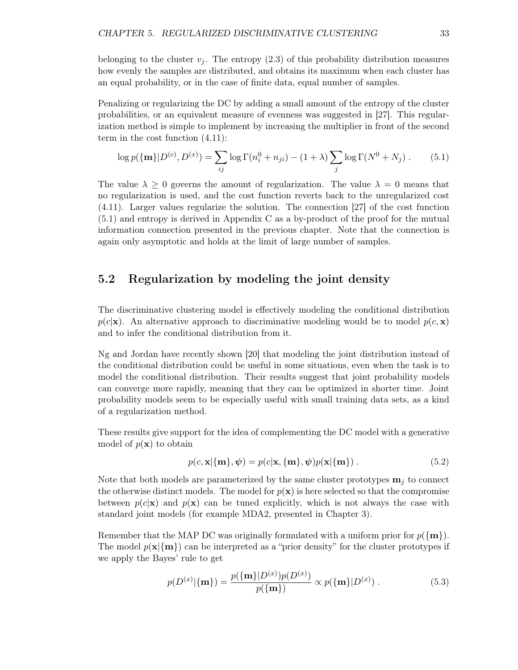belonging to the cluster  $v_i$ . The entropy (2.3) of this probability distribution measures how evenly the samples are distributed, and obtains its maximum when each cluster has an equal probability, or in the case of finite data, equal number of samples.

Penalizing or regularizing the DC by adding a small amount of the entropy of the cluster probabilities, or an equivalent measure of evenness was suggested in [27]. This regularization method is simple to implement by increasing the multiplier in front of the second term in the cost function (4.11):

$$
\log p(\{\mathbf{m}\}|D^{(c)}, D^{(x)}) = \sum_{ij} \log \Gamma(n_i^0 + n_{ji}) - (1 + \lambda) \sum_j \log \Gamma(N^0 + N_j) . \tag{5.1}
$$

The value  $\lambda \geq 0$  governs the amount of regularization. The value  $\lambda = 0$  means that no regularization is used, and the cost function reverts back to the unregularized cost (4.11). Larger values regularize the solution. The connection [27] of the cost function (5.1) and entropy is derived in Appendix C as a by-product of the proof for the mutual information connection presented in the previous chapter. Note that the connection is again only asymptotic and holds at the limit of large number of samples.

## 5.2 Regularization by modeling the joint density

The discriminative clustering model is effectively modeling the conditional distribution  $p(c|\mathbf{x})$ . An alternative approach to discriminative modeling would be to model  $p(c, \mathbf{x})$ and to infer the conditional distribution from it.

Ng and Jordan have recently shown [20] that modeling the joint distribution instead of the conditional distribution could be useful in some situations, even when the task is to model the conditional distribution. Their results suggest that joint probability models can converge more rapidly, meaning that they can be optimized in shorter time. Joint probability models seem to be especially useful with small training data sets, as a kind of a regularization method.

These results give support for the idea of complementing the DC model with a generative model of  $p(\mathbf{x})$  to obtain

$$
p(c, \mathbf{x}|\{\mathbf{m}\}, \boldsymbol{\psi}) = p(c|\mathbf{x}, \{\mathbf{m}\}, \boldsymbol{\psi})p(\mathbf{x}|\{\mathbf{m}\}).
$$
\n(5.2)

Note that both models are parameterized by the same cluster prototypes  $\mathbf{m}_i$  to connect the otherwise distinct models. The model for  $p(x)$  is here selected so that the compromise between  $p(c|\mathbf{x})$  and  $p(\mathbf{x})$  can be tuned explicitly, which is not always the case with standard joint models (for example MDA2, presented in Chapter 3).

Remember that the MAP DC was originally formulated with a uniform prior for  $p(\{m\})$ . The model  $p(x|\{m\})$  can be interpreted as a "prior density" for the cluster prototypes if we apply the Bayes' rule to get

$$
p(D^{(x)}|\{\mathbf{m}\}) = \frac{p(\{\mathbf{m}\}|D^{(x)})p(D^{(x)})}{p(\{\mathbf{m}\})} \propto p(\{\mathbf{m}\}|D^{(x)}) . \tag{5.3}
$$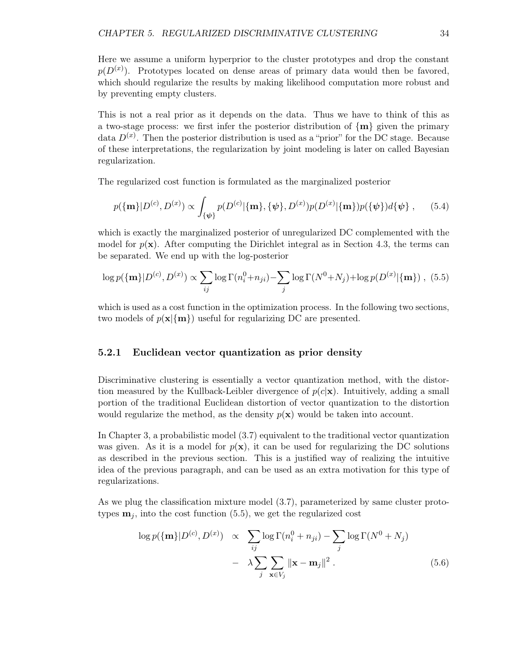Here we assume a uniform hyperprior to the cluster prototypes and drop the constant  $p(D^{(x)})$ . Prototypes located on dense areas of primary data would then be favored, which should regularize the results by making likelihood computation more robust and by preventing empty clusters.

This is not a real prior as it depends on the data. Thus we have to think of this as a two-stage process: we first infer the posterior distribution of  $\{m\}$  given the primary data  $D^{(x)}$ . Then the posterior distribution is used as a "prior" for the DC stage. Because of these interpretations, the regularization by joint modeling is later on called Bayesian regularization.

The regularized cost function is formulated as the marginalized posterior

$$
p(\{\mathbf{m}\}|D^{(c)}, D^{(x)}) \propto \int_{\{\psi\}} p(D^{(c)}|\{\mathbf{m}\}, \{\psi\}, D^{(x)}) p(D^{(x)}|\{\mathbf{m}\}) p(\{\psi\}) d\{\psi\}, \quad (5.4)
$$

which is exactly the marginalized posterior of unregularized DC complemented with the model for  $p(x)$ . After computing the Dirichlet integral as in Section 4.3, the terms can be separated. We end up with the log-posterior

$$
\log p(\{\mathbf{m}\}|D^{(c)}, D^{(x)}) \propto \sum_{ij} \log \Gamma(n_i^0 + n_{ji}) - \sum_j \log \Gamma(N^0 + N_j) + \log p(D^{(x)}|\{\mathbf{m}\}) , (5.5)
$$

which is used as a cost function in the optimization process. In the following two sections, two models of  $p(\mathbf{x}|\{\mathbf{m}\})$  useful for regularizing DC are presented.

#### 5.2.1 Euclidean vector quantization as prior density

Discriminative clustering is essentially a vector quantization method, with the distortion measured by the Kullback-Leibler divergence of  $p(c|\mathbf{x})$ . Intuitively, adding a small portion of the traditional Euclidean distortion of vector quantization to the distortion would regularize the method, as the density  $p(\mathbf{x})$  would be taken into account.

In Chapter 3, a probabilistic model (3.7) equivalent to the traditional vector quantization was given. As it is a model for  $p(x)$ , it can be used for regularizing the DC solutions as described in the previous section. This is a justified way of realizing the intuitive idea of the previous paragraph, and can be used as an extra motivation for this type of regularizations.

As we plug the classification mixture model (3.7), parameterized by same cluster prototypes  $\mathbf{m}_i$ , into the cost function (5.5), we get the regularized cost

$$
\log p(\{\mathbf{m}\}|D^{(c)}, D^{(x)}) \propto \sum_{ij} \log \Gamma(n_i^0 + n_{ji}) - \sum_j \log \Gamma(N^0 + N_j)
$$

$$
- \lambda \sum_j \sum_{\mathbf{x} \in V_j} ||\mathbf{x} - \mathbf{m}_j||^2. \tag{5.6}
$$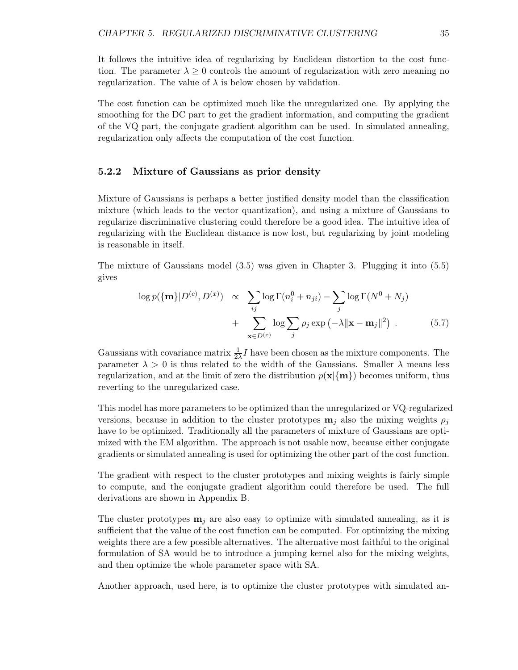It follows the intuitive idea of regularizing by Euclidean distortion to the cost function. The parameter  $\lambda \geq 0$  controls the amount of regularization with zero meaning no regularization. The value of  $\lambda$  is below chosen by validation.

The cost function can be optimized much like the unregularized one. By applying the smoothing for the DC part to get the gradient information, and computing the gradient of the VQ part, the conjugate gradient algorithm can be used. In simulated annealing, regularization only affects the computation of the cost function.

#### 5.2.2 Mixture of Gaussians as prior density

Mixture of Gaussians is perhaps a better justified density model than the classification mixture (which leads to the vector quantization), and using a mixture of Gaussians to regularize discriminative clustering could therefore be a good idea. The intuitive idea of regularizing with the Euclidean distance is now lost, but regularizing by joint modeling is reasonable in itself.

The mixture of Gaussians model (3.5) was given in Chapter 3. Plugging it into (5.5) gives

$$
\log p(\{\mathbf{m}\}|D^{(c)}, D^{(x)}) \propto \sum_{ij} \log \Gamma(n_i^0 + n_{ji}) - \sum_j \log \Gamma(N^0 + N_j)
$$

$$
+ \sum_{\mathbf{x} \in D^{(x)}} \log \sum_j \rho_j \exp(-\lambda ||\mathbf{x} - \mathbf{m}_j||^2) . \tag{5.7}
$$

Gaussians with covariance matrix  $\frac{1}{2\lambda}I$  have been chosen as the mixture components. The parameter  $\lambda > 0$  is thus related to the width of the Gaussians. Smaller  $\lambda$  means less regularization, and at the limit of zero the distribution  $p(x|\{m\})$  becomes uniform, thus reverting to the unregularized case.

This model has more parameters to be optimized than the unregularized or VQ-regularized versions, because in addition to the cluster prototypes  $\mathbf{m}_i$  also the mixing weights  $\rho_i$ have to be optimized. Traditionally all the parameters of mixture of Gaussians are optimized with the EM algorithm. The approach is not usable now, because either conjugate gradients or simulated annealing is used for optimizing the other part of the cost function.

The gradient with respect to the cluster prototypes and mixing weights is fairly simple to compute, and the conjugate gradient algorithm could therefore be used. The full derivations are shown in Appendix B.

The cluster prototypes  $\mathbf{m}_i$  are also easy to optimize with simulated annealing, as it is sufficient that the value of the cost function can be computed. For optimizing the mixing weights there are a few possible alternatives. The alternative most faithful to the original formulation of SA would be to introduce a jumping kernel also for the mixing weights, and then optimize the whole parameter space with SA.

Another approach, used here, is to optimize the cluster prototypes with simulated an-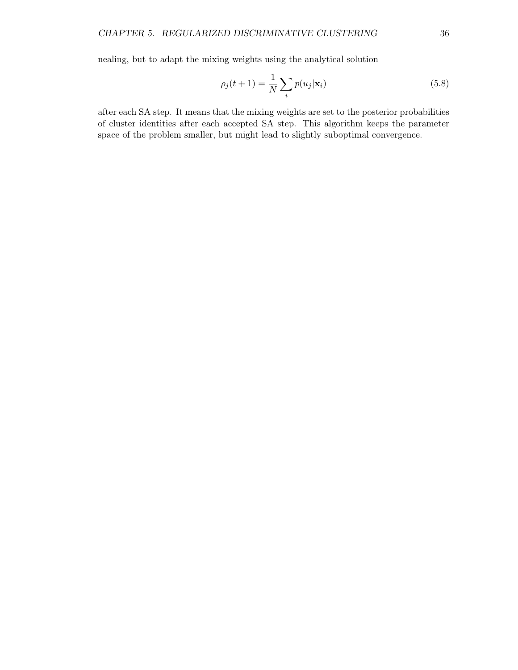nealing, but to adapt the mixing weights using the analytical solution

$$
\rho_j(t+1) = \frac{1}{N} \sum_i p(u_j | \mathbf{x}_i)
$$
\n(5.8)

after each SA step. It means that the mixing weights are set to the posterior probabilities of cluster identities after each accepted SA step. This algorithm keeps the parameter space of the problem smaller, but might lead to slightly suboptimal convergence.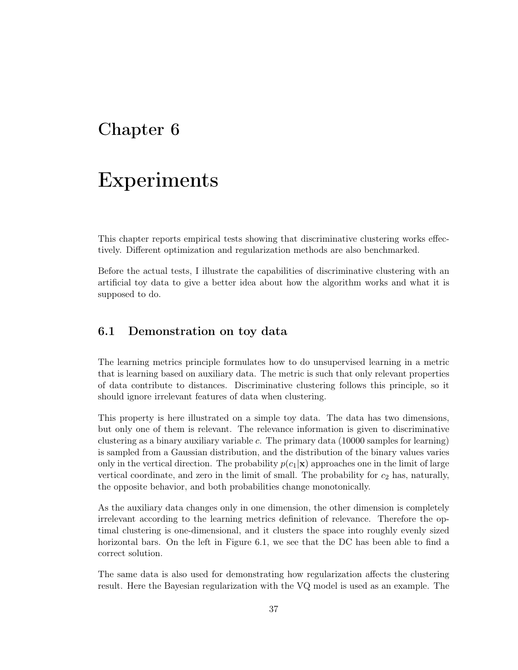## Chapter 6

# Experiments

This chapter reports empirical tests showing that discriminative clustering works effectively. Different optimization and regularization methods are also benchmarked.

Before the actual tests, I illustrate the capabilities of discriminative clustering with an artificial toy data to give a better idea about how the algorithm works and what it is supposed to do.

### 6.1 Demonstration on toy data

The learning metrics principle formulates how to do unsupervised learning in a metric that is learning based on auxiliary data. The metric is such that only relevant properties of data contribute to distances. Discriminative clustering follows this principle, so it should ignore irrelevant features of data when clustering.

This property is here illustrated on a simple toy data. The data has two dimensions, but only one of them is relevant. The relevance information is given to discriminative clustering as a binary auxiliary variable c. The primary data (10000 samples for learning) is sampled from a Gaussian distribution, and the distribution of the binary values varies only in the vertical direction. The probability  $p(c_1|\mathbf{x})$  approaches one in the limit of large vertical coordinate, and zero in the limit of small. The probability for  $c_2$  has, naturally, the opposite behavior, and both probabilities change monotonically.

As the auxiliary data changes only in one dimension, the other dimension is completely irrelevant according to the learning metrics definition of relevance. Therefore the optimal clustering is one-dimensional, and it clusters the space into roughly evenly sized horizontal bars. On the left in Figure 6.1, we see that the DC has been able to find a correct solution.

The same data is also used for demonstrating how regularization affects the clustering result. Here the Bayesian regularization with the VQ model is used as an example. The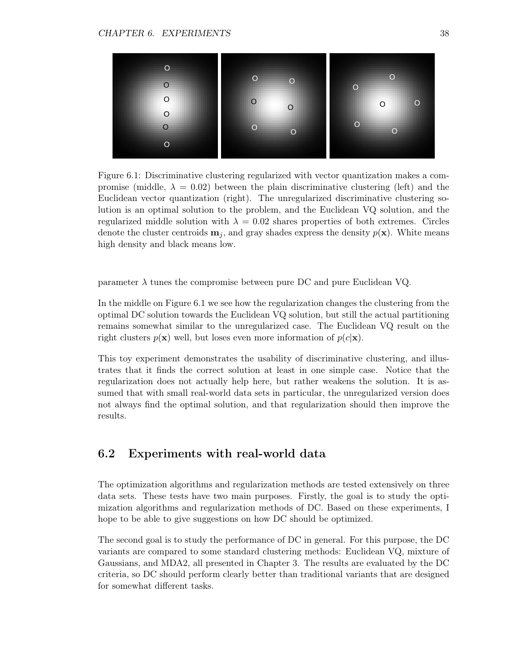

Figure 6.1: Discriminative clustering regularized with vector quantization makes a compromise (middle,  $\lambda = 0.02$ ) between the plain discriminative clustering (left) and the Euclidean vector quantization (right). The unregularized discriminative clustering solution is an optimal solution to the problem, and the Euclidean VQ solution, and the regularized middle solution with  $\lambda = 0.02$  shares properties of both extremes. Circles denote the cluster centroids  $\mathbf{m}_i$ , and gray shades express the density  $p(\mathbf{x})$ . White means high density and black means low.

parameter  $\lambda$  tunes the compromise between pure DC and pure Euclidean VQ.

In the middle on Figure 6.1 we see how the regularization changes the clustering from the optimal DC solution towards the Euclidean VQ solution, but still the actual partitioning remains somewhat similar to the unregularized case. The Euclidean VQ result on the right clusters  $p(x)$  well, but loses even more information of  $p(c|x)$ .

This toy experiment demonstrates the usability of discriminative clustering, and illustrates that it finds the correct solution at least in one simple case. Notice that the regularization does not actually help here, but rather weakens the solution. It is assumed that with small real-world data sets in particular, the unregularized version does not always find the optimal solution, and that regularization should then improve the results.

## 6.2 Experiments with real-world data

The optimization algorithms and regularization methods are tested extensively on three data sets. These tests have two main purposes. Firstly, the goal is to study the optimization algorithms and regularization methods of DC. Based on these experiments, I hope to be able to give suggestions on how DC should be optimized.

The second goal is to study the performance of DC in general. For this purpose, the DC variants are compared to some standard clustering methods: Euclidean VQ, mixture of Gaussians, and MDA2, all presented in Chapter 3. The results are evaluated by the DC criteria, so DC should perform clearly better than traditional variants that are designed for somewhat different tasks.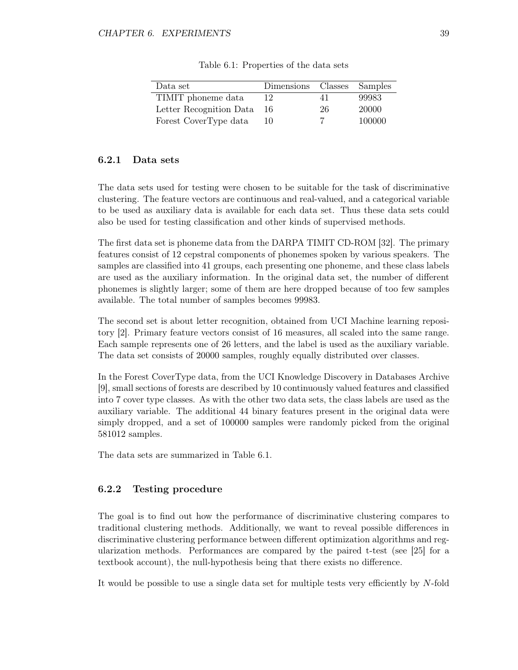| Data set                | Dimensions Classes Samples |    |        |
|-------------------------|----------------------------|----|--------|
| TIMIT phoneme data      |                            | 41 | 99983  |
| Letter Recognition Data | 16                         | 26 | 20000  |
| Forest CoverType data   | 10                         |    | 100000 |

Table 6.1: Properties of the data sets

#### 6.2.1 Data sets

The data sets used for testing were chosen to be suitable for the task of discriminative clustering. The feature vectors are continuous and real-valued, and a categorical variable to be used as auxiliary data is available for each data set. Thus these data sets could also be used for testing classification and other kinds of supervised methods.

The first data set is phoneme data from the DARPA TIMIT CD-ROM [32]. The primary features consist of 12 cepstral components of phonemes spoken by various speakers. The samples are classified into 41 groups, each presenting one phoneme, and these class labels are used as the auxiliary information. In the original data set, the number of different phonemes is slightly larger; some of them are here dropped because of too few samples available. The total number of samples becomes 99983.

The second set is about letter recognition, obtained from UCI Machine learning repository [2]. Primary feature vectors consist of 16 measures, all scaled into the same range. Each sample represents one of 26 letters, and the label is used as the auxiliary variable. The data set consists of 20000 samples, roughly equally distributed over classes.

In the Forest CoverType data, from the UCI Knowledge Discovery in Databases Archive [9], small sections of forests are described by 10 continuously valued features and classified into 7 cover type classes. As with the other two data sets, the class labels are used as the auxiliary variable. The additional 44 binary features present in the original data were simply dropped, and a set of 100000 samples were randomly picked from the original 581012 samples.

The data sets are summarized in Table 6.1.

#### 6.2.2 Testing procedure

The goal is to find out how the performance of discriminative clustering compares to traditional clustering methods. Additionally, we want to reveal possible differences in discriminative clustering performance between different optimization algorithms and regularization methods. Performances are compared by the paired t-test (see [25] for a textbook account), the null-hypothesis being that there exists no difference.

It would be possible to use a single data set for multiple tests very efficiently by N-fold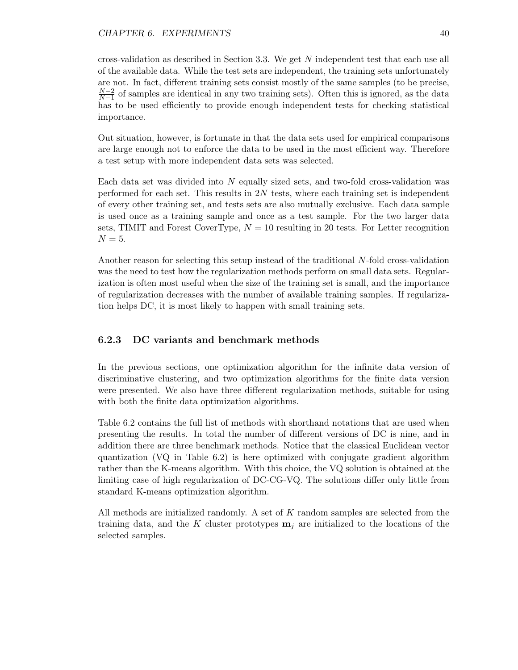#### CHAPTER 6. EXPERIMENTS 40

cross-validation as described in Section 3.3. We get N independent test that each use all of the available data. While the test sets are independent, the training sets unfortunately are not. In fact, different training sets consist mostly of the same samples (to be precise,  $N-2$  $\frac{N-2}{N-1}$  of samples are identical in any two training sets). Often this is ignored, as the data has to be used efficiently to provide enough independent tests for checking statistical importance.

Out situation, however, is fortunate in that the data sets used for empirical comparisons are large enough not to enforce the data to be used in the most efficient way. Therefore a test setup with more independent data sets was selected.

Each data set was divided into  $N$  equally sized sets, and two-fold cross-validation was performed for each set. This results in  $2N$  tests, where each training set is independent of every other training set, and tests sets are also mutually exclusive. Each data sample is used once as a training sample and once as a test sample. For the two larger data sets, TIMIT and Forest CoverType,  $N = 10$  resulting in 20 tests. For Letter recognition  $N=5.$ 

Another reason for selecting this setup instead of the traditional N-fold cross-validation was the need to test how the regularization methods perform on small data sets. Regularization is often most useful when the size of the training set is small, and the importance of regularization decreases with the number of available training samples. If regularization helps DC, it is most likely to happen with small training sets.

#### 6.2.3 DC variants and benchmark methods

In the previous sections, one optimization algorithm for the infinite data version of discriminative clustering, and two optimization algorithms for the finite data version were presented. We also have three different regularization methods, suitable for using with both the finite data optimization algorithms.

Table 6.2 contains the full list of methods with shorthand notations that are used when presenting the results. In total the number of different versions of DC is nine, and in addition there are three benchmark methods. Notice that the classical Euclidean vector quantization (VQ in Table 6.2) is here optimized with conjugate gradient algorithm rather than the K-means algorithm. With this choice, the VQ solution is obtained at the limiting case of high regularization of DC-CG-VQ. The solutions differ only little from standard K-means optimization algorithm.

All methods are initialized randomly. A set of  $K$  random samples are selected from the training data, and the K cluster prototypes  $\mathbf{m}_i$  are initialized to the locations of the selected samples.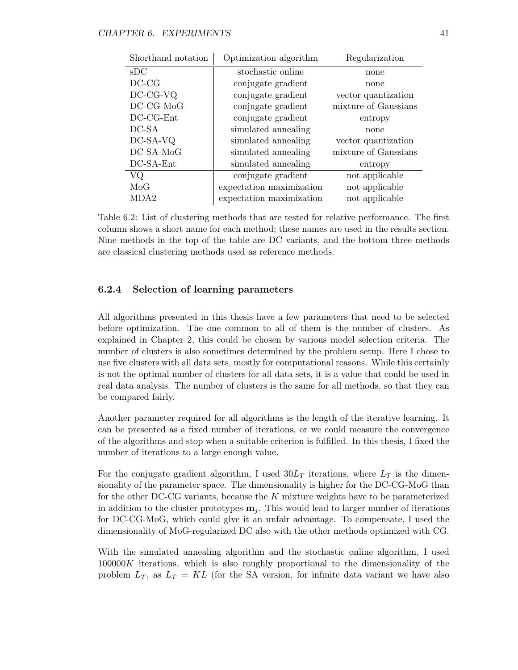| Shorthand notation | Optimization algorithm<br>Regularization |                      |
|--------------------|------------------------------------------|----------------------|
| sDC                | stochastic online                        | none                 |
| $DC-CG$            | conjugate gradient                       | none                 |
| DC-CG-VQ           | conjugate gradient                       | vector quantization  |
| DC-CG-MoG          | conjugate gradient                       | mixture of Gaussians |
| $DC-CG-Ent$        | conjugate gradient                       | entropy              |
| DC-SA              | simulated annealing                      | none                 |
| DC-SA-VQ           | simulated annealing                      | vector quantization  |
| DC-SA-MoG          | simulated annealing                      | mixture of Gaussians |
| DC-SA-Ent          | simulated annealing                      | entropy              |
| VQ                 | conjugate gradient                       | not applicable       |
| MoG                | expectation maximization                 | not applicable       |
| MDA2               | expectation maximization                 | not applicable       |

Table 6.2: List of clustering methods that are tested for relative performance. The first column shows a short name for each method; these names are used in the results section. Nine methods in the top of the table are DC variants, and the bottom three methods are classical clustering methods used as reference methods.

#### 6.2.4 Selection of learning parameters

All algorithms presented in this thesis have a few parameters that need to be selected before optimization. The one common to all of them is the number of clusters. As explained in Chapter 2, this could be chosen by various model selection criteria. The number of clusters is also sometimes determined by the problem setup. Here I chose to use five clusters with all data sets, mostly for computational reasons. While this certainly is not the optimal number of clusters for all data sets, it is a value that could be used in real data analysis. The number of clusters is the same for all methods, so that they can be compared fairly.

Another parameter required for all algorithms is the length of the iterative learning. It can be presented as a fixed number of iterations, or we could measure the convergence of the algorithms and stop when a suitable criterion is fulfilled. In this thesis, I fixed the number of iterations to a large enough value.

For the conjugate gradient algorithm, I used  $30L_T$  iterations, where  $L_T$  is the dimensionality of the parameter space. The dimensionality is higher for the DC-CG-MoG than for the other DC-CG variants, because the  $K$  mixture weights have to be parameterized in addition to the cluster prototypes  $\mathbf{m}_i$ . This would lead to larger number of iterations for DC-CG-MoG, which could give it an unfair advantage. To compensate, I used the dimensionality of MoG-regularized DC also with the other methods optimized with CG.

With the simulated annealing algorithm and the stochastic online algorithm, I used  $100000K$  iterations, which is also roughly proportional to the dimensionality of the problem  $L_T$ , as  $L_T = KL$  (for the SA version, for infinite data variant we have also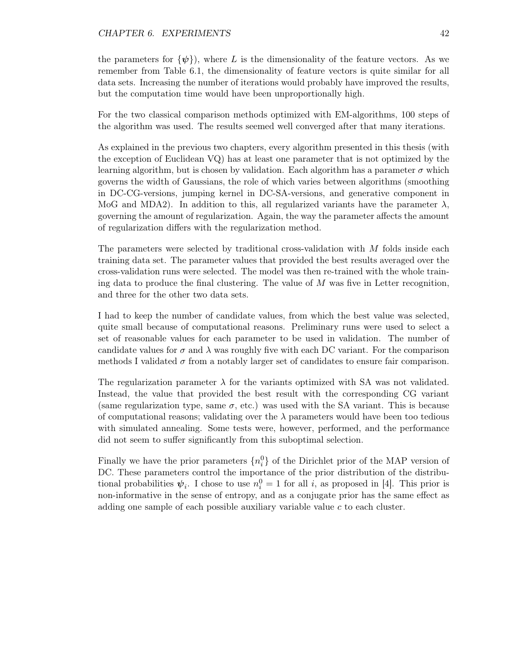#### CHAPTER 6. EXPERIMENTS 42

the parameters for  $\{\psi\}$ , where L is the dimensionality of the feature vectors. As we remember from Table 6.1, the dimensionality of feature vectors is quite similar for all data sets. Increasing the number of iterations would probably have improved the results, but the computation time would have been unproportionally high.

For the two classical comparison methods optimized with EM-algorithms, 100 steps of the algorithm was used. The results seemed well converged after that many iterations.

As explained in the previous two chapters, every algorithm presented in this thesis (with the exception of Euclidean VQ) has at least one parameter that is not optimized by the learning algorithm, but is chosen by validation. Each algorithm has a parameter  $\sigma$  which governs the width of Gaussians, the role of which varies between algorithms (smoothing in DC-CG-versions, jumping kernel in DC-SA-versions, and generative component in MoG and MDA2). In addition to this, all regularized variants have the parameter  $\lambda$ , governing the amount of regularization. Again, the way the parameter affects the amount of regularization differs with the regularization method.

The parameters were selected by traditional cross-validation with M folds inside each training data set. The parameter values that provided the best results averaged over the cross-validation runs were selected. The model was then re-trained with the whole training data to produce the final clustering. The value of  $M$  was five in Letter recognition, and three for the other two data sets.

I had to keep the number of candidate values, from which the best value was selected, quite small because of computational reasons. Preliminary runs were used to select a set of reasonable values for each parameter to be used in validation. The number of candidate values for  $\sigma$  and  $\lambda$  was roughly five with each DC variant. For the comparison methods I validated  $\sigma$  from a notably larger set of candidates to ensure fair comparison.

The regularization parameter  $\lambda$  for the variants optimized with SA was not validated. Instead, the value that provided the best result with the corresponding CG variant (same regularization type, same  $\sigma$ , etc.) was used with the SA variant. This is because of computational reasons; validating over the  $\lambda$  parameters would have been too tedious with simulated annealing. Some tests were, however, performed, and the performance did not seem to suffer significantly from this suboptimal selection.

Finally we have the prior parameters  $\{n_i^0\}$  of the Dirichlet prior of the MAP version of DC. These parameters control the importance of the prior distribution of the distributional probabilities  $\psi_i$ . I chose to use  $n_i^0 = 1$  for all i, as proposed in [4]. This prior is non-informative in the sense of entropy, and as a conjugate prior has the same effect as adding one sample of each possible auxiliary variable value c to each cluster.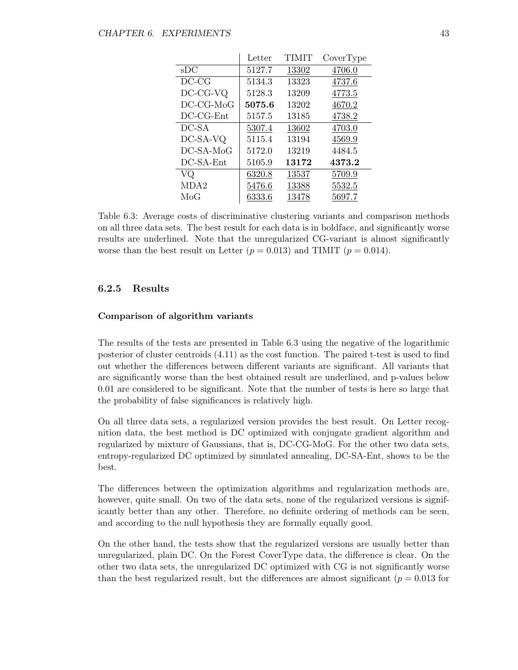|              | Letter | TIMIT | CoverType |
|--------------|--------|-------|-----------|
| sDC          | 5127.7 | 13302 | 4706.0    |
| $DC-CG$      | 5134.3 | 13323 | 4737.6    |
| $DC-CG-VQ$   | 5128.3 | 13209 | 4773.5    |
| $DC-CG-MoG$  | 5075.6 | 13202 | 4670.2    |
| $DC-CG-Ent$  | 5157.5 | 13185 | 4738.2    |
| DC-SA        | 5307.4 | 13602 | 4703.0    |
| DC-SA-VQ     | 5115.4 | 13194 | 4569.9    |
| $DC$ -SA-MoG | 5172.0 | 13219 | 4484.5    |
| DC-SA-Ent    | 5105.9 | 13172 | 4373.2    |
| VQ           | 6320.8 | 13537 | 5709.9    |
| MDA2         | 5476.6 | 13388 | 5532.5    |
| MoG          | 6333.6 | 13478 | 5697.7    |

Table 6.3: Average costs of discriminative clustering variants and comparison methods on all three data sets. The best result for each data is in boldface, and significantly worse results are underlined. Note that the unregularized CG-variant is almost significantly worse than the best result on Letter  $(p = 0.013)$  and TIMIT  $(p = 0.014)$ .

#### 6.2.5 Results

#### Comparison of algorithm variants

The results of the tests are presented in Table 6.3 using the negative of the logarithmic posterior of cluster centroids (4.11) as the cost function. The paired t-test is used to find out whether the differences between different variants are significant. All variants that are significantly worse than the best obtained result are underlined, and p-values below 0.01 are considered to be significant. Note that the number of tests is here so large that the probability of false significances is relatively high.

On all three data sets, a regularized version provides the best result. On Letter recognition data, the best method is DC optimized with conjugate gradient algorithm and regularized by mixture of Gaussians, that is, DC-CG-MoG. For the other two data sets, entropy-regularized DC optimized by simulated annealing, DC-SA-Ent, shows to be the best.

The differences between the optimization algorithms and regularization methods are, however, quite small. On two of the data sets, none of the regularized versions is significantly better than any other. Therefore, no definite ordering of methods can be seen, and according to the null hypothesis they are formally equally good.

On the other hand, the tests show that the regularized versions are usually better than unregularized, plain DC. On the Forest CoverType data, the difference is clear. On the other two data sets, the unregularized DC optimized with CG is not significantly worse than the best regularized result, but the differences are almost significant ( $p = 0.013$  for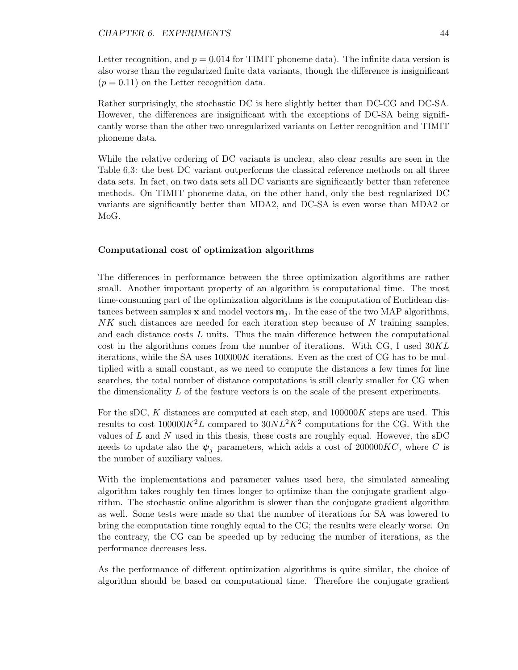Letter recognition, and  $p = 0.014$  for TIMIT phoneme data). The infinite data version is also worse than the regularized finite data variants, though the difference is insignificant  $(p = 0.11)$  on the Letter recognition data.

Rather surprisingly, the stochastic DC is here slightly better than DC-CG and DC-SA. However, the differences are insignificant with the exceptions of DC-SA being significantly worse than the other two unregularized variants on Letter recognition and TIMIT phoneme data.

While the relative ordering of DC variants is unclear, also clear results are seen in the Table 6.3: the best DC variant outperforms the classical reference methods on all three data sets. In fact, on two data sets all DC variants are significantly better than reference methods. On TIMIT phoneme data, on the other hand, only the best regularized DC variants are significantly better than MDA2, and DC-SA is even worse than MDA2 or MoG.

#### Computational cost of optimization algorithms

The differences in performance between the three optimization algorithms are rather small. Another important property of an algorithm is computational time. The most time-consuming part of the optimization algorithms is the computation of Euclidean distances between samples **x** and model vectors  $\mathbf{m}_i$ . In the case of the two MAP algorithms,  $NK$  such distances are needed for each iteration step because of N training samples, and each distance costs  $L$  units. Thus the main difference between the computational cost in the algorithms comes from the number of iterations. With CG, I used  $30KL$ iterations, while the SA uses  $100000K$  iterations. Even as the cost of CG has to be multiplied with a small constant, as we need to compute the distances a few times for line searches, the total number of distance computations is still clearly smaller for CG when the dimensionality  $L$  of the feature vectors is on the scale of the present experiments.

For the sDC, K distances are computed at each step, and  $100000K$  steps are used. This results to cost  $100000K^2L$  compared to  $30NL^2K^2$  computations for the CG. With the values of  $L$  and  $N$  used in this thesis, these costs are roughly equal. However, the sDC needs to update also the  $\psi_i$  parameters, which adds a cost of 200000KC, where C is the number of auxiliary values.

With the implementations and parameter values used here, the simulated annealing algorithm takes roughly ten times longer to optimize than the conjugate gradient algorithm. The stochastic online algorithm is slower than the conjugate gradient algorithm as well. Some tests were made so that the number of iterations for SA was lowered to bring the computation time roughly equal to the CG; the results were clearly worse. On the contrary, the CG can be speeded up by reducing the number of iterations, as the performance decreases less.

As the performance of different optimization algorithms is quite similar, the choice of algorithm should be based on computational time. Therefore the conjugate gradient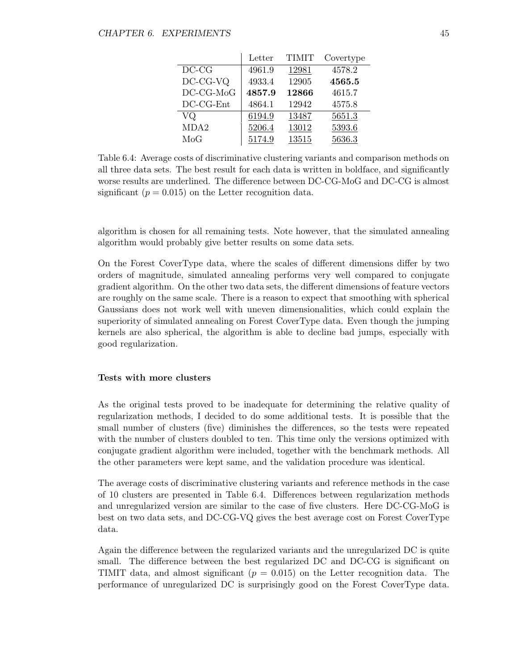|                  | Letter | <b>TIMIT</b> | Covertype |
|------------------|--------|--------------|-----------|
| $DC-CG$          | 4961.9 | 12981        | 4578.2    |
| DC-CG-VQ         | 4933.4 | 12905        | 4565.5    |
| $DC-CG-MoG$      | 4857.9 | 12866        | 4615.7    |
| DC-CG-Ent        | 4864.1 | 12942        | 4575.8    |
| VQ               | 6194.9 | 13487        | 5651.3    |
| MDA <sub>2</sub> | 5206.4 | 13012        | 5393.6    |
| MoG              | 5174.9 | 13515        | 5636.3    |

Table 6.4: Average costs of discriminative clustering variants and comparison methods on all three data sets. The best result for each data is written in boldface, and significantly worse results are underlined. The difference between DC-CG-MoG and DC-CG is almost significant  $(p = 0.015)$  on the Letter recognition data.

algorithm is chosen for all remaining tests. Note however, that the simulated annealing algorithm would probably give better results on some data sets.

On the Forest CoverType data, where the scales of different dimensions differ by two orders of magnitude, simulated annealing performs very well compared to conjugate gradient algorithm. On the other two data sets, the different dimensions of feature vectors are roughly on the same scale. There is a reason to expect that smoothing with spherical Gaussians does not work well with uneven dimensionalities, which could explain the superiority of simulated annealing on Forest CoverType data. Even though the jumping kernels are also spherical, the algorithm is able to decline bad jumps, especially with good regularization.

#### Tests with more clusters

As the original tests proved to be inadequate for determining the relative quality of regularization methods, I decided to do some additional tests. It is possible that the small number of clusters (five) diminishes the differences, so the tests were repeated with the number of clusters doubled to ten. This time only the versions optimized with conjugate gradient algorithm were included, together with the benchmark methods. All the other parameters were kept same, and the validation procedure was identical.

The average costs of discriminative clustering variants and reference methods in the case of 10 clusters are presented in Table 6.4. Differences between regularization methods and unregularized version are similar to the case of five clusters. Here DC-CG-MoG is best on two data sets, and DC-CG-VQ gives the best average cost on Forest CoverType data.

Again the difference between the regularized variants and the unregularized DC is quite small. The difference between the best regularized DC and DC-CG is significant on TIMIT data, and almost significant ( $p = 0.015$ ) on the Letter recognition data. The performance of unregularized DC is surprisingly good on the Forest CoverType data.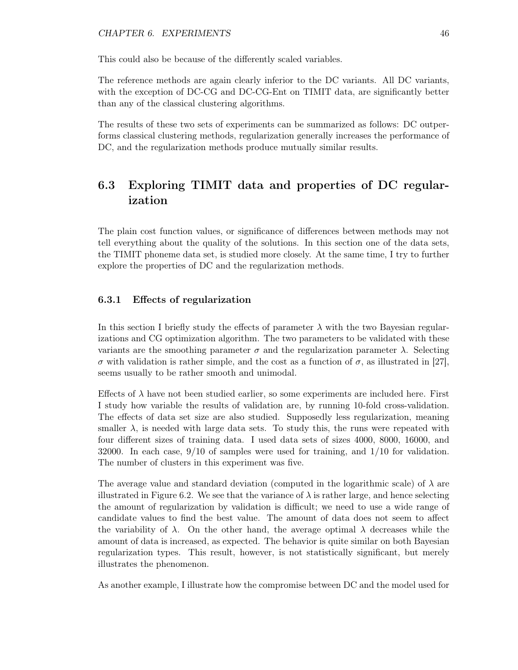#### CHAPTER 6. EXPERIMENTS 46

This could also be because of the differently scaled variables.

The reference methods are again clearly inferior to the DC variants. All DC variants, with the exception of DC-CG and DC-CG-Ent on TIMIT data, are significantly better than any of the classical clustering algorithms.

The results of these two sets of experiments can be summarized as follows: DC outperforms classical clustering methods, regularization generally increases the performance of DC, and the regularization methods produce mutually similar results.

## 6.3 Exploring TIMIT data and properties of DC regularization

The plain cost function values, or significance of differences between methods may not tell everything about the quality of the solutions. In this section one of the data sets, the TIMIT phoneme data set, is studied more closely. At the same time, I try to further explore the properties of DC and the regularization methods.

#### 6.3.1 Effects of regularization

In this section I briefly study the effects of parameter  $\lambda$  with the two Bayesian regularizations and CG optimization algorithm. The two parameters to be validated with these variants are the smoothing parameter  $\sigma$  and the regularization parameter  $\lambda$ . Selecting σ with validation is rather simple, and the cost as a function of σ, as illustrated in [27], seems usually to be rather smooth and unimodal.

Effects of  $\lambda$  have not been studied earlier, so some experiments are included here. First I study how variable the results of validation are, by running 10-fold cross-validation. The effects of data set size are also studied. Supposedly less regularization, meaning smaller  $\lambda$ , is needed with large data sets. To study this, the runs were repeated with four different sizes of training data. I used data sets of sizes 4000, 8000, 16000, and 32000. In each case, 9/10 of samples were used for training, and 1/10 for validation. The number of clusters in this experiment was five.

The average value and standard deviation (computed in the logarithmic scale) of  $\lambda$  are illustrated in Figure 6.2. We see that the variance of  $\lambda$  is rather large, and hence selecting the amount of regularization by validation is difficult; we need to use a wide range of candidate values to find the best value. The amount of data does not seem to affect the variability of  $\lambda$ . On the other hand, the average optimal  $\lambda$  decreases while the amount of data is increased, as expected. The behavior is quite similar on both Bayesian regularization types. This result, however, is not statistically significant, but merely illustrates the phenomenon.

As another example, I illustrate how the compromise between DC and the model used for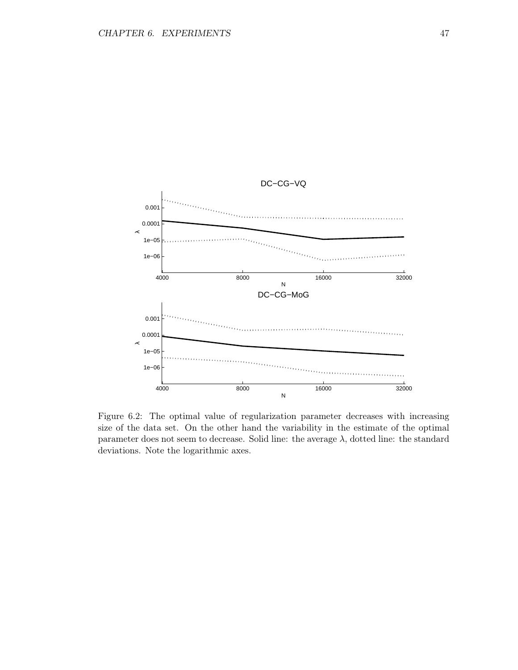

Figure 6.2: The optimal value of regularization parameter decreases with increasing size of the data set. On the other hand the variability in the estimate of the optimal parameter does not seem to decrease. Solid line: the average  $\lambda$ , dotted line: the standard deviations. Note the logarithmic axes.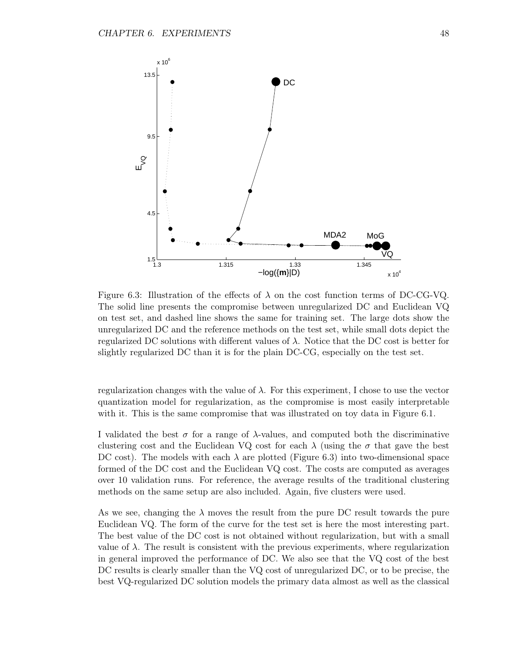

Figure 6.3: Illustration of the effects of  $\lambda$  on the cost function terms of DC-CG-VQ. The solid line presents the compromise between unregularized DC and Euclidean VQ on test set, and dashed line shows the same for training set. The large dots show the unregularized DC and the reference methods on the test set, while small dots depict the regularized DC solutions with different values of  $\lambda$ . Notice that the DC cost is better for slightly regularized DC than it is for the plain DC-CG, especially on the test set.

regularization changes with the value of  $\lambda$ . For this experiment, I chose to use the vector quantization model for regularization, as the compromise is most easily interpretable with it. This is the same compromise that was illustrated on toy data in Figure 6.1.

I validated the best  $\sigma$  for a range of  $\lambda$ -values, and computed both the discriminative clustering cost and the Euclidean VQ cost for each  $\lambda$  (using the  $\sigma$  that gave the best DC cost). The models with each  $\lambda$  are plotted (Figure 6.3) into two-dimensional space formed of the DC cost and the Euclidean VQ cost. The costs are computed as averages over 10 validation runs. For reference, the average results of the traditional clustering methods on the same setup are also included. Again, five clusters were used.

As we see, changing the  $\lambda$  moves the result from the pure DC result towards the pure Euclidean VQ. The form of the curve for the test set is here the most interesting part. The best value of the DC cost is not obtained without regularization, but with a small value of  $\lambda$ . The result is consistent with the previous experiments, where regularization in general improved the performance of DC. We also see that the VQ cost of the best DC results is clearly smaller than the VQ cost of unregularized DC, or to be precise, the best VQ-regularized DC solution models the primary data almost as well as the classical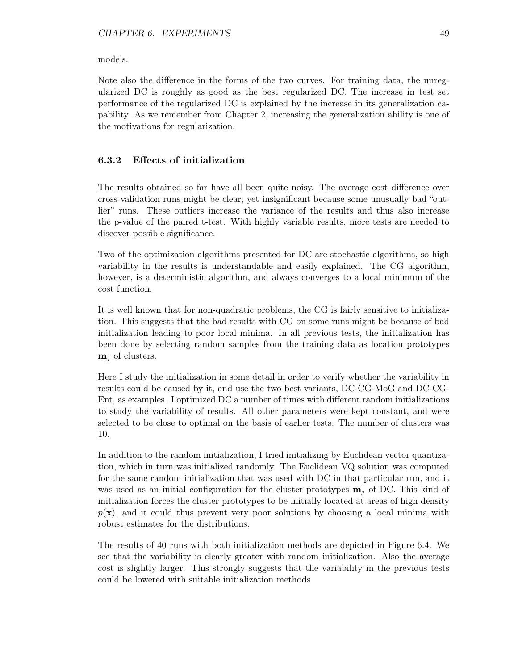models.

Note also the difference in the forms of the two curves. For training data, the unregularized DC is roughly as good as the best regularized DC. The increase in test set performance of the regularized DC is explained by the increase in its generalization capability. As we remember from Chapter 2, increasing the generalization ability is one of the motivations for regularization.

#### 6.3.2 Effects of initialization

The results obtained so far have all been quite noisy. The average cost difference over cross-validation runs might be clear, yet insignificant because some unusually bad "outlier" runs. These outliers increase the variance of the results and thus also increase the p-value of the paired t-test. With highly variable results, more tests are needed to discover possible significance.

Two of the optimization algorithms presented for DC are stochastic algorithms, so high variability in the results is understandable and easily explained. The CG algorithm, however, is a deterministic algorithm, and always converges to a local minimum of the cost function.

It is well known that for non-quadratic problems, the CG is fairly sensitive to initialization. This suggests that the bad results with CG on some runs might be because of bad initialization leading to poor local minima. In all previous tests, the initialization has been done by selecting random samples from the training data as location prototypes  $m_i$  of clusters.

Here I study the initialization in some detail in order to verify whether the variability in results could be caused by it, and use the two best variants, DC-CG-MoG and DC-CG-Ent, as examples. I optimized DC a number of times with different random initializations to study the variability of results. All other parameters were kept constant, and were selected to be close to optimal on the basis of earlier tests. The number of clusters was 10.

In addition to the random initialization, I tried initializing by Euclidean vector quantization, which in turn was initialized randomly. The Euclidean VQ solution was computed for the same random initialization that was used with DC in that particular run, and it was used as an initial configuration for the cluster prototypes  $\mathbf{m}_i$  of DC. This kind of initialization forces the cluster prototypes to be initially located at areas of high density  $p(x)$ , and it could thus prevent very poor solutions by choosing a local minima with robust estimates for the distributions.

The results of 40 runs with both initialization methods are depicted in Figure 6.4. We see that the variability is clearly greater with random initialization. Also the average cost is slightly larger. This strongly suggests that the variability in the previous tests could be lowered with suitable initialization methods.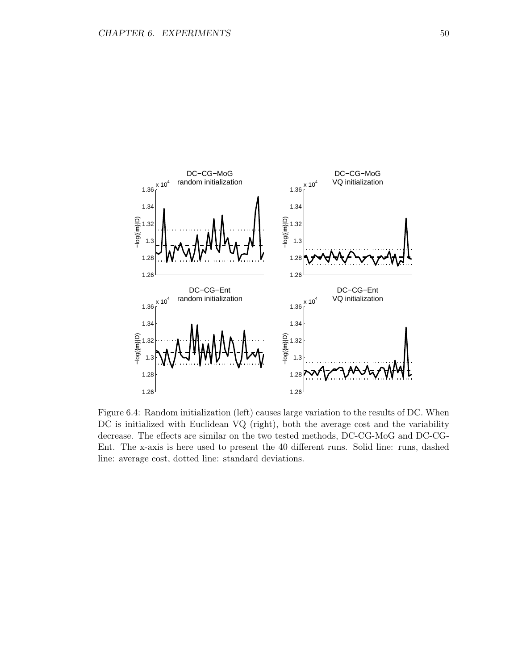

Figure 6.4: Random initialization (left) causes large variation to the results of DC. When DC is initialized with Euclidean VQ (right), both the average cost and the variability decrease. The effects are similar on the two tested methods, DC-CG-MoG and DC-CG-Ent. The x-axis is here used to present the 40 different runs. Solid line: runs, dashed line: average cost, dotted line: standard deviations.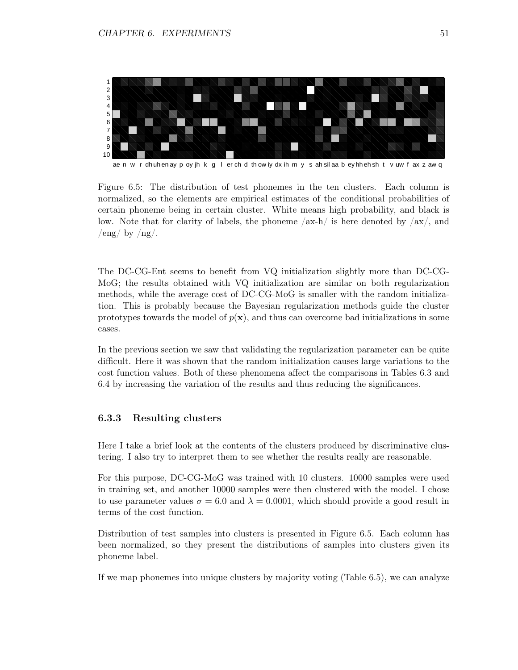

ae n w r dh uh en ay p oy jh k g l er ch d th ow iy dx ih m y s ah sil aa b ey hh eh sh t v uw f ax z aw q

Figure 6.5: The distribution of test phonemes in the ten clusters. Each column is normalized, so the elements are empirical estimates of the conditional probabilities of certain phoneme being in certain cluster. White means high probability, and black is low. Note that for clarity of labels, the phoneme  $/ax-h/$  is here denoted by  $/ax/$ , and  $/eng/ by /ng/$ .

The DC-CG-Ent seems to benefit from VQ initialization slightly more than DC-CG-MoG; the results obtained with VQ initialization are similar on both regularization methods, while the average cost of DC-CG-MoG is smaller with the random initialization. This is probably because the Bayesian regularization methods guide the cluster prototypes towards the model of  $p(x)$ , and thus can overcome bad initializations in some cases.

In the previous section we saw that validating the regularization parameter can be quite difficult. Here it was shown that the random initialization causes large variations to the cost function values. Both of these phenomena affect the comparisons in Tables 6.3 and 6.4 by increasing the variation of the results and thus reducing the significances.

#### 6.3.3 Resulting clusters

Here I take a brief look at the contents of the clusters produced by discriminative clustering. I also try to interpret them to see whether the results really are reasonable.

For this purpose, DC-CG-MoG was trained with 10 clusters. 10000 samples were used in training set, and another 10000 samples were then clustered with the model. I chose to use parameter values  $\sigma = 6.0$  and  $\lambda = 0.0001$ , which should provide a good result in terms of the cost function.

Distribution of test samples into clusters is presented in Figure 6.5. Each column has been normalized, so they present the distributions of samples into clusters given its phoneme label.

If we map phonemes into unique clusters by majority voting (Table 6.5), we can analyze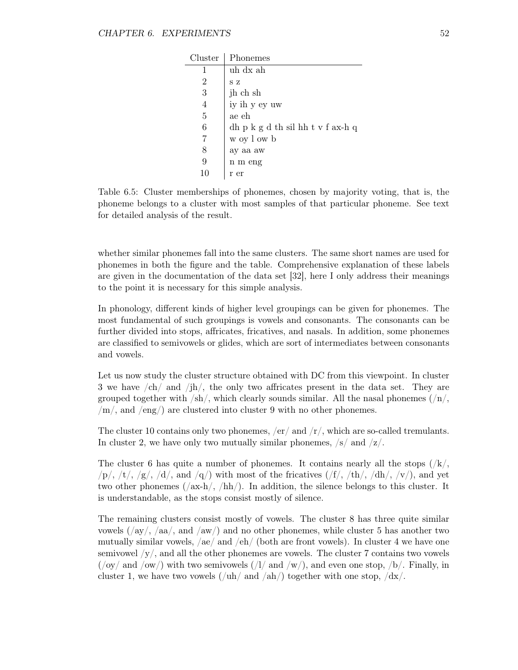| Cluster        | Phonemes                          |
|----------------|-----------------------------------|
|                | uh dx ah                          |
| 2              | S Z                               |
| 3              | jh ch sh                          |
| $\overline{4}$ | iy ih y ey uw                     |
| 5              | ae eh                             |
| 6              | dh p k g d th sil hh t v f ax-h q |
| 7              | w oy l ow b                       |
| 8              | ay aa aw                          |
| 9              | n m eng                           |
|                | r er                              |

Table 6.5: Cluster memberships of phonemes, chosen by majority voting, that is, the phoneme belongs to a cluster with most samples of that particular phoneme. See text for detailed analysis of the result.

whether similar phonemes fall into the same clusters. The same short names are used for phonemes in both the figure and the table. Comprehensive explanation of these labels are given in the documentation of the data set [32], here I only address their meanings to the point it is necessary for this simple analysis.

In phonology, different kinds of higher level groupings can be given for phonemes. The most fundamental of such groupings is vowels and consonants. The consonants can be further divided into stops, affricates, fricatives, and nasals. In addition, some phonemes are classified to semivowels or glides, which are sort of intermediates between consonants and vowels.

Let us now study the cluster structure obtained with DC from this viewpoint. In cluster 3 we have /ch/ and /jh/, the only two affricates present in the data set. They are grouped together with  $/\text{sh}/$ , which clearly sounds similar. All the nasal phonemes  $/\text{n}/$ ,  $/m/$ , and /eng/) are clustered into cluster 9 with no other phonemes.

The cluster 10 contains only two phonemes,  $/er/$  and  $/r/$ , which are so-called tremulants. In cluster 2, we have only two mutually similar phonemes,  $/s/$  and  $/z/$ .

The cluster 6 has quite a number of phonemes. It contains nearly all the stops  $(\frac{1}{k}, \frac{1}{k})$  $\langle p \rangle$ ,  $\langle t \rangle$ ,  $\langle g \rangle$ ,  $\langle d \rangle$ , and  $\langle q \rangle$  with most of the fricatives  $(\langle f \rangle, \langle th \rangle, \langle dh \rangle, \langle v \rangle)$ , and yet two other phonemes  $(\sqrt{ax-h}/\hbar)/$ . In addition, the silence belongs to this cluster. It is understandable, as the stops consist mostly of silence.

The remaining clusters consist mostly of vowels. The cluster 8 has three quite similar vowels  $\left(\frac{\text{day}}{\text{day}}\right)$ ,  $\left(\text{aa}\right)$ , and  $\left(\text{aw}\right)$  and no other phonemes, while cluster 5 has another two mutually similar vowels, /ae/ and /eh/ (both are front vowels). In cluster 4 we have one semivowel  $\langle y, \rangle$ , and all the other phonemes are vowels. The cluster 7 contains two vowels  $(\gamma_{\rm ov}/\gamma)$  and  $\gamma_{\rm ov}/\gamma$  with two semivowels  $(\gamma_{\rm av}/\gamma)$  and even one stop,  $\gamma_{\rm av}/\gamma$ . Finally, in cluster 1, we have two vowels  $(\n\sqrt{\text{ah}}/\text{and } \n\sqrt{\text{ah}}/\text{to}$  together with one stop,  $\sqrt{\text{dx}}/\text{to}$ .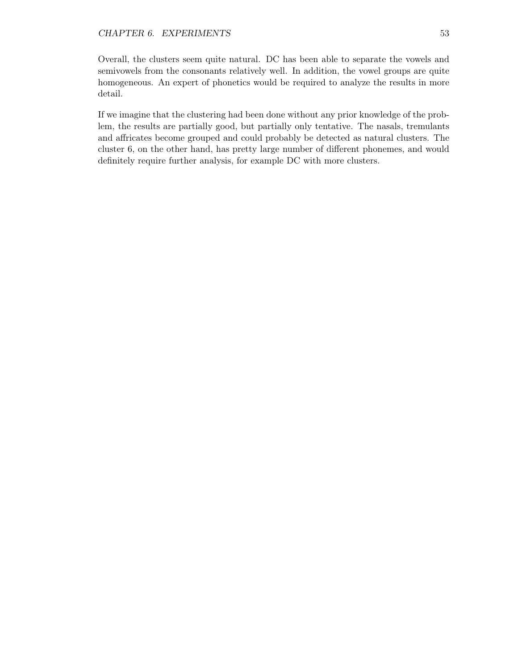Overall, the clusters seem quite natural. DC has been able to separate the vowels and semivowels from the consonants relatively well. In addition, the vowel groups are quite homogeneous. An expert of phonetics would be required to analyze the results in more detail.

If we imagine that the clustering had been done without any prior knowledge of the problem, the results are partially good, but partially only tentative. The nasals, tremulants and affricates become grouped and could probably be detected as natural clusters. The cluster 6, on the other hand, has pretty large number of different phonemes, and would definitely require further analysis, for example DC with more clusters.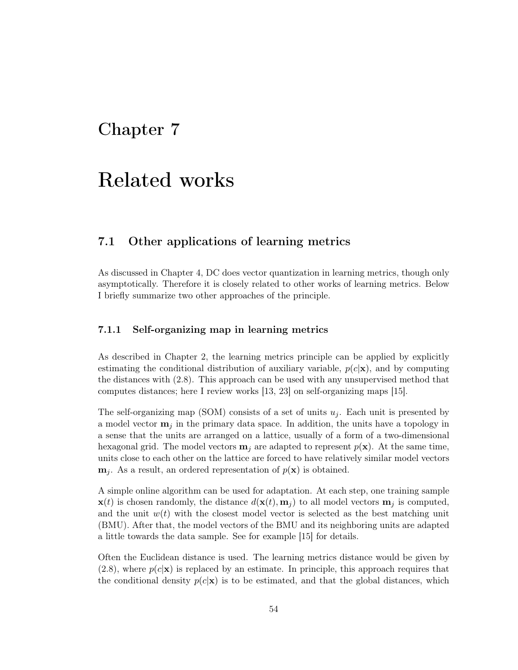## Chapter 7

# Related works

### 7.1 Other applications of learning metrics

As discussed in Chapter 4, DC does vector quantization in learning metrics, though only asymptotically. Therefore it is closely related to other works of learning metrics. Below I briefly summarize two other approaches of the principle.

#### 7.1.1 Self-organizing map in learning metrics

As described in Chapter 2, the learning metrics principle can be applied by explicitly estimating the conditional distribution of auxiliary variable,  $p(c|\mathbf{x})$ , and by computing the distances with (2.8). This approach can be used with any unsupervised method that computes distances; here I review works [13, 23] on self-organizing maps [15].

The self-organizing map (SOM) consists of a set of units  $u_i$ . Each unit is presented by a model vector  $\mathbf{m}_i$  in the primary data space. In addition, the units have a topology in a sense that the units are arranged on a lattice, usually of a form of a two-dimensional hexagonal grid. The model vectors  $\mathbf{m}_i$  are adapted to represent  $p(\mathbf{x})$ . At the same time, units close to each other on the lattice are forced to have relatively similar model vectors  $\mathbf{m}_j$ . As a result, an ordered representation of  $p(\mathbf{x})$  is obtained.

A simple online algorithm can be used for adaptation. At each step, one training sample  $\mathbf{x}(t)$  is chosen randomly, the distance  $d(\mathbf{x}(t), \mathbf{m}_i)$  to all model vectors  $\mathbf{m}_j$  is computed, and the unit  $w(t)$  with the closest model vector is selected as the best matching unit (BMU). After that, the model vectors of the BMU and its neighboring units are adapted a little towards the data sample. See for example [15] for details.

Often the Euclidean distance is used. The learning metrics distance would be given by  $(2.8)$ , where  $p(c|\mathbf{x})$  is replaced by an estimate. In principle, this approach requires that the conditional density  $p(c|\mathbf{x})$  is to be estimated, and that the global distances, which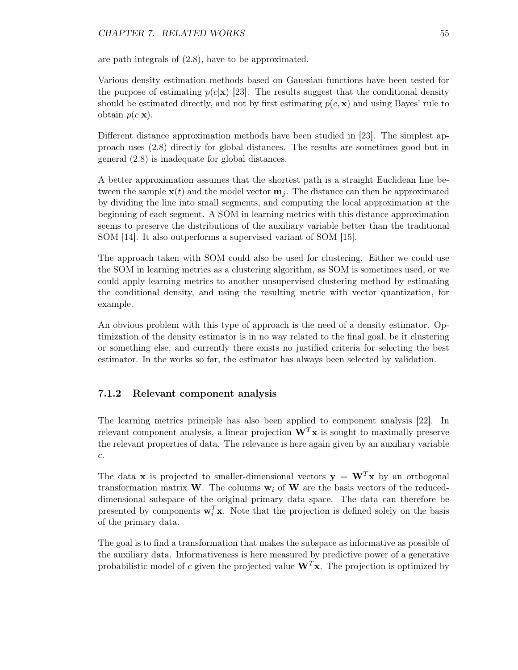are path integrals of (2.8), have to be approximated.

Various density estimation methods based on Gaussian functions have been tested for the purpose of estimating  $p(c|\mathbf{x})$  [23]. The results suggest that the conditional density should be estimated directly, and not by first estimating  $p(c, \mathbf{x})$  and using Bayes' rule to obtain  $p(c|\mathbf{x})$ .

Different distance approximation methods have been studied in [23]. The simplest approach uses (2.8) directly for global distances. The results are sometimes good but in general (2.8) is inadequate for global distances.

A better approximation assumes that the shortest path is a straight Euclidean line between the sample  $\mathbf{x}(t)$  and the model vector  $\mathbf{m}_i$ . The distance can then be approximated by dividing the line into small segments, and computing the local approximation at the beginning of each segment. A SOM in learning metrics with this distance approximation seems to preserve the distributions of the auxiliary variable better than the traditional SOM [14]. It also outperforms a supervised variant of SOM [15].

The approach taken with SOM could also be used for clustering. Either we could use the SOM in learning metrics as a clustering algorithm, as SOM is sometimes used, or we could apply learning metrics to another unsupervised clustering method by estimating the conditional density, and using the resulting metric with vector quantization, for example.

An obvious problem with this type of approach is the need of a density estimator. Optimization of the density estimator is in no way related to the final goal, be it clustering or something else, and currently there exists no justified criteria for selecting the best estimator. In the works so far, the estimator has always been selected by validation.

#### 7.1.2 Relevant component analysis

The learning metrics principle has also been applied to component analysis [22]. In relevant component analysis, a linear projection  $W<sup>T</sup>x$  is sought to maximally preserve the relevant properties of data. The relevance is here again given by an auxiliary variable c.

The data **x** is projected to smaller-dimensional vectors  $y = W<sup>T</sup>x$  by an orthogonal transformation matrix W. The columns  $w_i$  of W are the basis vectors of the reduceddimensional subspace of the original primary data space. The data can therefore be presented by components  $\mathbf{w}_i^T \mathbf{x}$ . Note that the projection is defined solely on the basis of the primary data.

The goal is to find a transformation that makes the subspace as informative as possible of the auxiliary data. Informativeness is here measured by predictive power of a generative probabilistic model of c given the projected value  $W<sup>T</sup>x$ . The projection is optimized by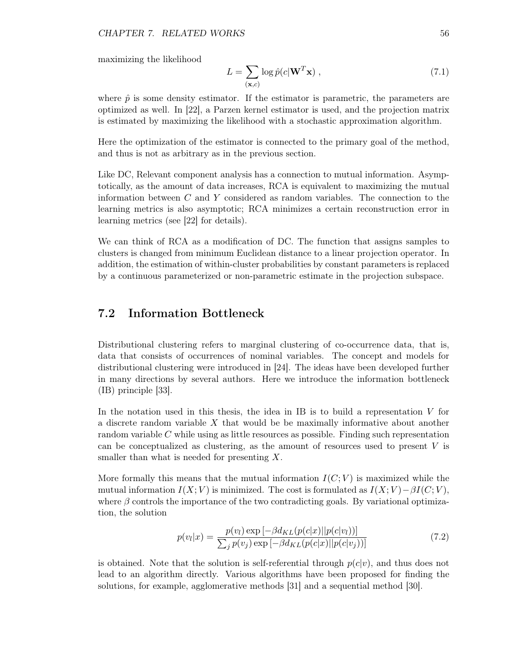maximizing the likelihood

$$
L = \sum_{(\mathbf{x},c)} \log \hat{p}(c|\mathbf{W}^T \mathbf{x}), \qquad (7.1)
$$

where  $\hat{p}$  is some density estimator. If the estimator is parametric, the parameters are optimized as well. In [22], a Parzen kernel estimator is used, and the projection matrix is estimated by maximizing the likelihood with a stochastic approximation algorithm.

Here the optimization of the estimator is connected to the primary goal of the method, and thus is not as arbitrary as in the previous section.

Like DC, Relevant component analysis has a connection to mutual information. Asymptotically, as the amount of data increases, RCA is equivalent to maximizing the mutual information between  $C$  and  $Y$  considered as random variables. The connection to the learning metrics is also asymptotic; RCA minimizes a certain reconstruction error in learning metrics (see [22] for details).

We can think of RCA as a modification of DC. The function that assigns samples to clusters is changed from minimum Euclidean distance to a linear projection operator. In addition, the estimation of within-cluster probabilities by constant parameters is replaced by a continuous parameterized or non-parametric estimate in the projection subspace.

### 7.2 Information Bottleneck

Distributional clustering refers to marginal clustering of co-occurrence data, that is, data that consists of occurrences of nominal variables. The concept and models for distributional clustering were introduced in [24]. The ideas have been developed further in many directions by several authors. Here we introduce the information bottleneck (IB) principle [33].

In the notation used in this thesis, the idea in IB is to build a representation  $V$  for a discrete random variable  $X$  that would be be maximally informative about another random variable C while using as little resources as possible. Finding such representation can be conceptualized as clustering, as the amount of resources used to present V is smaller than what is needed for presenting X.

More formally this means that the mutual information  $I(C; V)$  is maximized while the mutual information  $I(X; V)$  is minimized. The cost is formulated as  $I(X; V) - \beta I(C; V)$ , where  $\beta$  controls the importance of the two contradicting goals. By variational optimization, the solution

$$
p(v_l|x) = \frac{p(v_l) \exp\left[-\beta d_{KL}(p(c|x)||p(c|v_l))\right]}{\sum_j p(v_j) \exp\left[-\beta d_{KL}(p(c|x)||p(c|v_j))\right]}
$$
(7.2)

is obtained. Note that the solution is self-referential through  $p(c|v)$ , and thus does not lead to an algorithm directly. Various algorithms have been proposed for finding the solutions, for example, agglomerative methods [31] and a sequential method [30].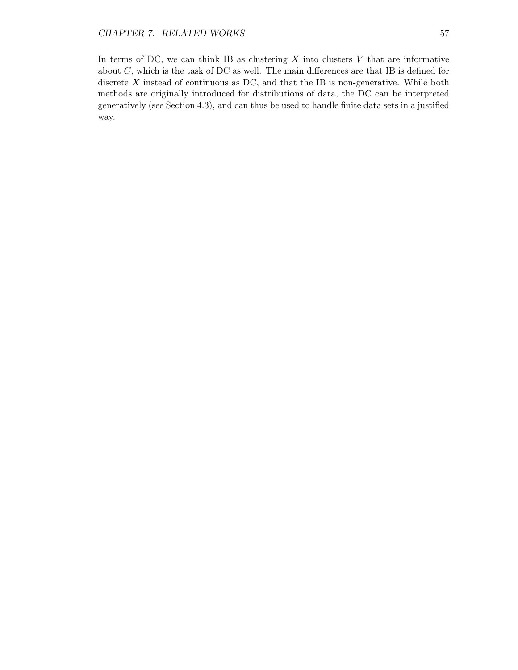In terms of DC, we can think IB as clustering  $X$  into clusters  $V$  that are informative about  $C$ , which is the task of DC as well. The main differences are that IB is defined for discrete  $X$  instead of continuous as DC, and that the IB is non-generative. While both methods are originally introduced for distributions of data, the DC can be interpreted generatively (see Section 4.3), and can thus be used to handle finite data sets in a justified way.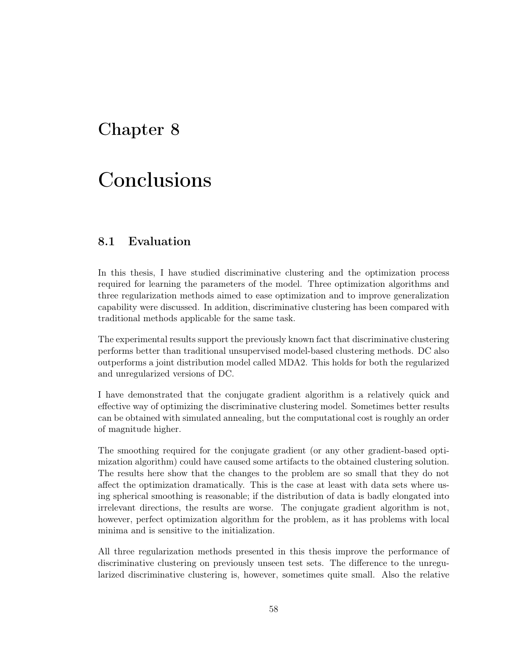## Chapter 8

# Conclusions

### 8.1 Evaluation

In this thesis, I have studied discriminative clustering and the optimization process required for learning the parameters of the model. Three optimization algorithms and three regularization methods aimed to ease optimization and to improve generalization capability were discussed. In addition, discriminative clustering has been compared with traditional methods applicable for the same task.

The experimental results support the previously known fact that discriminative clustering performs better than traditional unsupervised model-based clustering methods. DC also outperforms a joint distribution model called MDA2. This holds for both the regularized and unregularized versions of DC.

I have demonstrated that the conjugate gradient algorithm is a relatively quick and effective way of optimizing the discriminative clustering model. Sometimes better results can be obtained with simulated annealing, but the computational cost is roughly an order of magnitude higher.

The smoothing required for the conjugate gradient (or any other gradient-based optimization algorithm) could have caused some artifacts to the obtained clustering solution. The results here show that the changes to the problem are so small that they do not affect the optimization dramatically. This is the case at least with data sets where using spherical smoothing is reasonable; if the distribution of data is badly elongated into irrelevant directions, the results are worse. The conjugate gradient algorithm is not, however, perfect optimization algorithm for the problem, as it has problems with local minima and is sensitive to the initialization.

All three regularization methods presented in this thesis improve the performance of discriminative clustering on previously unseen test sets. The difference to the unregularized discriminative clustering is, however, sometimes quite small. Also the relative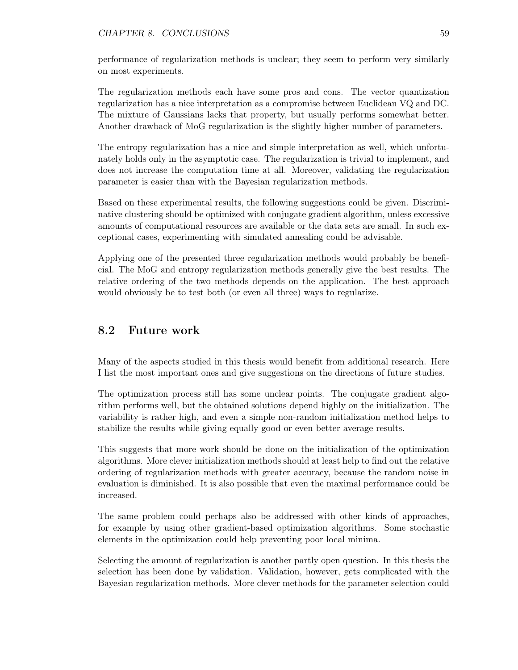performance of regularization methods is unclear; they seem to perform very similarly on most experiments.

The regularization methods each have some pros and cons. The vector quantization regularization has a nice interpretation as a compromise between Euclidean VQ and DC. The mixture of Gaussians lacks that property, but usually performs somewhat better. Another drawback of MoG regularization is the slightly higher number of parameters.

The entropy regularization has a nice and simple interpretation as well, which unfortunately holds only in the asymptotic case. The regularization is trivial to implement, and does not increase the computation time at all. Moreover, validating the regularization parameter is easier than with the Bayesian regularization methods.

Based on these experimental results, the following suggestions could be given. Discriminative clustering should be optimized with conjugate gradient algorithm, unless excessive amounts of computational resources are available or the data sets are small. In such exceptional cases, experimenting with simulated annealing could be advisable.

Applying one of the presented three regularization methods would probably be beneficial. The MoG and entropy regularization methods generally give the best results. The relative ordering of the two methods depends on the application. The best approach would obviously be to test both (or even all three) ways to regularize.

## 8.2 Future work

Many of the aspects studied in this thesis would benefit from additional research. Here I list the most important ones and give suggestions on the directions of future studies.

The optimization process still has some unclear points. The conjugate gradient algorithm performs well, but the obtained solutions depend highly on the initialization. The variability is rather high, and even a simple non-random initialization method helps to stabilize the results while giving equally good or even better average results.

This suggests that more work should be done on the initialization of the optimization algorithms. More clever initialization methods should at least help to find out the relative ordering of regularization methods with greater accuracy, because the random noise in evaluation is diminished. It is also possible that even the maximal performance could be increased.

The same problem could perhaps also be addressed with other kinds of approaches, for example by using other gradient-based optimization algorithms. Some stochastic elements in the optimization could help preventing poor local minima.

Selecting the amount of regularization is another partly open question. In this thesis the selection has been done by validation. Validation, however, gets complicated with the Bayesian regularization methods. More clever methods for the parameter selection could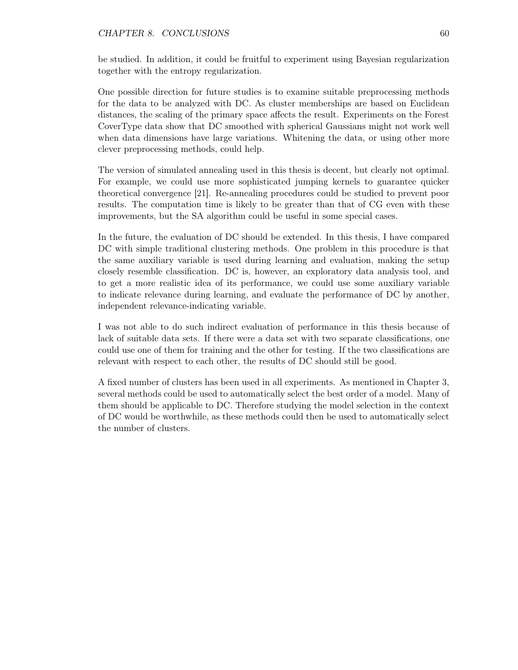#### CHAPTER 8. CONCLUSIONS 60

be studied. In addition, it could be fruitful to experiment using Bayesian regularization together with the entropy regularization.

One possible direction for future studies is to examine suitable preprocessing methods for the data to be analyzed with DC. As cluster memberships are based on Euclidean distances, the scaling of the primary space affects the result. Experiments on the Forest CoverType data show that DC smoothed with spherical Gaussians might not work well when data dimensions have large variations. Whitening the data, or using other more clever preprocessing methods, could help.

The version of simulated annealing used in this thesis is decent, but clearly not optimal. For example, we could use more sophisticated jumping kernels to guarantee quicker theoretical convergence [21]. Re-annealing procedures could be studied to prevent poor results. The computation time is likely to be greater than that of CG even with these improvements, but the SA algorithm could be useful in some special cases.

In the future, the evaluation of DC should be extended. In this thesis, I have compared DC with simple traditional clustering methods. One problem in this procedure is that the same auxiliary variable is used during learning and evaluation, making the setup closely resemble classification. DC is, however, an exploratory data analysis tool, and to get a more realistic idea of its performance, we could use some auxiliary variable to indicate relevance during learning, and evaluate the performance of DC by another, independent relevance-indicating variable.

I was not able to do such indirect evaluation of performance in this thesis because of lack of suitable data sets. If there were a data set with two separate classifications, one could use one of them for training and the other for testing. If the two classifications are relevant with respect to each other, the results of DC should still be good.

A fixed number of clusters has been used in all experiments. As mentioned in Chapter 3, several methods could be used to automatically select the best order of a model. Many of them should be applicable to DC. Therefore studying the model selection in the context of DC would be worthwhile, as these methods could then be used to automatically select the number of clusters.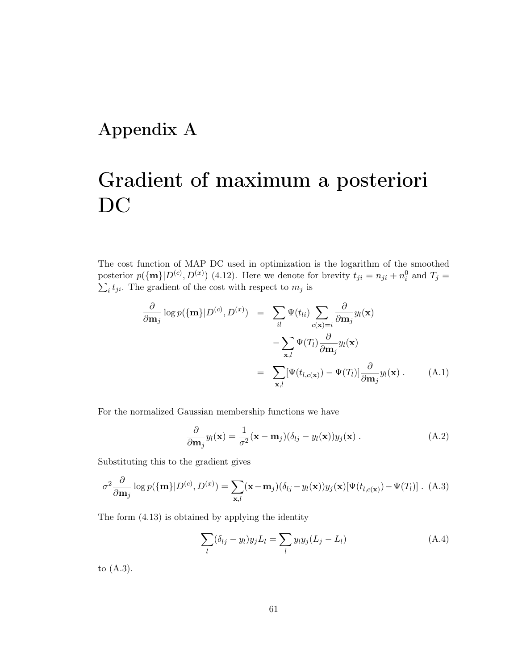# Appendix A

# Gradient of maximum a posteriori DC

The cost function of MAP DC used in optimization is the logarithm of the smoothed posterior  $p(\{\mathbf{m}\}|D^{(c)}, D^{(x)})$  (4.12). Here we denote for brevity  $t_{ji} = n_{ji} + n_i^0$  and  $T_j =$  $\sum_i t_{ji}$ . The gradient of the cost with respect to  $m_j$  is

$$
\frac{\partial}{\partial \mathbf{m}_j} \log p(\{\mathbf{m}\}|D^{(c)}, D^{(x)}) = \sum_{il} \Psi(t_{li}) \sum_{c(\mathbf{x})=i} \frac{\partial}{\partial \mathbf{m}_j} y_l(\mathbf{x}) \n- \sum_{\mathbf{x},l} \Psi(T_l) \frac{\partial}{\partial \mathbf{m}_j} y_l(\mathbf{x}) \n= \sum_{\mathbf{x},l} [\Psi(t_{l,c(\mathbf{x})}) - \Psi(T_l)] \frac{\partial}{\partial \mathbf{m}_j} y_l(\mathbf{x}) .
$$
\n(A.1)

For the normalized Gaussian membership functions we have

$$
\frac{\partial}{\partial \mathbf{m}_j} y_l(\mathbf{x}) = \frac{1}{\sigma^2} (\mathbf{x} - \mathbf{m}_j)(\delta_{lj} - y_l(\mathbf{x})) y_j(\mathbf{x}). \tag{A.2}
$$

Substituting this to the gradient gives

$$
\sigma^2 \frac{\partial}{\partial \mathbf{m}_j} \log p(\{\mathbf{m}\}|D^{(c)}, D^{(x)}) = \sum_{\mathbf{x},l} (\mathbf{x} - \mathbf{m}_j)(\delta_{lj} - y_l(\mathbf{x}))y_j(\mathbf{x})[\Psi(t_{l,c(\mathbf{x})}) - \Psi(T_l)]. \tag{A.3}
$$

The form (4.13) is obtained by applying the identity

$$
\sum_{l} (\delta_{lj} - y_l) y_j L_l = \sum_{l} y_l y_j (L_j - L_l)
$$
\n(A.4)

to (A.3).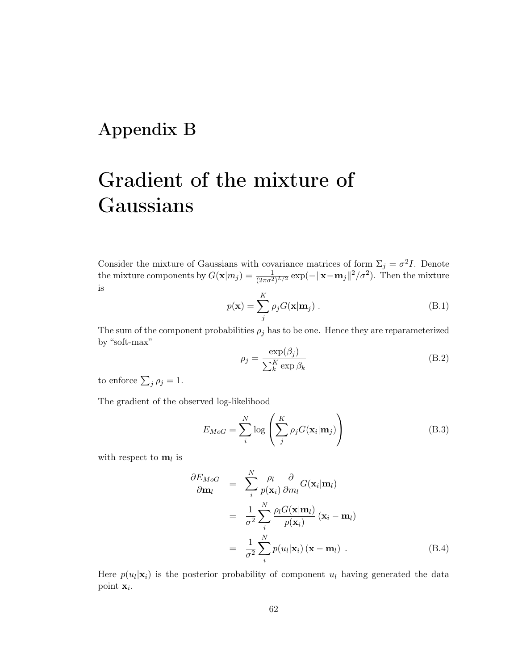## Appendix B

# Gradient of the mixture of Gaussians

Consider the mixture of Gaussians with covariance matrices of form  $\Sigma_j = \sigma^2 I$ . Denote the mixture components by  $G(\mathbf{x}|m_j) = \frac{1}{(2\pi\sigma^2)^{L/2}} \exp(-\|\mathbf{x}-\mathbf{m}_j\|^2/\sigma^2)$ . Then the mixture is

$$
p(\mathbf{x}) = \sum_{j}^{K} \rho_j G(\mathbf{x}|\mathbf{m}_j) .
$$
 (B.1)

The sum of the component probabilities  $\rho_j$  has to be one. Hence they are reparameterized by "soft-max"

$$
\rho_j = \frac{\exp(\beta_j)}{\sum_k^K \exp \beta_k} \tag{B.2}
$$

to enforce  $\sum_j \rho_j = 1$ .

The gradient of the observed log-likelihood

$$
E_{MoG} = \sum_{i}^{N} \log \left( \sum_{j}^{K} \rho_j G(\mathbf{x}_i | \mathbf{m}_j) \right)
$$
(B.3)

with respect to  $\mathbf{m}_l$  is

$$
\frac{\partial E_{MoG}}{\partial \mathbf{m}_l} = \sum_{i}^{N} \frac{\rho_l}{p(\mathbf{x}_i)} \frac{\partial}{\partial m_l} G(\mathbf{x}_i | \mathbf{m}_l)
$$
  
\n
$$
= \frac{1}{\sigma^2} \sum_{i}^{N} \frac{\rho_l G(\mathbf{x} | \mathbf{m}_l)}{p(\mathbf{x}_i)} (\mathbf{x}_i - \mathbf{m}_l)
$$
  
\n
$$
= \frac{1}{\sigma^2} \sum_{i}^{N} p(u_l | \mathbf{x}_i) (\mathbf{x} - \mathbf{m}_l) .
$$
 (B.4)

Here  $p(u_l|\mathbf{x}_i)$  is the posterior probability of component  $u_l$  having generated the data point  $\mathbf{x}_i$ .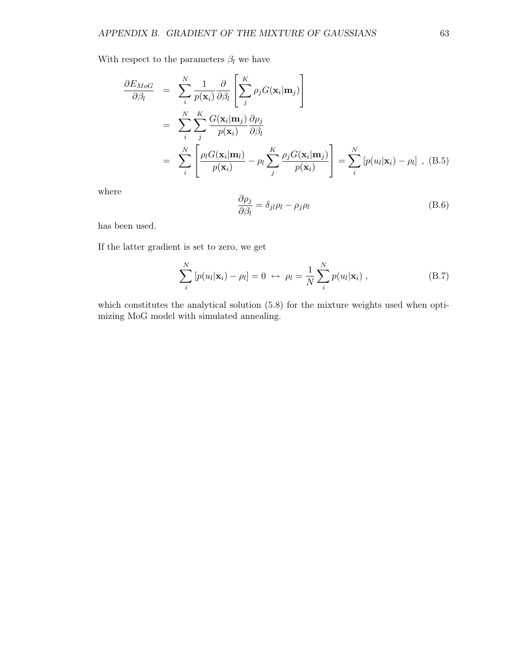With respect to the parameters  $\beta_l$  we have

$$
\frac{\partial E_{MoG}}{\partial \beta_l} = \sum_{i}^{N} \frac{1}{p(\mathbf{x}_i)} \frac{\partial}{\partial \beta_l} \left[ \sum_{j}^{K} \rho_j G(\mathbf{x}_i | \mathbf{m}_j) \right]
$$
\n
$$
= \sum_{i}^{N} \sum_{j}^{K} \frac{G(\mathbf{x}_i | \mathbf{m}_j)}{p(\mathbf{x}_i)} \frac{\partial \rho_j}{\partial \beta_l}
$$
\n
$$
= \sum_{i}^{N} \left[ \frac{\rho_l G(\mathbf{x}_i | \mathbf{m}_l)}{p(\mathbf{x}_i)} - \rho_l \sum_{j}^{K} \frac{\rho_j G(\mathbf{x}_i | \mathbf{m}_j)}{p(\mathbf{x}_i)} \right] = \sum_{i}^{N} \left[ p(u_l | \mathbf{x}_i) - \rho_l \right], \text{ (B.5)}
$$

where

$$
\frac{\partial \rho_j}{\partial \beta_l} = \delta_{jl} \rho_l - \rho_j \rho_l \tag{B.6}
$$

has been used.

If the latter gradient is set to zero, we get

$$
\sum_{i}^{N} \left[ p(u_l | \mathbf{x}_i) - \rho_l \right] = 0 \leftrightarrow \rho_l = \frac{1}{N} \sum_{i}^{N} p(u_l | \mathbf{x}_i) , \qquad (B.7)
$$

which constitutes the analytical solution  $(5.8)$  for the mixture weights used when optimizing MoG model with simulated annealing.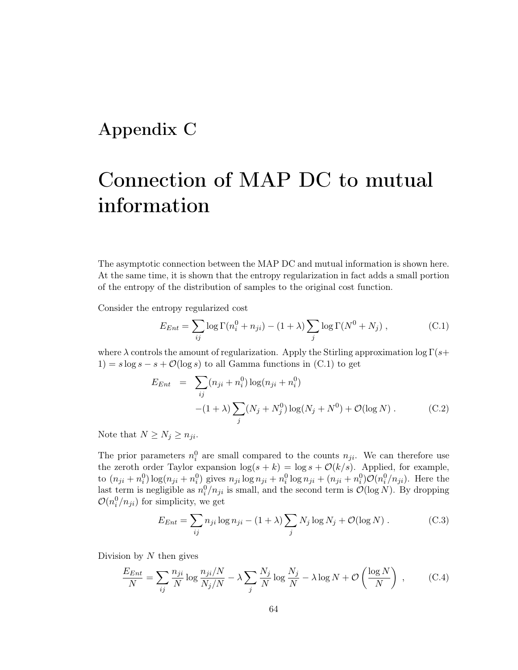## Appendix C

## Connection of MAP DC to mutual information

The asymptotic connection between the MAP DC and mutual information is shown here. At the same time, it is shown that the entropy regularization in fact adds a small portion of the entropy of the distribution of samples to the original cost function.

Consider the entropy regularized cost

$$
E_{Ent} = \sum_{ij} \log \Gamma(n_i^0 + n_{ji}) - (1 + \lambda) \sum_j \log \Gamma(N^0 + N_j) , \qquad (C.1)
$$

where  $\lambda$  controls the amount of regularization. Apply the Stirling approximation log  $\Gamma(s+$  $1) = s \log s - s + \mathcal{O}(\log s)$  to all Gamma functions in (C.1) to get

$$
E_{Ent} = \sum_{ij} (n_{ji} + n_i^0) \log(n_{ji} + n_i^0)
$$
  
 
$$
-(1 + \lambda) \sum_j (N_j + N_j^0) \log(N_j + N^0) + \mathcal{O}(\log N).
$$
 (C.2)

Note that  $N \geq N_j \geq n_{ji}$ .

The prior parameters  $n_i^0$  are small compared to the counts  $n_{ji}$ . We can therefore use the zeroth order Taylor expansion  $\log(s + k) = \log s + \mathcal{O}(k/s)$ . Applied, for example, to  $(n_{ji} + n_i^0) \log(n_{ji} + n_i^0)$  gives  $n_{ji} \log n_{ji} + n_i^0 \log n_{ji} + (n_{ji} + n_i^0) \mathcal{O}(n_i^0/n_{ji})$ . Here the last term is negligible as  $n_i^0/n_{ji}$  is small, and the second term is  $\mathcal{O}(\log N)$ . By dropping  $\mathcal{O}(n_i^0/n_{ji})$  for simplicity, we get

$$
E_{Ent} = \sum_{ij} n_{ji} \log n_{ji} - (1 + \lambda) \sum_j N_j \log N_j + \mathcal{O}(\log N) . \tag{C.3}
$$

Division by  $N$  then gives

$$
\frac{E_{Ent}}{N} = \sum_{ij} \frac{n_{ji}}{N} \log \frac{n_{ji}/N}{N_j/N} - \lambda \sum_{j} \frac{N_j}{N} \log \frac{N_j}{N} - \lambda \log N + \mathcal{O}\left(\frac{\log N}{N}\right) ,\tag{C.4}
$$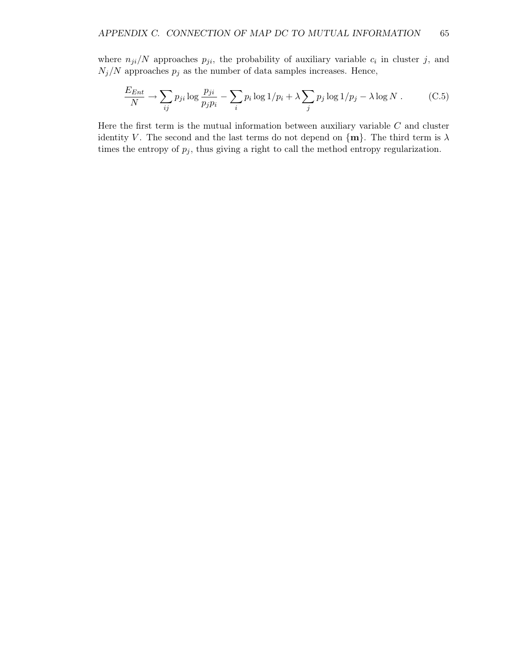where  $n_{ji}/N$  approaches  $p_{ji}$ , the probability of auxiliary variable  $c_i$  in cluster j, and  $N_j/N$  approaches  $p_j$  as the number of data samples increases. Hence,

$$
\frac{E_{Ent}}{N} \to \sum_{ij} p_{ji} \log \frac{p_{ji}}{p_j p_i} - \sum_i p_i \log 1/p_i + \lambda \sum_j p_j \log 1/p_j - \lambda \log N. \tag{C.5}
$$

Here the first term is the mutual information between auxiliary variable  $C$  and cluster identity V. The second and the last terms do not depend on  $\{m\}$ . The third term is  $\lambda$ times the entropy of  $p_j$ , thus giving a right to call the method entropy regularization.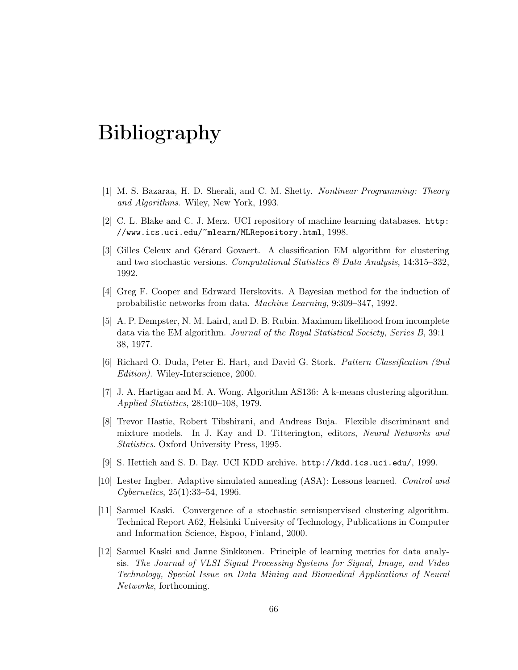## Bibliography

- [1] M. S. Bazaraa, H. D. Sherali, and C. M. Shetty. Nonlinear Programming: Theory and Algorithms. Wiley, New York, 1993.
- [2] C. L. Blake and C. J. Merz. UCI repository of machine learning databases. http: //www.ics.uci.edu/~mlearn/MLRepository.html, 1998.
- [3] Gilles Celeux and Gérard Govaert. A classification EM algorithm for clustering and two stochastic versions. Computational Statistics  $\mathcal{B}$  Data Analysis, 14:315–332, 1992.
- [4] Greg F. Cooper and Edrward Herskovits. A Bayesian method for the induction of probabilistic networks from data. Machine Learning, 9:309–347, 1992.
- [5] A. P. Dempster, N. M. Laird, and D. B. Rubin. Maximum likelihood from incomplete data via the EM algorithm. Journal of the Royal Statistical Society, Series B, 39:1– 38, 1977.
- [6] Richard O. Duda, Peter E. Hart, and David G. Stork. Pattern Classification (2nd Edition). Wiley-Interscience, 2000.
- [7] J. A. Hartigan and M. A. Wong. Algorithm AS136: A k-means clustering algorithm. Applied Statistics, 28:100–108, 1979.
- [8] Trevor Hastie, Robert Tibshirani, and Andreas Buja. Flexible discriminant and mixture models. In J. Kay and D. Titterington, editors, Neural Networks and Statistics. Oxford University Press, 1995.
- [9] S. Hettich and S. D. Bay. UCI KDD archive. http://kdd.ics.uci.edu/, 1999.
- [10] Lester Ingber. Adaptive simulated annealing (ASA): Lessons learned. Control and Cybernetics, 25(1):33–54, 1996.
- [11] Samuel Kaski. Convergence of a stochastic semisupervised clustering algorithm. Technical Report A62, Helsinki University of Technology, Publications in Computer and Information Science, Espoo, Finland, 2000.
- [12] Samuel Kaski and Janne Sinkkonen. Principle of learning metrics for data analysis. The Journal of VLSI Signal Processing-Systems for Signal, Image, and Video Technology, Special Issue on Data Mining and Biomedical Applications of Neural Networks, forthcoming.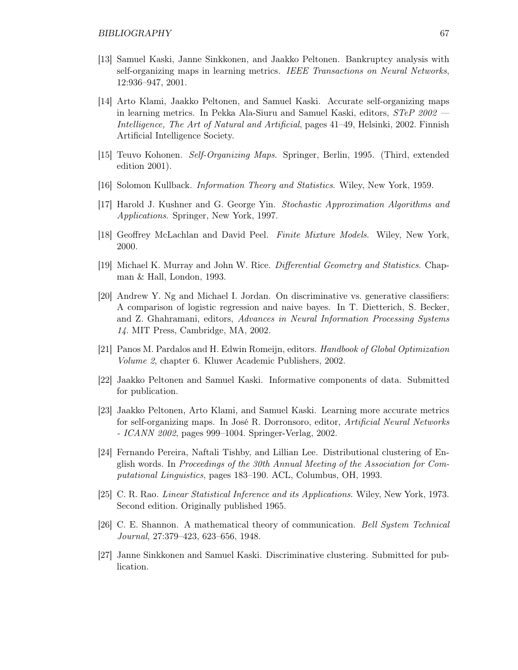- [13] Samuel Kaski, Janne Sinkkonen, and Jaakko Peltonen. Bankruptcy analysis with self-organizing maps in learning metrics. IEEE Transactions on Neural Networks, 12:936–947, 2001.
- [14] Arto Klami, Jaakko Peltonen, and Samuel Kaski. Accurate self-organizing maps in learning metrics. In Pekka Ala-Siuru and Samuel Kaski, editors, STeP 2002 — Intelligence, The Art of Natural and Artificial, pages 41–49, Helsinki, 2002. Finnish Artificial Intelligence Society.
- [15] Teuvo Kohonen. Self-Organizing Maps. Springer, Berlin, 1995. (Third, extended edition 2001).
- [16] Solomon Kullback. Information Theory and Statistics. Wiley, New York, 1959.
- [17] Harold J. Kushner and G. George Yin. Stochastic Approximation Algorithms and Applications. Springer, New York, 1997.
- [18] Geoffrey McLachlan and David Peel. Finite Mixture Models. Wiley, New York, 2000.
- [19] Michael K. Murray and John W. Rice. Differential Geometry and Statistics. Chapman & Hall, London, 1993.
- [20] Andrew Y. Ng and Michael I. Jordan. On discriminative vs. generative classifiers: A comparison of logistic regression and naive bayes. In T. Dietterich, S. Becker, and Z. Ghahramani, editors, Advances in Neural Information Processing Systems 14. MIT Press, Cambridge, MA, 2002.
- [21] Panos M. Pardalos and H. Edwin Romeijn, editors. Handbook of Global Optimization Volume 2, chapter 6. Kluwer Academic Publishers, 2002.
- [22] Jaakko Peltonen and Samuel Kaski. Informative components of data. Submitted for publication.
- [23] Jaakko Peltonen, Arto Klami, and Samuel Kaski. Learning more accurate metrics for self-organizing maps. In José R. Dorronsoro, editor, Artificial Neural Networks - ICANN 2002, pages 999–1004. Springer-Verlag, 2002.
- [24] Fernando Pereira, Naftali Tishby, and Lillian Lee. Distributional clustering of English words. In Proceedings of the 30th Annual Meeting of the Association for Computational Linguistics, pages 183–190. ACL, Columbus, OH, 1993.
- [25] C. R. Rao. Linear Statistical Inference and its Applications. Wiley, New York, 1973. Second edition. Originally published 1965.
- [26] C. E. Shannon. A mathematical theory of communication. Bell System Technical Journal, 27:379–423, 623–656, 1948.
- [27] Janne Sinkkonen and Samuel Kaski. Discriminative clustering. Submitted for publication.